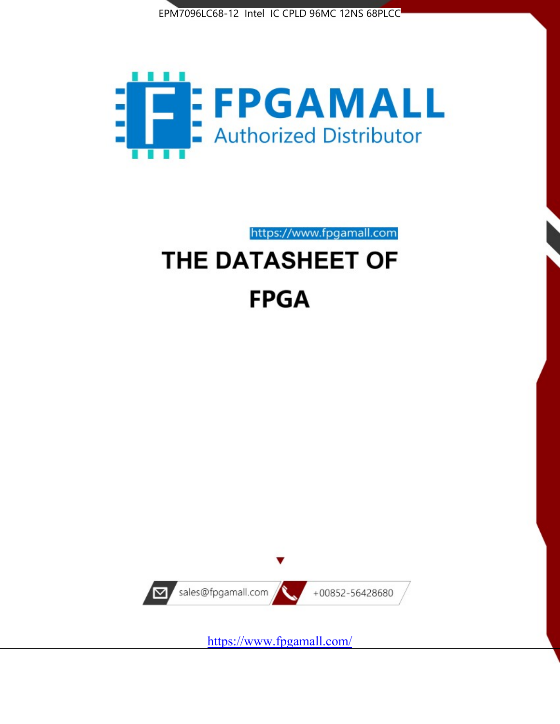



https://www.fpgamall.com

# THE DATASHEET OF **FPGA**



<https://www.fpgamall.com/>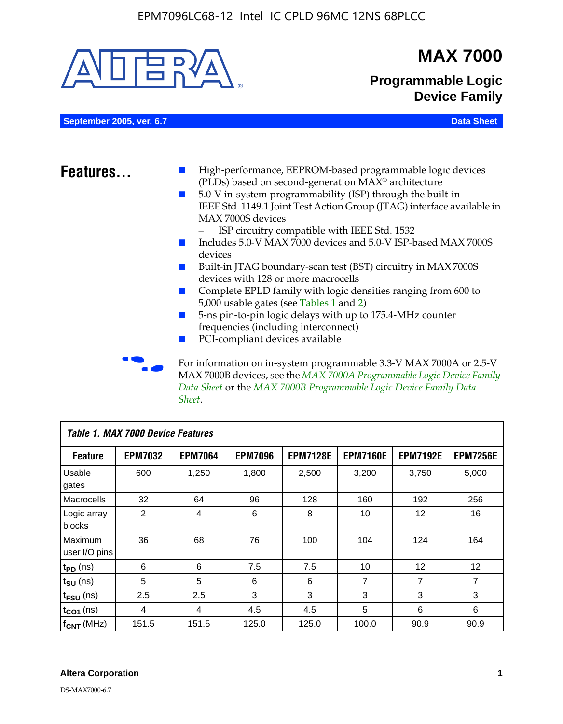

| Table 1. MAX 7000 Device Features |                |                |                |                 |                 |                   |                 |
|-----------------------------------|----------------|----------------|----------------|-----------------|-----------------|-------------------|-----------------|
| <b>Feature</b>                    | <b>EPM7032</b> | <b>EPM7064</b> | <b>EPM7096</b> | <b>EPM7128E</b> | <b>EPM7160E</b> | <b>EPM7192E</b>   | <b>EPM7256E</b> |
| Usable<br>gates                   | 600            | 1,250          | 1,800          | 2,500           | 3,200           | 3,750             | 5,000           |
| Macrocells                        | 32             | 64             | 96             | 128             | 160             | 192               | 256             |
| Logic array<br>blocks             | $\overline{2}$ | 4              | 6              | 8               | 10              | 12                | 16              |
| Maximum<br>user I/O pins          | 36             | 68             | 76             | 100             | 104             | 124               | 164             |
| $t_{PD}$ (ns)                     | 6              | 6              | 7.5            | 7.5             | 10              | $12 \overline{ }$ | 12              |
| $t_{\text{SU}}$ (ns)              | 5              | 5              | 6              | 6               | 7               | $\overline{7}$    | 7               |
| t <sub>FSU</sub> (ns)             | 2.5            | 2.5            | 3              | 3               | 3               | 3                 | 3               |
| $t_{CO1}$ (ns)                    | 4              | 4              | 4.5            | 4.5             | 5               | 6                 | 6               |
| $f_{CNT}$ (MHz)                   | 151.5          | 151.5          | 125.0          | 125.0           | 100.0           | 90.9              | 90.9            |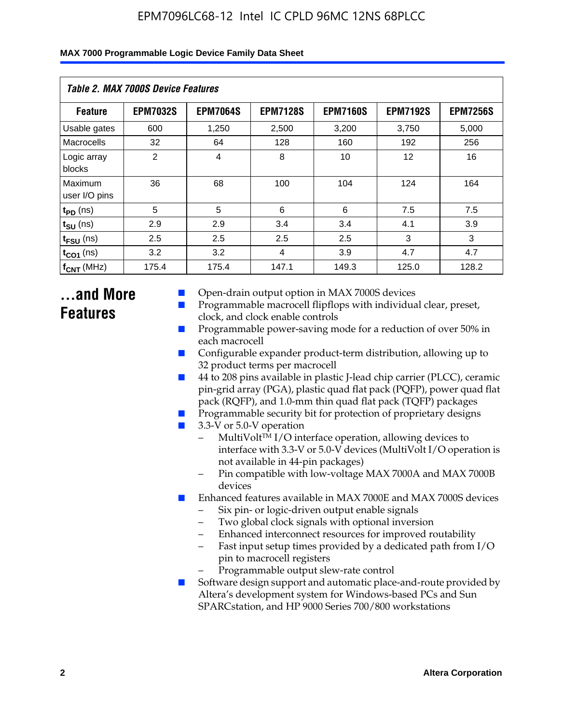| Table 2. MAX 7000S Device Features |                 |                 |                 |                 |                   |                 |  |  |
|------------------------------------|-----------------|-----------------|-----------------|-----------------|-------------------|-----------------|--|--|
| <b>Feature</b>                     | <b>EPM7032S</b> | <b>EPM7064S</b> | <b>EPM7128S</b> | <b>EPM7160S</b> | <b>EPM7192S</b>   | <b>EPM7256S</b> |  |  |
| Usable gates                       | 600             | 1,250           | 2,500           | 3,200           | 3,750             | 5,000           |  |  |
| Macrocells                         | 32              | 64              | 128             | 160             | 192               | 256             |  |  |
| Logic array<br>blocks              | $\overline{2}$  | $\overline{4}$  | 8               | 10              | $12 \overline{ }$ | 16              |  |  |
| Maximum<br>user I/O pins           | 36              | 68              | 100             | 104             | 124               | 164             |  |  |
| $t_{PD}$ (ns)                      | 5               | 5               | 6               | 6               | 7.5               | 7.5             |  |  |
| $t_{SU}$ (ns)                      | 2.9             | 2.9             | 3.4             | 3.4             | 4.1               | 3.9             |  |  |
| $t_{\text{FSU}}$ (ns)              | 2.5             | 2.5             | 2.5             | 2.5             | 3                 | 3               |  |  |
| $t_{CO1}$ (ns)                     | 3.2             | 3.2             | 4               | 3.9             | 4.7               | 4.7             |  |  |
| $f_{CNT}$ (MHz)                    | 175.4           | 175.4           | 147.1           | 149.3           | 125.0             | 128.2           |  |  |

### **...and More Features**

- Open-drain output option in MAX 7000S devices
- Programmable macrocell flipflops with individual clear, preset, clock, and clock enable controls
- Programmable power-saving mode for a reduction of over 50% in each macrocell
- Configurable expander product-term distribution, allowing up to 32 product terms per macrocell
- 44 to 208 pins available in plastic J-lead chip carrier (PLCC), ceramic pin-grid array (PGA), plastic quad flat pack (PQFP), power quad flat pack (RQFP), and 1.0-mm thin quad flat pack (TQFP) packages
- Programmable security bit for protection of proprietary designs
- 3.3-V or 5.0-V operation
	- MultiVolt<sup>TM</sup> I/O interface operation, allowing devices to interface with 3.3-V or 5.0-V devices (MultiVolt I/O operation is not available in 44-pin packages)
	- Pin compatible with low-voltage MAX 7000A and MAX 7000B devices
- Enhanced features available in MAX 7000E and MAX 7000S devices
	- Six pin- or logic-driven output enable signals
	- Two global clock signals with optional inversion
	- Enhanced interconnect resources for improved routability
	- Fast input setup times provided by a dedicated path from I/O pin to macrocell registers
	- Programmable output slew-rate control
- Software design support and automatic place-and-route provided by Altera's development system for Windows-based PCs and Sun SPARCstation, and HP 9000 Series 700/800 workstations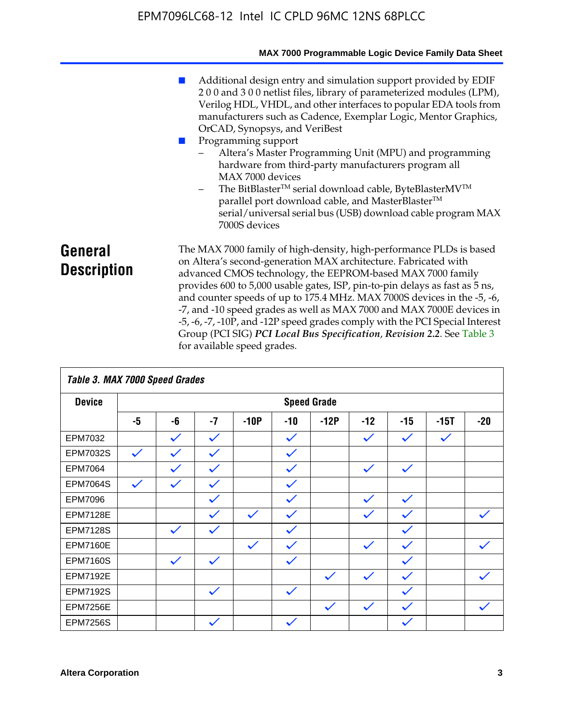|                               | MAX 7000 Programmable Logic Device Family Data Sheet                                                                                                                                                                                                                                                                                                                                                                                                                                                                                                                                                                                                                            |
|-------------------------------|---------------------------------------------------------------------------------------------------------------------------------------------------------------------------------------------------------------------------------------------------------------------------------------------------------------------------------------------------------------------------------------------------------------------------------------------------------------------------------------------------------------------------------------------------------------------------------------------------------------------------------------------------------------------------------|
|                               | Additional design entry and simulation support provided by EDIF<br>200 and 300 netlist files, library of parameterized modules (LPM),<br>Verilog HDL, VHDL, and other interfaces to popular EDA tools from<br>manufacturers such as Cadence, Exemplar Logic, Mentor Graphics,<br>OrCAD, Synopsys, and VeriBest<br>Programming support<br>Altera's Master Programming Unit (MPU) and programming<br>hardware from third-party manufacturers program all<br>MAX 7000 devices<br>The BitBlaster™ serial download cable, ByteBlasterMV™<br>$-$<br>parallel port download cable, and MasterBlaster™<br>serial/universal serial bus (USB) download cable program MAX<br>7000S devices |
| General<br><b>Description</b> | The MAX 7000 family of high-density, high-performance PLDs is based<br>on Altera's second-generation MAX architecture. Fabricated with<br>advanced CMOS technology, the EEPROM-based MAX 7000 family<br>provides 600 to 5,000 usable gates, ISP, pin-to-pin delays as fast as 5 ns,<br>and counter speeds of up to 175.4 MHz. MAX 7000S devices in the -5, -6,<br>-7, and -10 speed grades as well as MAX 7000 and MAX 7000E devices in<br>-5, -6, -7, -10P, and -12P speed grades comply with the PCI Special Interest<br>Group (PCI SIG) PCI Local Bus Specification, Revision 2.2. See Table 3                                                                               |

| Table 3. MAX 7000 Speed Grades |              |              |              |              |              |                    |              |              |              |              |
|--------------------------------|--------------|--------------|--------------|--------------|--------------|--------------------|--------------|--------------|--------------|--------------|
| <b>Device</b>                  |              |              |              |              |              | <b>Speed Grade</b> |              |              |              |              |
|                                | -5           | -6           | $-7$         | $-10P$       | $-10$        | $-12P$             | $-12$        | $-15$        | $-15T$       | $-20$        |
| EPM7032                        |              | $\checkmark$ | $\checkmark$ |              | $\checkmark$ |                    | $\checkmark$ | $\checkmark$ | $\checkmark$ |              |
| EPM7032S                       | $\checkmark$ | $\checkmark$ | $\checkmark$ |              | $\checkmark$ |                    |              |              |              |              |
| <b>EPM7064</b>                 |              |              | $\checkmark$ |              | $\checkmark$ |                    | $\checkmark$ | $\checkmark$ |              |              |
| <b>EPM7064S</b>                | $\checkmark$ | $\checkmark$ | $\checkmark$ |              | $\checkmark$ |                    |              |              |              |              |
| EPM7096                        |              |              | $\checkmark$ |              | $\checkmark$ |                    | $\checkmark$ | $\checkmark$ |              |              |
| <b>EPM7128E</b>                |              |              | $\checkmark$ | $\checkmark$ | $\checkmark$ |                    | $\checkmark$ | $\checkmark$ |              | $\checkmark$ |
| <b>EPM7128S</b>                |              | $\checkmark$ | $\checkmark$ |              | $\checkmark$ |                    |              | $\checkmark$ |              |              |
| <b>EPM7160E</b>                |              |              |              | $\checkmark$ | $\checkmark$ |                    | $\checkmark$ | $\checkmark$ |              | $\checkmark$ |
| <b>EPM7160S</b>                |              | $\checkmark$ | $\checkmark$ |              | $\checkmark$ |                    |              | $\checkmark$ |              |              |
| <b>EPM7192E</b>                |              |              |              |              |              | $\checkmark$       | $\checkmark$ | $\checkmark$ |              |              |
| <b>EPM7192S</b>                |              |              | $\checkmark$ |              | $\checkmark$ |                    |              | $\checkmark$ |              |              |
| <b>EPM7256E</b>                |              |              |              |              |              | $\checkmark$       | $\checkmark$ | $\checkmark$ |              | $\checkmark$ |
| <b>EPM7256S</b>                |              |              | $\checkmark$ |              | $\checkmark$ |                    |              | $\checkmark$ |              |              |

for available speed grades.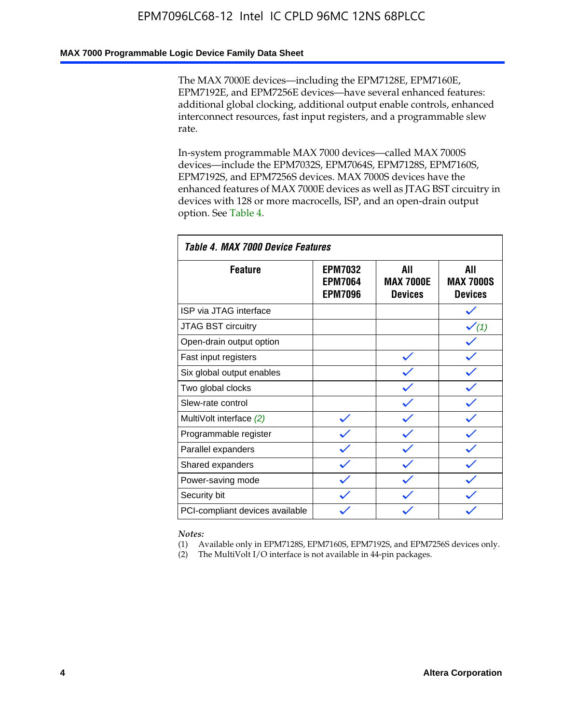### **MAX 7000 Programmable Logic Device Family Data Sheet**

The MAX 7000E devices—including the EPM7128E, EPM7160E, EPM7192E, and EPM7256E devices—have several enhanced features: additional global clocking, additional output enable controls, enhanced interconnect resources, fast input registers, and a programmable slew rate.

In-system programmable MAX 7000 devices—called MAX 7000S devices—include the EPM7032S, EPM7064S, EPM7128S, EPM7160S, EPM7192S, and EPM7256S devices. MAX 7000S devices have the enhanced features of MAX 7000E devices as well as JTAG BST circuitry in devices with 128 or more macrocells, ISP, and an open-drain output option. See Table 4.

| Table 4. MAX 7000 Device Features |                                                    |                                           |                                           |  |  |  |  |
|-----------------------------------|----------------------------------------------------|-------------------------------------------|-------------------------------------------|--|--|--|--|
| <b>Feature</b>                    | <b>EPM7032</b><br><b>EPM7064</b><br><b>EPM7096</b> | All<br><b>MAX 7000E</b><br><b>Devices</b> | All<br><b>MAX 7000S</b><br><b>Devices</b> |  |  |  |  |
| ISP via JTAG interface            |                                                    |                                           |                                           |  |  |  |  |
| <b>JTAG BST circuitry</b>         |                                                    |                                           | $\checkmark$ (1)                          |  |  |  |  |
| Open-drain output option          |                                                    |                                           |                                           |  |  |  |  |
| Fast input registers              |                                                    |                                           |                                           |  |  |  |  |
| Six global output enables         |                                                    |                                           |                                           |  |  |  |  |
| Two global clocks                 |                                                    |                                           |                                           |  |  |  |  |
| Slew-rate control                 |                                                    |                                           |                                           |  |  |  |  |
| MultiVolt interface (2)           |                                                    |                                           |                                           |  |  |  |  |
| Programmable register             |                                                    |                                           |                                           |  |  |  |  |
| Parallel expanders                |                                                    |                                           |                                           |  |  |  |  |
| Shared expanders                  |                                                    |                                           |                                           |  |  |  |  |
| Power-saving mode                 |                                                    |                                           |                                           |  |  |  |  |
| Security bit                      |                                                    |                                           |                                           |  |  |  |  |
| PCI-compliant devices available   |                                                    |                                           |                                           |  |  |  |  |

*Notes:*

(1) Available only in EPM7128S, EPM7160S, EPM7192S, and EPM7256S devices only.

(2) The MultiVolt I/O interface is not available in 44-pin packages.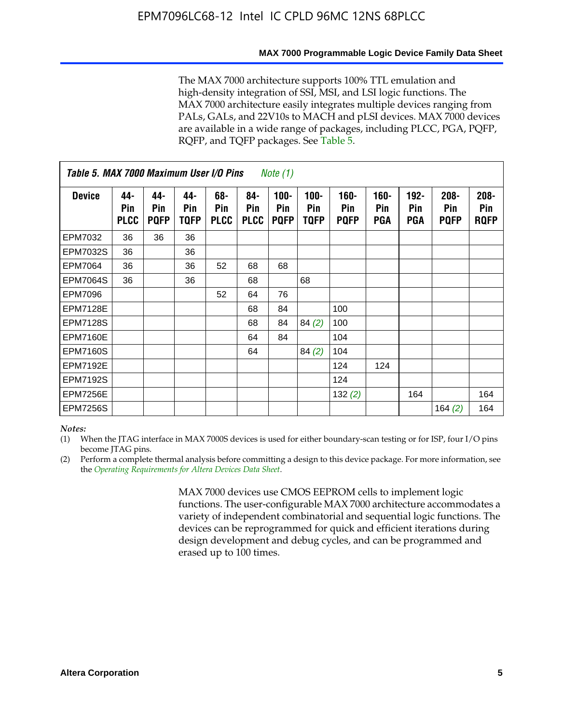#### **MAX 7000 Programmable Logic Device Family Data Sheet**

The MAX 7000 architecture supports 100% TTL emulation and high-density integration of SSI, MSI, and LSI logic functions. The MAX 7000 architecture easily integrates multiple devices ranging from PALs, GALs, and 22V10s to MACH and pLSI devices. MAX 7000 devices are available in a wide range of packages, including PLCC, PGA, PQFP, RQFP, and TQFP packages. See Table 5.

| Table 5. MAX 7000 Maximum User I/O Pins<br><i>Note</i> $(1)$ |                           |                           |                           |                           |                           |                               |                        |                            |                       |                                     |                               |                               |
|--------------------------------------------------------------|---------------------------|---------------------------|---------------------------|---------------------------|---------------------------|-------------------------------|------------------------|----------------------------|-----------------------|-------------------------------------|-------------------------------|-------------------------------|
| <b>Device</b>                                                | 44-<br>Pin<br><b>PLCC</b> | 44-<br>Pin<br><b>PQFP</b> | 44-<br><b>Pin</b><br>TQFP | 68-<br>Pin<br><b>PLCC</b> | 84-<br>Pin<br><b>PLCC</b> | $100 -$<br>Pin<br><b>PQFP</b> | $100 -$<br>Pin<br>TQFP | 160-<br>Pin<br><b>PQFP</b> | $160 -$<br>Pin<br>PGA | $192 -$<br><b>Pin</b><br><b>PGA</b> | $208 -$<br>Pin<br><b>PQFP</b> | $208 -$<br>Pin<br><b>ROFP</b> |
| EPM7032                                                      | 36                        | 36                        | 36                        |                           |                           |                               |                        |                            |                       |                                     |                               |                               |
| <b>EPM7032S</b>                                              | 36                        |                           | 36                        |                           |                           |                               |                        |                            |                       |                                     |                               |                               |
| <b>EPM7064</b>                                               | 36                        |                           | 36                        | 52                        | 68                        | 68                            |                        |                            |                       |                                     |                               |                               |
| <b>EPM7064S</b>                                              | 36                        |                           | 36                        |                           | 68                        |                               | 68                     |                            |                       |                                     |                               |                               |
| EPM7096                                                      |                           |                           |                           | 52                        | 64                        | 76                            |                        |                            |                       |                                     |                               |                               |
| <b>EPM7128E</b>                                              |                           |                           |                           |                           | 68                        | 84                            |                        | 100                        |                       |                                     |                               |                               |
| <b>EPM7128S</b>                                              |                           |                           |                           |                           | 68                        | 84                            | 84(2)                  | 100                        |                       |                                     |                               |                               |
| <b>EPM7160E</b>                                              |                           |                           |                           |                           | 64                        | 84                            |                        | 104                        |                       |                                     |                               |                               |
| <b>EPM7160S</b>                                              |                           |                           |                           |                           | 64                        |                               | 84(2)                  | 104                        |                       |                                     |                               |                               |
| <b>EPM7192E</b>                                              |                           |                           |                           |                           |                           |                               |                        | 124                        | 124                   |                                     |                               |                               |
| <b>EPM7192S</b>                                              |                           |                           |                           |                           |                           |                               |                        | 124                        |                       |                                     |                               |                               |
| <b>EPM7256E</b>                                              |                           |                           |                           |                           |                           |                               |                        | 132(2)                     |                       | 164                                 |                               | 164                           |
| <b>EPM7256S</b>                                              |                           |                           |                           |                           |                           |                               |                        |                            |                       |                                     | 164 $(2)$                     | 164                           |

#### *Notes:*

(1) When the JTAG interface in MAX 7000S devices is used for either boundary-scan testing or for ISP, four I/O pins become JTAG pins.

(2) Perform a complete thermal analysis before committing a design to this device package. For more information, see the *Operating Requirements for Altera Devices Data Sheet*.

> MAX 7000 devices use CMOS EEPROM cells to implement logic functions. The user-configurable MAX 7000 architecture accommodates a variety of independent combinatorial and sequential logic functions. The devices can be reprogrammed for quick and efficient iterations during design development and debug cycles, and can be programmed and erased up to 100 times.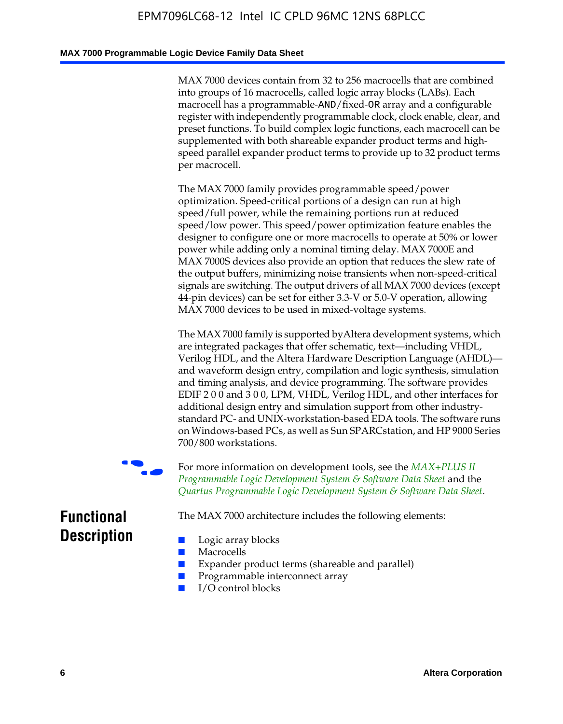#### **MAX 7000 Programmable Logic Device Family Data Sheet**

MAX 7000 devices contain from 32 to 256 macrocells that are combined into groups of 16 macrocells, called logic array blocks (LABs). Each macrocell has a programmable-AND/fixed-OR array and a configurable register with independently programmable clock, clock enable, clear, and preset functions. To build complex logic functions, each macrocell can be supplemented with both shareable expander product terms and highspeed parallel expander product terms to provide up to 32 product terms per macrocell.

The MAX 7000 family provides programmable speed/power optimization. Speed-critical portions of a design can run at high speed/full power, while the remaining portions run at reduced speed/low power. This speed/power optimization feature enables the designer to configure one or more macrocells to operate at 50% or lower power while adding only a nominal timing delay. MAX 7000E and MAX 7000S devices also provide an option that reduces the slew rate of the output buffers, minimizing noise transients when non-speed-critical signals are switching. The output drivers of all MAX 7000 devices (except 44-pin devices) can be set for either 3.3-V or 5.0-V operation, allowing MAX 7000 devices to be used in mixed-voltage systems.

The MAX 7000 family is supported byAltera development systems, which are integrated packages that offer schematic, text—including VHDL, Verilog HDL, and the Altera Hardware Description Language (AHDL) and waveform design entry, compilation and logic synthesis, simulation and timing analysis, and device programming. The [software provides](http://www.altera.com/literature/ds/dsmii.pdf)  [EDIF 2 0 0 and 3 0 0, LPM, VHDL, Verilog HDL, and other in](http://www.altera.com/literature/ds/dsmii.pdf)terfaces for [additional design entry and simulation support from other industry](http://www.altera.com/literature/ds/quartus.pdf)standard PC- and UNIX-workstation-based EDA tools. The software runs on Windows-based PCs, as well as Sun SPARCstation, and HP 9000 Series 700/800 workstations.

For more information on development tools, see the **MAX+PLUS II** *Programmable Logic Development System & Software Data Sheet* and the *Quartus Programmable Logic Development System & Software Data Sheet*.

The MAX 7000 architecture includes the following elements:

### **Functional Description**

- Logic array blocks
- **Macrocells**
- Expander product terms (shareable and parallel)
- Programmable interconnect array
- I/O control blocks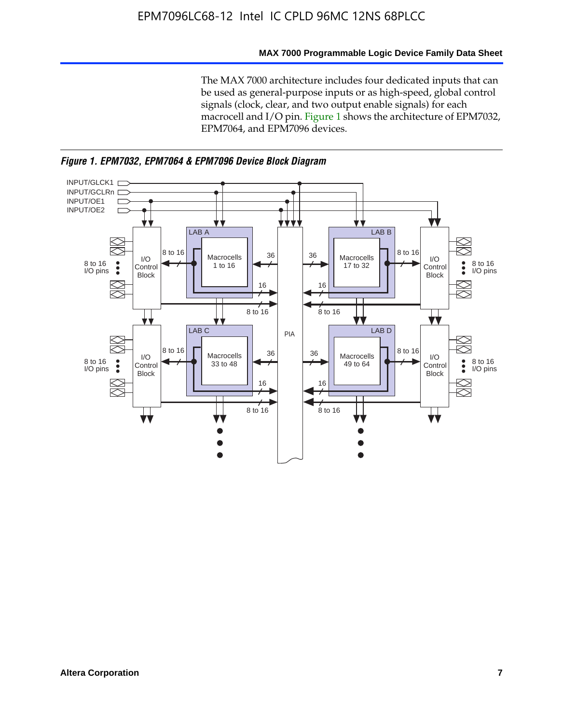#### **MAX 7000 Programmable Logic Device Family Data Sheet**

The MAX 7000 architecture includes four dedicated inputs that can be used as general-purpose inputs or as high-speed, global control signals (clock, clear, and two output enable signals) for each macrocell and I/O pin. Figure 1 shows the architecture of EPM7032, EPM7064, and EPM7096 devices.



*Figure 1. EPM7032, EPM7064 & EPM7096 Device Block Diagram*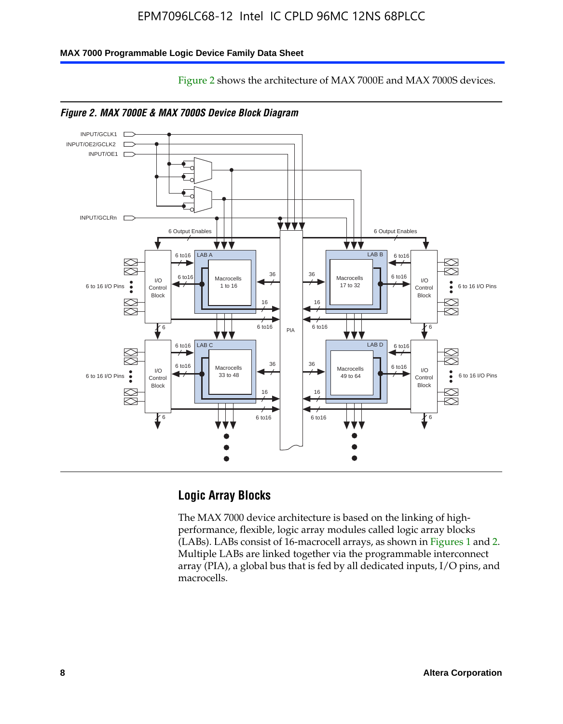#### **MAX 7000 Programmable Logic Device Family Data Sheet**





Figure 2 shows the architecture of MAX 7000E and MAX 7000S devices.



### **Logic Array Blocks**

The MAX 7000 device architecture is based on the linking of highperformance, flexible, logic array modules called logic array blocks (LABs). LABs consist of 16-macrocell arrays, as shown in Figures 1 and 2. Multiple LABs are linked together via the programmable interconnect array (PIA), a global bus that is fed by all dedicated inputs, I/O pins, and macrocells.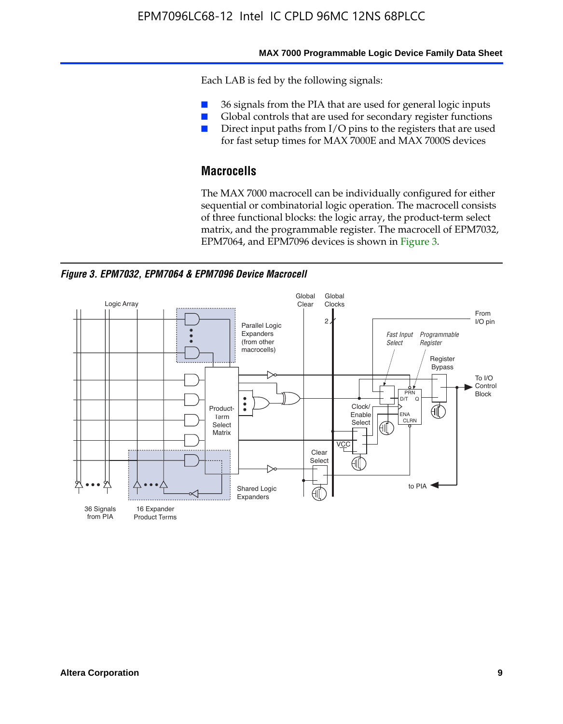#### **MAX 7000 Programmable Logic Device Family Data Sheet**

Each LAB is fed by the following signals:

- 36 signals from the PIA that are used for general logic inputs
- Global controls that are used for secondary register functions
- Direct input paths from I/O pins to the registers that are used for fast setup times for MAX 7000E and MAX 7000S devices

### **Macrocells**

The MAX 7000 macrocell can be individually configured for either sequential or combinatorial logic operation. The macrocell consists of three functional blocks: the logic array, the product-term select matrix, and the programmable register. The macrocell of EPM7032, EPM7064, and EPM7096 devices is shown in Figure 3.

*Figure 3. EPM7032, EPM7064 & EPM7096 Device Macrocell*

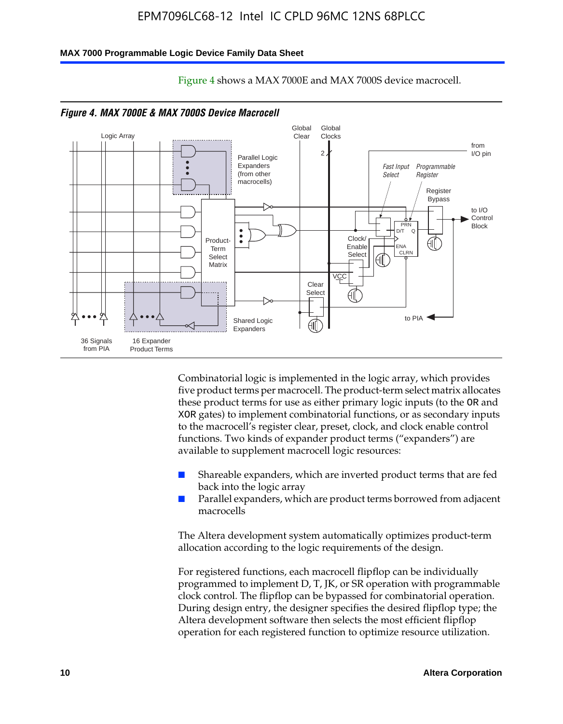#### **MAX 7000 Programmable Logic Device Family Data Sheet**



Figure 4 shows a MAX 7000E and MAX 7000S device macrocell.

*Figure 4. MAX 7000E & MAX 7000S Device Macrocell*

Combinatorial logic is implemented in the logic array, which provides five product terms per macrocell. The product-term select matrix allocates these product terms for use as either primary logic inputs (to the OR and XOR gates) to implement combinatorial functions, or as secondary inputs to the macrocell's register clear, preset, clock, and clock enable control functions. Two kinds of expander product terms ("expanders") are available to supplement macrocell logic resources:

- Shareable expanders, which are inverted product terms that are fed back into the logic array
- Parallel expanders, which are product terms borrowed from adjacent macrocells

The Altera development system automatically optimizes product-term allocation according to the logic requirements of the design.

For registered functions, each macrocell flipflop can be individually programmed to implement D, T, JK, or SR operation with programmable clock control. The flipflop can be bypassed for combinatorial operation. During design entry, the designer specifies the desired flipflop type; the Altera development software then selects the most efficient flipflop operation for each registered function to optimize resource utilization.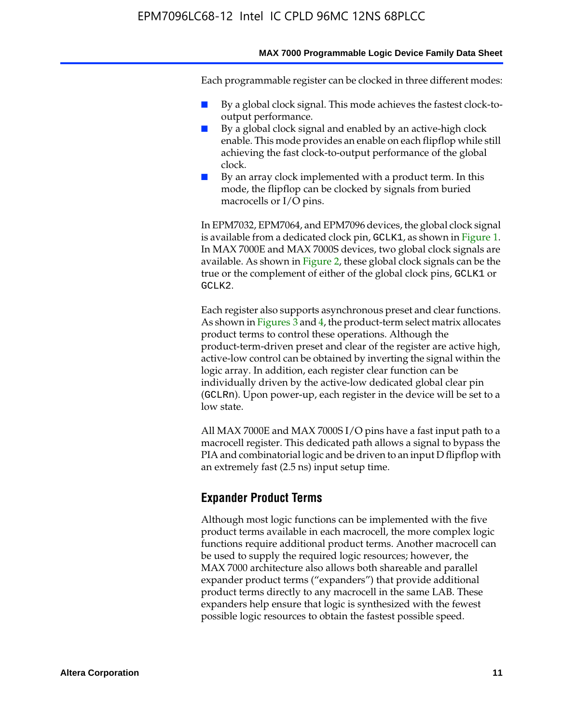#### **MAX 7000 Programmable Logic Device Family Data Sheet**

Each programmable register can be clocked in three different modes:

- By a global clock signal. This mode achieves the fastest clock-tooutput performance.
- By a global clock signal and enabled by an active-high clock enable. This mode provides an enable on each flipflop while still achieving the fast clock-to-output performance of the global clock.
- By an array clock implemented with a product term. In this mode, the flipflop can be clocked by signals from buried macrocells or I/O pins.

In EPM7032, EPM7064, and EPM7096 devices, the global clock signal is available from a dedicated clock pin, GCLK1, as shown in Figure 1. In MAX 7000E and MAX 7000S devices, two global clock signals are available. As shown in Figure 2, these global clock signals can be the true or the complement of either of the global clock pins, GCLK1 or GCLK2.

Each register also supports asynchronous preset and clear functions. As shown in Figures 3 and 4, the product-term select matrix allocates product terms to control these operations. Although the product-term-driven preset and clear of the register are active high, active-low control can be obtained by inverting the signal within the logic array. In addition, each register clear function can be individually driven by the active-low dedicated global clear pin (GCLRn). Upon power-up, each register in the device will be set to a low state.

All MAX 7000E and MAX 7000S I/O pins have a fast input path to a macrocell register. This dedicated path allows a signal to bypass the PIA and combinatorial logic and be driven to an input D flipflop with an extremely fast (2.5 ns) input setup time.

### **Expander Product Terms**

Although most logic functions can be implemented with the five product terms available in each macrocell, the more complex logic functions require additional product terms. Another macrocell can be used to supply the required logic resources; however, the MAX 7000 architecture also allows both shareable and parallel expander product terms ("expanders") that provide additional product terms directly to any macrocell in the same LAB. These expanders help ensure that logic is synthesized with the fewest possible logic resources to obtain the fastest possible speed.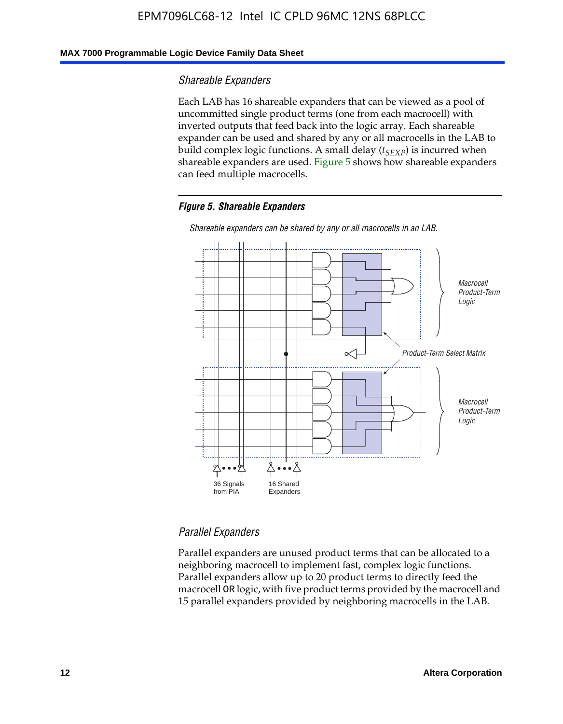### **MAX 7000 Programmable Logic Device Family Data Sheet**

#### *Shareable Expanders*

Each LAB has 16 shareable expanders that can be viewed as a pool of uncommitted single product terms (one from each macrocell) with inverted outputs that feed back into the logic array. Each shareable expander can be used and shared by any or all macrocells in the LAB to build complex logic functions. A small delay ( $t_{SEXP}$ ) is incurred when shareable expanders are used. Figure 5 shows how shareable expanders can feed multiple macrocells.

#### *Figure 5. Shareable Expanders*



*Shareable expanders can be shared by any or all macrocells in an LAB.*

### *Parallel Expanders*

Parallel expanders are unused product terms that can be allocated to a neighboring macrocell to implement fast, complex logic functions. Parallel expanders allow up to 20 product terms to directly feed the macrocell OR logic, with five product terms provided by the macrocell and 15 parallel expanders provided by neighboring macrocells in the LAB.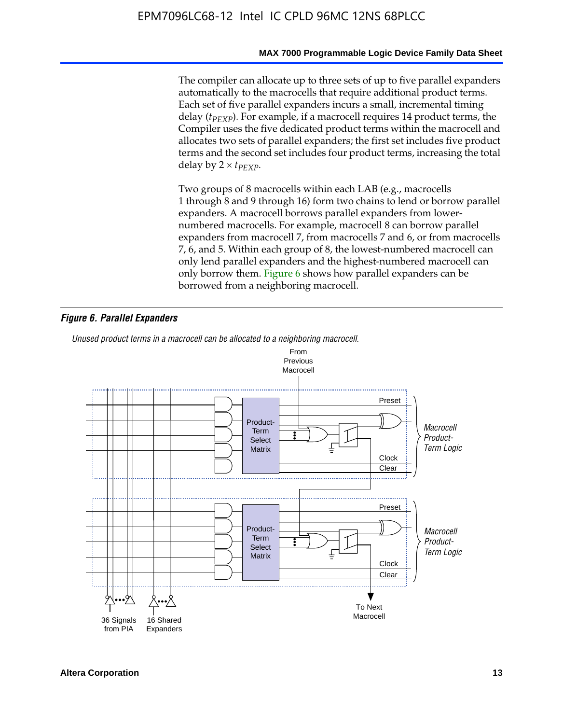#### **MAX 7000 Programmable Logic Device Family Data Sheet**

The compiler can allocate up to three sets of up to five parallel expanders automatically to the macrocells that require additional product terms. Each set of five parallel expanders incurs a small, incremental timing delay (*t<sub>PEXP</sub>*). For example, if a macrocell requires 14 product terms, the Compiler uses the five dedicated product terms within the macrocell and allocates two sets of parallel expanders; the first set includes five product terms and the second set includes four product terms, increasing the total delay by  $2 \times t_{PFXP}$ .

Two groups of 8 macrocells within each LAB (e.g., macrocells 1 through 8 and 9 through 16) form two chains to lend or borrow parallel expanders. A macrocell borrows parallel expanders from lowernumbered macrocells. For example, macrocell 8 can borrow parallel expanders from macrocell 7, from macrocells 7 and 6, or from macrocells 7, 6, and 5. Within each group of 8, the lowest-numbered macrocell can only lend parallel expanders and the highest-numbered macrocell can only borrow them. Figure 6 shows how parallel expanders can be borrowed from a neighboring macrocell.

#### *Figure 6. Parallel Expanders*

*Unused product terms in a macrocell can be allocated to a neighboring macrocell.*

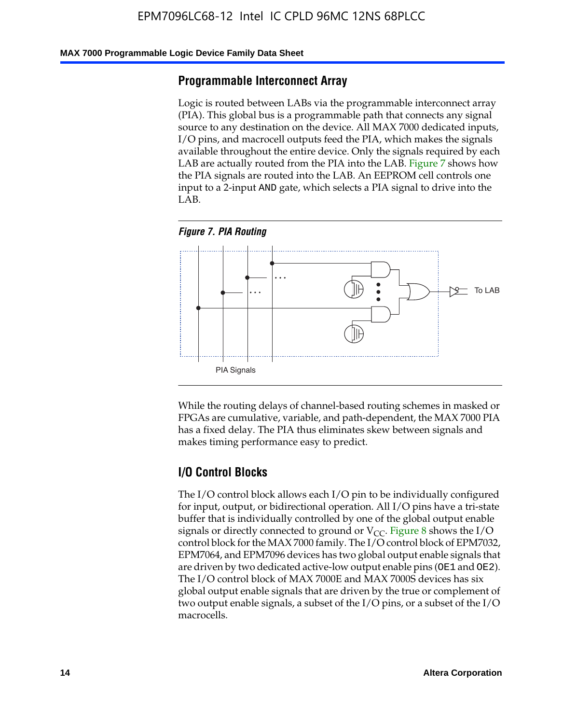#### **MAX 7000 Programmable Logic Device Family Data Sheet**

### **Programmable Interconnect Array**

Logic is routed between LABs via the programmable interconnect array (PIA). This global bus is a programmable path that connects any signal source to any destination on the device. All MAX 7000 dedicated inputs, I/O pins, and macrocell outputs feed the PIA, which makes the signals available throughout the entire device. Only the signals required by each LAB are actually routed from the PIA into the LAB. Figure 7 shows how the PIA signals are routed into the LAB. An EEPROM cell controls one input to a 2-input AND gate, which selects a PIA signal to drive into the LAB.





While the routing delays of channel-based routing schemes in masked or FPGAs are cumulative, variable, and path-dependent, the MAX 7000 PIA has a fixed delay. The PIA thus eliminates skew between signals and makes timing performance easy to predict.

### **I/O Control Blocks**

The I/O control block allows each I/O pin to be individually configured for input, output, or bidirectional operation. All I/O pins have a tri-state buffer that is individually controlled by one of the global output enable signals or directly connected to ground or  $V_{CC}$ . Figure 8 shows the I/O control block for the MAX 7000 family. The I/O control block of EPM7032, EPM7064, and EPM7096 devices has two global output enable signals that are driven by two dedicated active-low output enable pins (OE1 and OE2). The I/O control block of MAX 7000E and MAX 7000S devices has six global output enable signals that are driven by the true or complement of two output enable signals, a subset of the I/O pins, or a subset of the I/O macrocells.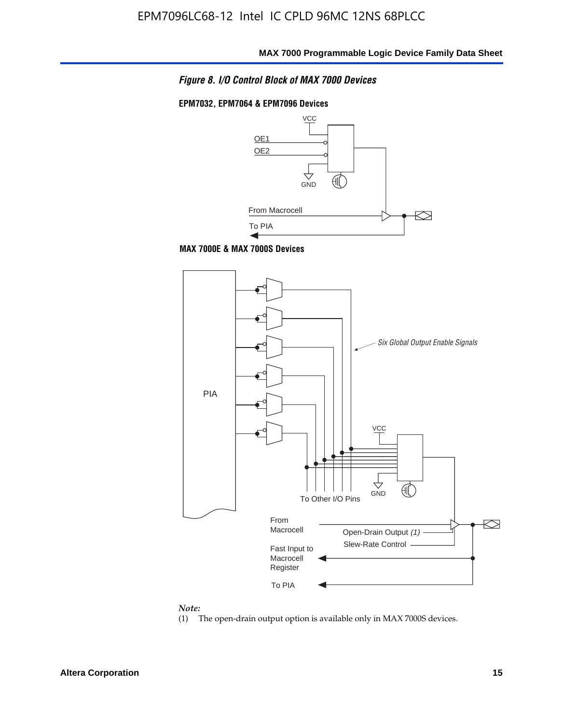

### **EPM7032, EPM7064 & EPM7096 Devices**



**MAX 7000E & MAX 7000S Devices**



#### *Note:*

(1) The open-drain output option is available only in MAX 7000S devices.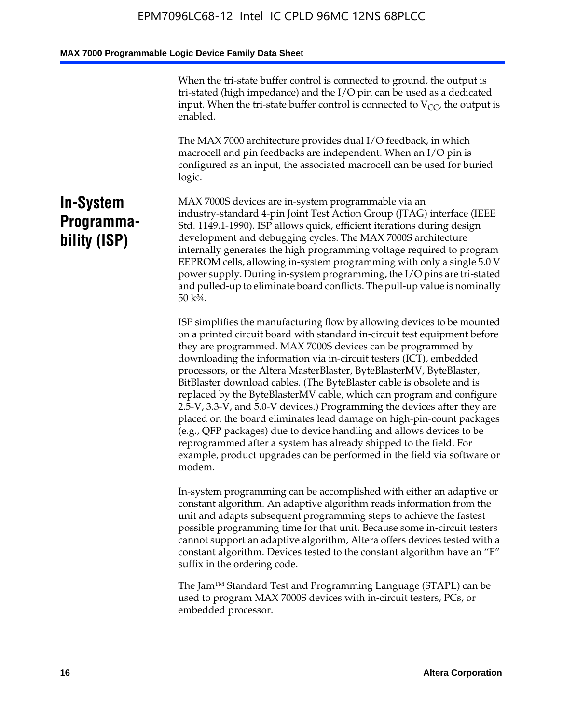When the tri-state buffer control is connected to ground, the output is tri-stated (high impedance) and the I/O pin can be used as a dedicated input. When the tri-state buffer control is connected to  $V_{CC}$ , the output is enabled.

The MAX 7000 architecture provides dual I/O feedback, in which macrocell and pin feedbacks are independent. When an I/O pin is configured as an input, the associated macrocell can be used for buried logic.

### **In-System Programmability (ISP)**

MAX 7000S devices are in-system programmable via an industry-standard 4-pin Joint Test Action Group (JTAG) interface (IEEE Std. 1149.1-1990). ISP allows quick, efficient iterations during design development and debugging cycles. The MAX 7000S architecture internally generates the high programming voltage required to program EEPROM cells, allowing in-system programming with only a single 5.0 V power supply. During in-system programming, the I/O pins are tri-stated and pulled-up to eliminate board conflicts. The pull-up value is nominally 50 k¾.

ISP simplifies the manufacturing flow by allowing devices to be mounted on a printed circuit board with standard in-circuit test equipment before they are programmed. MAX 7000S devices can be programmed by downloading the information via in-circuit testers (ICT), embedded processors, or the Altera MasterBlaster, ByteBlasterMV, ByteBlaster, BitBlaster download cables. (The ByteBlaster cable is obsolete and is replaced by the ByteBlasterMV cable, which can program and configure 2.5-V, 3.3-V, and 5.0-V devices.) Programming the devices after they are placed on the board eliminates lead damage on high-pin-count packages (e.g., QFP packages) due to device handling and allows devices to be reprogrammed after a system has already shipped to the field. For example, product upgrades can be performed in the field via software or modem.

In-system programming can be accomplished with either an adaptive or constant algorithm. An adaptive algorithm reads information from the unit and adapts subsequent programming steps to achieve the fastest possible programming time for that unit. Because some in-circuit testers cannot support an adaptive algorithm, Altera offers devices tested with a constant algorithm. Devices tested to the constant algorithm have an "F" suffix in the ordering code.

The Jam™ Standard Test and Programming Language (STAPL) can be used to program MAX 7000S devices with in-circuit testers, PCs, or embedded processor.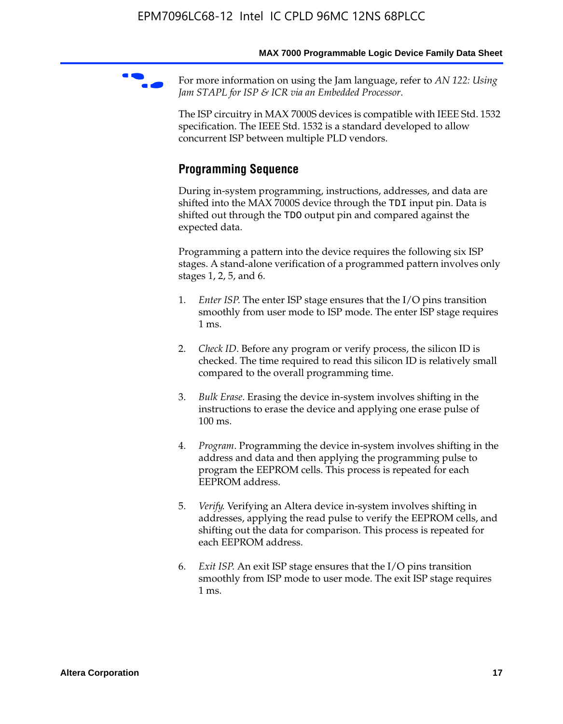For more information on using the Jam language, refer to *AN* 122: Using *Jam STAPL for ISP & ICR via an Embedded Processor*.

The ISP circuitry in MAX 7000S devices is compatible with IEEE Std. 1532 specification. The IEEE Std. 1532 is a standard developed to allow concurrent ISP between multiple PLD vendors.

### **Programming Sequence**

During in-system programming, instructions, addresses, and data are shifted into the MAX 7000S device through the TDI input pin. Data is shifted out through the TDO output pin and compared against the expected data.

Programming a pattern into the device requires the following six ISP stages. A stand-alone verification of a programmed pattern involves only stages 1, 2, 5, and 6.

- 1. *Enter ISP*. The enter ISP stage ensures that the I/O pins transition smoothly from user mode to ISP mode. The enter ISP stage requires 1 ms.
- 2. *Check ID*. Before any program or verify process, the silicon ID is checked. The time required to read this silicon ID is relatively small compared to the overall programming time.
- 3. *Bulk Erase*. Erasing the device in-system involves shifting in the instructions to erase the device and applying one erase pulse of 100 ms.
- 4. *Program*. Programming the device in-system involves shifting in the address and data and then applying the programming pulse to program the EEPROM cells. This process is repeated for each EEPROM address.
- 5. *Verify*. Verifying an Altera device in-system involves shifting in addresses, applying the read pulse to verify the EEPROM cells, and shifting out the data for comparison. This process is repeated for each EEPROM address.
- 6. *Exit ISP*. An exit ISP stage ensures that the I/O pins transition smoothly from ISP mode to user mode. The exit ISP stage requires 1 ms.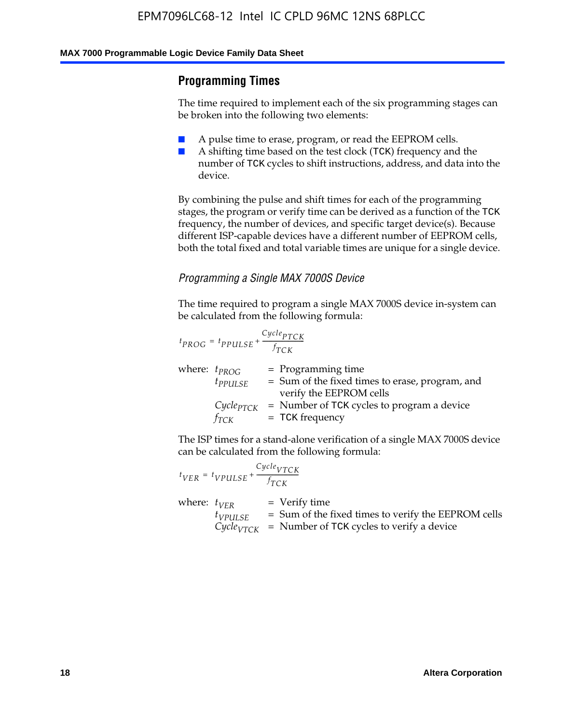### **Programming Times**

The time required to implement each of the six programming stages can be broken into the following two elements:

- A pulse time to erase, program, or read the EEPROM cells.
- A shifting time based on the test clock (TCK) frequency and the number of TCK cycles to shift instructions, address, and data into the device.

By combining the pulse and shift times for each of the programming stages, the program or verify time can be derived as a function of the TCK frequency, the number of devices, and specific target device(s). Because different ISP-capable devices have a different number of EEPROM cells, both the total fixed and total variable times are unique for a single device.

### *Programming a Single MAX 7000S Device*

The time required to program a single MAX 7000S device in-system can be calculated from the following formula:

$$
t_{PROG} = t_{PPULSE} + \frac{C_{ycle_{PTCK}}}{f_{TCK}}
$$
  
where:  $t_{PROG}$  = Programming time  
 $t_{PPULSE}$  = Sum of the fixed times to erase, program, and  
verify the EEPROM cells  
 $C_{ycle_{PTCK}}$  = Number of TCK cycles to program a device  
 $f_{TCK}$  = TCK frequency

The ISP times for a stand-alone verification of a single MAX 7000S device can be calculated from the following formula:

|                  | $t_{VER} = t_{VPULSE} + \frac{Cycle_{VTCK}}{f_{TCK}}$ |                                                                                                                                 |
|------------------|-------------------------------------------------------|---------------------------------------------------------------------------------------------------------------------------------|
| where: $t_{VFR}$ | $t_{VPULSE}$                                          | = Verify time<br>$=$ Sum of the fixed times to verify the EEPROM cells<br>$CycleVTCK$ = Number of TCK cycles to verify a device |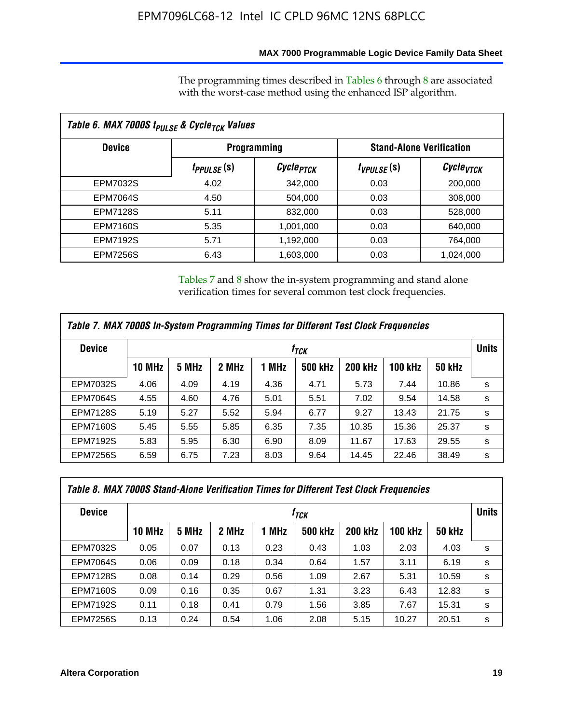### **MAX 7000 Programmable Logic Device Family Data Sheet**

The programming times described in Tables 6 through 8 are associated with the worst-case method using the enhanced ISP algorithm.

| Table 6. MAX 7000S t <sub>PULSE</sub> & Cycle <sub>TCK</sub> Values |                               |                       |                 |                                 |  |  |  |
|---------------------------------------------------------------------|-------------------------------|-----------------------|-----------------|---------------------------------|--|--|--|
| <b>Device</b>                                                       |                               | <b>Programming</b>    |                 | <b>Stand-Alone Verification</b> |  |  |  |
|                                                                     | <i>t<sub>PPULSE</sub></i> (S) | Cycle <sub>PTCK</sub> | $t_{VPULSE}(s)$ | Cycle <sub>VTCK</sub>           |  |  |  |
| EPM7032S                                                            | 4.02                          | 342,000               | 0.03            | 200,000                         |  |  |  |
| <b>EPM7064S</b>                                                     | 4.50                          | 504.000               | 0.03            | 308,000                         |  |  |  |
| <b>EPM7128S</b>                                                     | 5.11                          | 832,000               | 0.03            | 528,000                         |  |  |  |
| <b>EPM7160S</b>                                                     | 5.35                          | 1,001,000             | 0.03            | 640,000                         |  |  |  |
| <b>EPM7192S</b>                                                     | 5.71                          | 1,192,000             | 0.03            | 764,000                         |  |  |  |
| <b>EPM7256S</b>                                                     | 6.43                          | 1,603,000             | 0.03            | 1,024,000                       |  |  |  |

Tables 7 and 8 show the in-system programming and stand alone verification times for several common test clock frequencies.

| Table 7. MAX 7000S In-System Programming Times for Different Test Clock Frequencies |               |       |       |       |                |                |                |               |              |
|-------------------------------------------------------------------------------------|---------------|-------|-------|-------|----------------|----------------|----------------|---------------|--------------|
| <b>Device</b><br>† <sub>TCK</sub>                                                   |               |       |       |       |                |                |                |               | <b>Units</b> |
|                                                                                     | <b>10 MHz</b> | 5 MHz | 2 MHz | 1 MHz | <b>500 kHz</b> | <b>200 kHz</b> | <b>100 kHz</b> | <b>50 kHz</b> |              |
| <b>EPM7032S</b>                                                                     | 4.06          | 4.09  | 4.19  | 4.36  | 4.71           | 5.73           | 7.44           | 10.86         | s            |
| <b>EPM7064S</b>                                                                     | 4.55          | 4.60  | 4.76  | 5.01  | 5.51           | 7.02           | 9.54           | 14.58         | s            |
| <b>EPM7128S</b>                                                                     | 5.19          | 5.27  | 5.52  | 5.94  | 6.77           | 9.27           | 13.43          | 21.75         | s            |
| <b>EPM7160S</b>                                                                     | 5.45          | 5.55  | 5.85  | 6.35  | 7.35           | 10.35          | 15.36          | 25.37         | s            |
| <b>EPM7192S</b>                                                                     | 5.83          | 5.95  | 6.30  | 6.90  | 8.09           | 11.67          | 17.63          | 29.55         | s            |
| <b>EPM7256S</b>                                                                     | 6.59          | 6.75  | 7.23  | 8.03  | 9.64           | 14.45          | 22.46          | 38.49         | s            |

| Table 8. MAX 7000S Stand-Alone Verification Times for Different Test Clock Frequencies |                  |       |       |       |                |                |                |               |   |
|----------------------------------------------------------------------------------------|------------------|-------|-------|-------|----------------|----------------|----------------|---------------|---|
| <b>Device</b>                                                                          | † <sub>TCK</sub> |       |       |       |                |                |                |               |   |
|                                                                                        | <b>10 MHz</b>    | 5 MHz | 2 MHz | 1 MHz | <b>500 kHz</b> | <b>200 kHz</b> | <b>100 kHz</b> | <b>50 kHz</b> |   |
| <b>EPM7032S</b>                                                                        | 0.05             | 0.07  | 0.13  | 0.23  | 0.43           | 1.03           | 2.03           | 4.03          | s |
| <b>EPM7064S</b>                                                                        | 0.06             | 0.09  | 0.18  | 0.34  | 0.64           | 1.57           | 3.11           | 6.19          | s |
| <b>EPM7128S</b>                                                                        | 0.08             | 0.14  | 0.29  | 0.56  | 1.09           | 2.67           | 5.31           | 10.59         | s |
| <b>EPM7160S</b>                                                                        | 0.09             | 0.16  | 0.35  | 0.67  | 1.31           | 3.23           | 6.43           | 12.83         | s |
| <b>EPM7192S</b>                                                                        | 0.11             | 0.18  | 0.41  | 0.79  | 1.56           | 3.85           | 7.67           | 15.31         | s |
| <b>EPM7256S</b>                                                                        | 0.13             | 0.24  | 0.54  | 1.06  | 2.08           | 5.15           | 10.27          | 20.51         | s |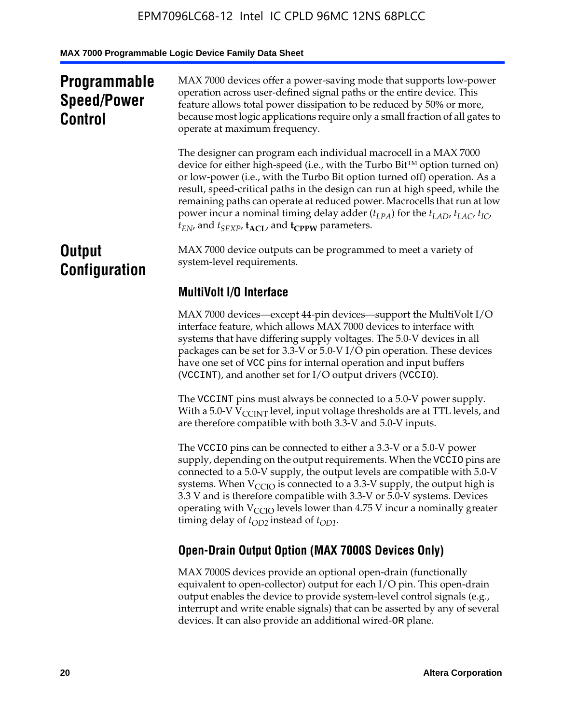## **Programmable Speed/Power Control**

MAX 7000 devices offer a power-saving mode that supports low-power operation across user-defined signal paths or the entire device. This feature allows total power dissipation to be reduced by 50% or more, because most logic applications require only a small fraction of all gates to operate at maximum frequency.

The designer can program each individual macrocell in a MAX 7000 device for either high-speed (i.e., with the Turbo  $Bit^{TM}$  option turned on) or low-power (i.e., with the Turbo Bit option turned off) operation. As a result, speed-critical paths in the design can run at high speed, while the remaining paths can operate at reduced power. Macrocells that run at low power incur a nominal timing delay adder  $(t_{LPA})$  for the  $t_{LAD}$ ,  $t_{LAC}$ ,  $t_{IC}$ ,  $t_{EN}$ , and  $t_{SEXP}$ ,  $t_{ACL}$ , and  $t_{CPPW}$  parameters.

### **Output Configuration**

MAX 7000 device outputs can be programmed to meet a variety of system-level requirements.

### **MultiVolt I/O Interface**

MAX 7000 devices—except 44-pin devices—support the MultiVolt I/O interface feature, which allows MAX 7000 devices to interface with systems that have differing supply voltages. The 5.0-V devices in all packages can be set for 3.3-V or 5.0-V I/O pin operation. These devices have one set of VCC pins for internal operation and input buffers (VCCINT), and another set for I/O output drivers (VCCIO).

The VCCINT pins must always be connected to a 5.0-V power supply. With a 5.0-V  $V_{\text{CCINT}}$  level, input voltage thresholds are at TTL levels, and are therefore compatible with both 3.3-V and 5.0-V inputs.

The VCCIO pins can be connected to either a 3.3-V or a 5.0-V power supply, depending on the output requirements. When the VCCIO pins are connected to a 5.0-V supply, the output levels are compatible with 5.0-V systems. When  $V_{\text{CGO}}$  is connected to a 3.3-V supply, the output high is 3.3 V and is therefore compatible with 3.3-V or 5.0-V systems. Devices operating with  $V_{\text{CCIO}}$  levels lower than 4.75 V incur a nominally greater timing delay of  $t_{OD2}$  instead of  $t_{OD1}$ .

### **Open-Drain Output Option (MAX 7000S Devices Only)**

MAX 7000S devices provide an optional open-drain (functionally equivalent to open-collector) output for each I/O pin. This open-drain output enables the device to provide system-level control signals (e.g., interrupt and write enable signals) that can be asserted by any of several devices. It can also provide an additional wired-OR plane.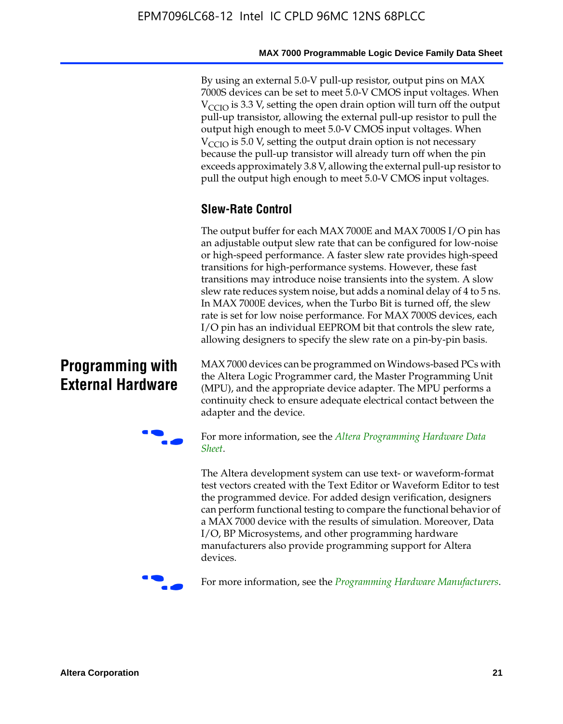By using an external 5.0-V pull-up resistor, output pins on MAX 7000S devices can be set to meet 5.0-V CMOS input voltages. When  $V<sub>CCIO</sub>$  is 3.3 V, setting the open drain option will turn off the output pull-up transistor, allowing the external pull-up resistor to pull the output high enough to meet 5.0-V CMOS input voltages. When  $V_{\text{CCIO}}$  is 5.0 V, setting the output drain option is not necessary because the pull-up transistor will already turn off when the pin exceeds approximately 3.8 V, allowing the external pull-up resistor to pull the output high enough to meet 5.0-V CMOS input voltages.

### **Slew-Rate Control**

The output buffer for each MAX 7000E and MAX 7000S I/O pin has an adjustable output slew rate that can be configured for low-noise or high-speed performance. A faster slew rate provides high-speed transitions for high-performance systems. However, these fast transitions may introduce noise transients into the system. A slow slew rate reduces system noise, but adds a nominal delay of 4 to 5 ns. In MAX 7000E devices, when the Turbo Bit is turned off, the slew rate is set for low noise performance. For MAX 7000S devices, each I/O pin has an individual EEPROM bit that controls the slew rate, allowing designers to specify the slew rate on a pin-by-pin basis.

### **Programming with External Hardware**

[MAX](http://www.altera.com/literature/ds/dspghd.pdf) 7000 devices can be prog[rammed on Windows-based PCs with](http://www.altera.com/literature/ds/dspghd.pdf)  the Altera Logic Programmer card, the Master Programming Unit (MPU), and the appropriate device adapter. The MPU performs a continuity check to ensure adequate electrical contact between the adapter and the device.



For more information, see the *Altera Programming Hardware Data Sheet*.

The Altera development system can use text- or waveform-format test vectors created with the Text Editor or Waveform Editor to test the programmed device. For added design verification, designers can perform functional testing to compare the functional behavior of a MAX 7000 device with the results of simulation. Moreover, Data I/O, BP Microsystems, and other programming hardware manufacturers also provide programming support for Altera devices.



For more information, see the *Programming Hardware Manufacturers*.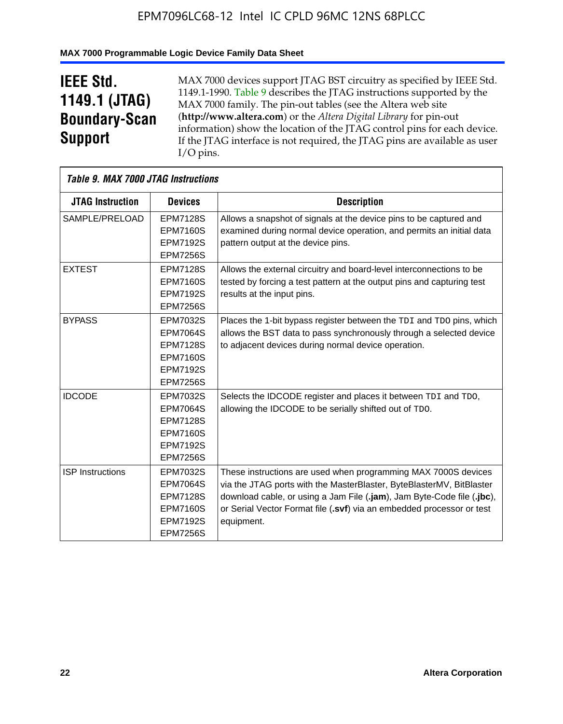### **MAX 7000 Programmable Logic Device Family Data Sheet**

## **IEEE Std. 1149.1 (JTAG) Boundary-Scan Support**

 $\mathsf{r}$ 

MAX 7000 devices support JTAG BST circuitry as specified by IEEE Std. 1149.1-1990. Table 9 describes the JTAG instructions supported by the MAX 7000 family. The pin-out tables (see the Altera web site (**http://www.altera.com**) or the *Altera Digital Library* for pin-out information) show the location of the JTAG control pins for each device. If the JTAG interface is not required, the JTAG pins are available as user I/O pins.

| Table 9. MAX 7000 JTAG Instructions |                                                                                                                |                                                                                                                                                                                                                                                                                                         |
|-------------------------------------|----------------------------------------------------------------------------------------------------------------|---------------------------------------------------------------------------------------------------------------------------------------------------------------------------------------------------------------------------------------------------------------------------------------------------------|
| <b>JTAG Instruction</b>             | <b>Devices</b>                                                                                                 | <b>Description</b>                                                                                                                                                                                                                                                                                      |
| SAMPLE/PRELOAD                      | <b>EPM7128S</b><br><b>EPM7160S</b><br><b>EPM7192S</b><br><b>EPM7256S</b>                                       | Allows a snapshot of signals at the device pins to be captured and<br>examined during normal device operation, and permits an initial data<br>pattern output at the device pins.                                                                                                                        |
| <b>EXTEST</b>                       | <b>EPM7128S</b><br><b>EPM7160S</b><br><b>EPM7192S</b><br><b>EPM7256S</b>                                       | Allows the external circuitry and board-level interconnections to be<br>tested by forcing a test pattern at the output pins and capturing test<br>results at the input pins.                                                                                                                            |
| <b>BYPASS</b>                       | EPM7032S<br><b>EPM7064S</b><br><b>EPM7128S</b><br><b>EPM7160S</b><br><b>EPM7192S</b><br><b>EPM7256S</b>        | Places the 1-bit bypass register between the TDI and TDO pins, which<br>allows the BST data to pass synchronously through a selected device<br>to adjacent devices during normal device operation.                                                                                                      |
| <b>IDCODE</b>                       | EPM7032S<br><b>EPM7064S</b><br><b>EPM7128S</b><br><b>EPM7160S</b><br><b>EPM7192S</b><br><b>EPM7256S</b>        | Selects the IDCODE register and places it between TDI and TDO,<br>allowing the IDCODE to be serially shifted out of TDO.                                                                                                                                                                                |
| <b>ISP</b> Instructions             | <b>EPM7032S</b><br><b>EPM7064S</b><br><b>EPM7128S</b><br><b>EPM7160S</b><br><b>EPM7192S</b><br><b>EPM7256S</b> | These instructions are used when programming MAX 7000S devices<br>via the JTAG ports with the MasterBlaster, ByteBlasterMV, BitBlaster<br>download cable, or using a Jam File (.jam), Jam Byte-Code file (.jbc),<br>or Serial Vector Format file (.svf) via an embedded processor or test<br>equipment. |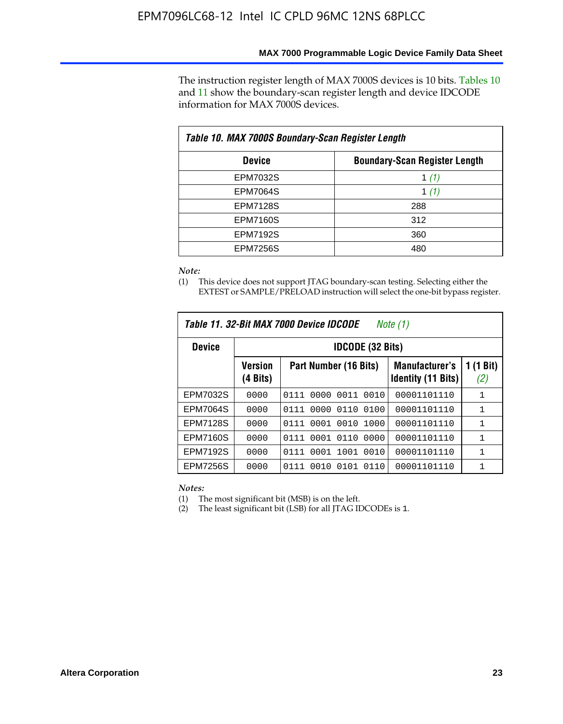The instruction register length of MAX 7000S devices is 10 bits. Tables 10 and 11 show the boundary-scan register length and device IDCODE information for MAX 7000S devices.

| Table 10. MAX 7000S Boundary-Scan Register Length |                                      |  |  |  |  |  |
|---------------------------------------------------|--------------------------------------|--|--|--|--|--|
| <b>Device</b>                                     | <b>Boundary-Scan Register Length</b> |  |  |  |  |  |
| <b>EPM7032S</b>                                   | 1 $(1)$                              |  |  |  |  |  |
| <b>EPM7064S</b>                                   | 1 $(1)$                              |  |  |  |  |  |
| <b>EPM7128S</b>                                   | 288                                  |  |  |  |  |  |
| <b>EPM7160S</b>                                   | 312                                  |  |  |  |  |  |
| <b>EPM7192S</b>                                   | 360                                  |  |  |  |  |  |
| <b>EPM7256S</b>                                   | 480                                  |  |  |  |  |  |

*Note:*

(1) This device does not support JTAG boundary-scan testing. Selecting either the EXTEST or SAMPLE/PRELOAD instruction will select the one-bit bypass register.

| Table 11, 32-Bit MAX 7000 Device IDCODE<br>Note (1) |                            |                              |                                                    |                  |  |  |  |
|-----------------------------------------------------|----------------------------|------------------------------|----------------------------------------------------|------------------|--|--|--|
| <b>Device</b>                                       | <b>IDCODE (32 Bits)</b>    |                              |                                                    |                  |  |  |  |
|                                                     | <b>Version</b><br>(4 Bits) | Part Number (16 Bits)        | <b>Manufacturer's</b><br><b>Identity (11 Bits)</b> | 1 (1 Bit)<br>(2) |  |  |  |
| EPM7032S                                            | 0000                       | 0011<br>0010<br>0111<br>0000 | 00001101110                                        | 1                |  |  |  |
| <b>EPM7064S</b>                                     | 0000                       | 0110<br>0000<br>0100<br>0111 | 00001101110                                        | 1                |  |  |  |
| <b>EPM7128S</b>                                     | 0000                       | 0001 0010<br>1000<br>0111    | 00001101110                                        | $\mathbf{1}$     |  |  |  |
| <b>EPM7160S</b>                                     | 0000                       | 0110<br>0001<br>0000<br>0111 | 00001101110                                        | 1                |  |  |  |
| <b>EPM7192S</b>                                     | 0000                       | 1001<br>0010<br>0111<br>0001 | 00001101110                                        | 1                |  |  |  |
| <b>EPM7256S</b>                                     | 0000                       | 0111<br>0010<br>0101<br>0110 | 00001101110                                        | 1                |  |  |  |

*Notes:*

(1) The most significant bit (MSB) is on the left.

(2) The least significant bit (LSB) for all JTAG IDCODEs is 1.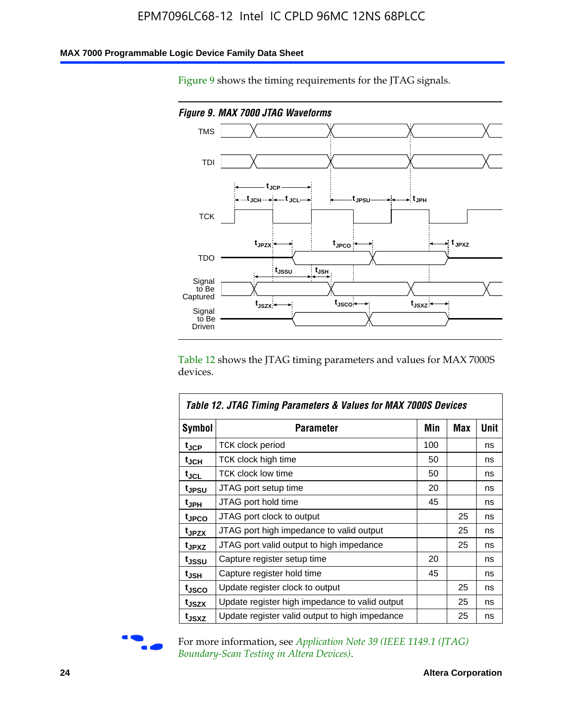### **MAX 7000 Programmable Logic Device Family Data Sheet**

Figure 9 shows the timing requirements for the JTAG signals.



Table 12 shows the JTAG timing parameters and values for MAX 7000S devices.

|                    | Table 12. JTAG Timing Parameters & Values for MAX 7000S Devices |     |     |      |  |  |  |
|--------------------|-----------------------------------------------------------------|-----|-----|------|--|--|--|
| <b>Symbol</b>      | Parameter                                                       | Min | Max | Unit |  |  |  |
| t <sub>JCP</sub>   | <b>TCK clock period</b>                                         | 100 |     | ns   |  |  |  |
| t <sub>JCH</sub>   | TCK clock high time                                             | 50  |     | ns   |  |  |  |
| $t_{JCL}$          | TCK clock low time                                              | 50  |     | ns   |  |  |  |
| t <sub>JPSU</sub>  | JTAG port setup time                                            | 20  |     | ns   |  |  |  |
| t <sub>JPH</sub>   | JTAG port hold time                                             | 45  |     | ns   |  |  |  |
| <sup>t</sup> JPCO  | JTAG port clock to output                                       |     | 25  | ns   |  |  |  |
| t <sub>JPZX</sub>  | JTAG port high impedance to valid output                        |     | 25  | ns   |  |  |  |
| t <sub>JPXZ</sub>  | JTAG port valid output to high impedance                        |     | 25  | ns   |  |  |  |
| tjssu              | Capture register setup time                                     | 20  |     | ns   |  |  |  |
| $t_{\mathsf{JSH}}$ | Capture register hold time                                      | 45  |     | ns   |  |  |  |
| tjsco              | Update register clock to output                                 |     | 25  | ns   |  |  |  |
| t <sub>JSZX</sub>  | Update register high impedance to valid output                  |     | 25  | ns   |  |  |  |
| t <sub>JSXZ</sub>  | Update register valid output to high impedance                  |     | 25  | ns   |  |  |  |



For more information, see *Application Note 39* (IEEE 1149.1 (JTAG) *Boundary-Scan Testing in Altera Devices)*.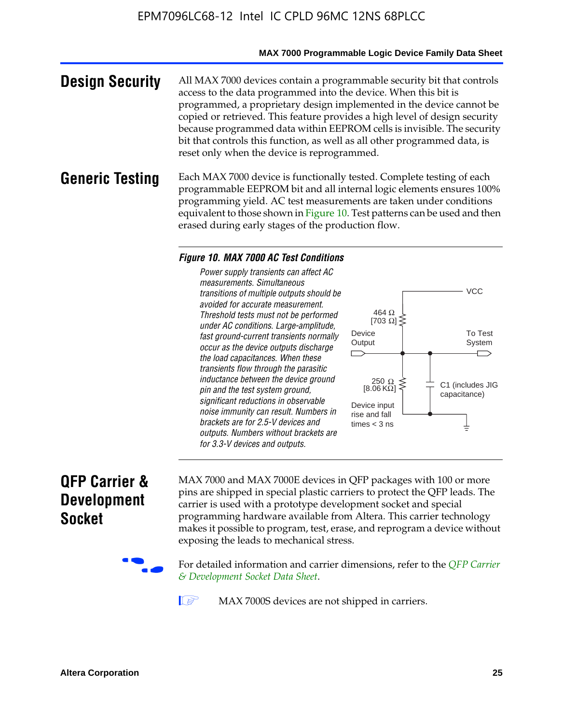#### **MAX 7000 Programmable Logic Device Family Data Sheet**

**Design Security** All MAX 7000 devices contain a programmable security bit that controls access to the data programmed into the device. When this bit is programmed, a proprietary design implemented in the device cannot be copied or retrieved. This feature provides a high level of design security because programmed data within EEPROM cells is invisible. The security bit that controls this function, as well as all other programmed data, is reset only when the device is reprogrammed.

### **Generic Testing** Each MAX 7000 device is functionally tested. Complete testing of each programmable EEPROM bit and all internal logic elements ensures 100% programming yield. AC test measurements are taken under conditions equivalent to those shown in Figure 10. Test patterns can be used and then erased during early stages of the production flow.

#### *Figure 10. MAX 7000 AC Test Conditions*

*Power supply transients can affect AC measurements. Simultaneous transitions of multiple outputs should be avoided for accurate measurement. Threshold tests must not be performed under AC conditions. Large-amplitude, fast ground-current transients normally occur as the device outputs discharge the load capacitances. When these transients flow through the parasitic inductance between the device ground pin and the test system ground, significant reductions in observable noise immunity can result. Numbers in brackets are for 2.5-V devices and outputs. Numbers without brackets are for 3.3-V devices and outputs.*



### **QFP Carrier & Development Socket**

MAX 7000 and MAX 7000E devices in QFP packages with 10[0 or more](http://www.altera.com/literature/ds/dsqfp.pdf)  [pins are shipped in special plas](http://www.altera.com/literature/ds/dsqfp.pdf)tic carriers to protect the QFP leads. The carrier is used with a prototype development socket and special programming hardware available from Altera. This carrier technology makes it possible to program, test, erase, and reprogram a device without exposing the leads to mechanical stress.

For detailed information and carrier dimensions, refer to the *QFP Carrier & Development Socket Data Sheet*.

MAX 7000S devices are not shipped in carriers.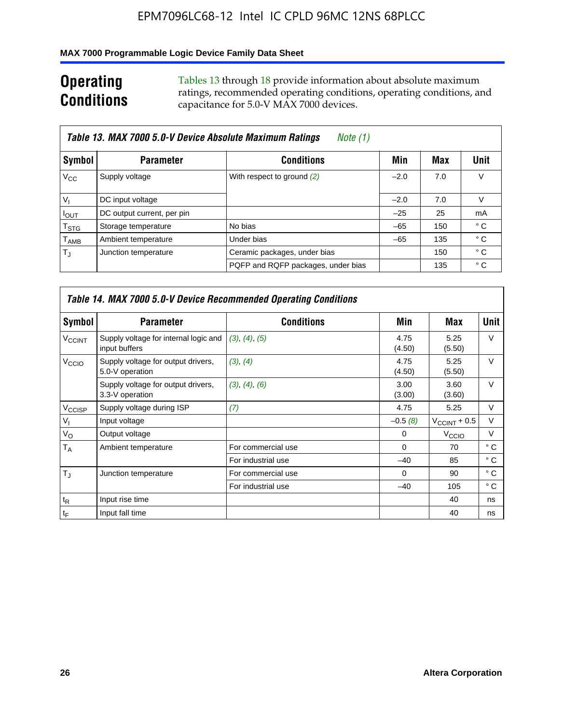### **MAX 7000 Programmable Logic Device Family Data Sheet**

## **Operating Conditions**

Tables 13 through 18 provide information about absolute maximum ratings, recommended operating conditions, operating conditions, and capacitance for 5.0-V MAX 7000 devices.

|                             | Table 13. MAX 7000 5.0-V Device Absolute Maximum Ratings<br>Note (1) |                                    |        |     |      |  |  |  |  |
|-----------------------------|----------------------------------------------------------------------|------------------------------------|--------|-----|------|--|--|--|--|
| Symbol                      | <b>Parameter</b>                                                     | <b>Conditions</b>                  | Min    | Max | Unit |  |  |  |  |
| $V_{\rm CC}$                | Supply voltage                                                       | With respect to ground (2)         | $-2.0$ | 7.0 | V    |  |  |  |  |
| $V_{1}$                     | DC input voltage                                                     |                                    | $-2.0$ | 7.0 | V    |  |  |  |  |
| $I_{\text{OUT}}$            | DC output current, per pin                                           |                                    | $-25$  | 25  | mA   |  |  |  |  |
| $\mathsf{T}_{\text{STG}}$   | Storage temperature                                                  | No bias                            | $-65$  | 150 | ° C  |  |  |  |  |
| $\mathsf{T}_{\mathsf{AMB}}$ | Ambient temperature                                                  | Under bias                         | $-65$  | 135 | ° C  |  |  |  |  |
| $T_{\rm J}$                 | Junction temperature                                                 | Ceramic packages, under bias       |        | 150 | ° C  |  |  |  |  |
|                             |                                                                      | PQFP and RQFP packages, under bias |        | 135 | ° C  |  |  |  |  |

|                          | <b>Table 14. MAX 7000 5.0-V Device Recommended Operating Conditions</b> |                    |                |                       |              |  |  |  |
|--------------------------|-------------------------------------------------------------------------|--------------------|----------------|-----------------------|--------------|--|--|--|
| Symbol                   | <b>Parameter</b>                                                        | <b>Conditions</b>  | Min            | Max                   | <b>Unit</b>  |  |  |  |
| <b>V<sub>CCINT</sub></b> | Supply voltage for internal logic and<br>input buffers                  | (3), (4), (5)      | 4.75<br>(4.50) | 5.25<br>(5.50)        | $\vee$       |  |  |  |
| V <sub>CCIO</sub>        | Supply voltage for output drivers,<br>5.0-V operation                   | (3), (4)           | 4.75<br>(4.50) | 5.25<br>(5.50)        | $\vee$       |  |  |  |
|                          | Supply voltage for output drivers,<br>3.3-V operation                   | (3), (4), (6)      | 3.00<br>(3.00) | 3.60<br>(3.60)        | $\vee$       |  |  |  |
| V <sub>CCISP</sub>       | Supply voltage during ISP                                               | (7)                | 4.75           | 5.25                  | V            |  |  |  |
| $V_{1}$                  | Input voltage                                                           |                    | $-0.5(8)$      | $V_{\rm CCINT}$ + 0.5 | V            |  |  |  |
| $V_{\rm O}$              | Output voltage                                                          |                    | 0              | V <sub>CCIO</sub>     | V            |  |  |  |
| T <sub>A</sub>           | Ambient temperature                                                     | For commercial use | $\Omega$       | 70                    | $^{\circ}$ C |  |  |  |
|                          |                                                                         | For industrial use | $-40$          | 85                    | $^{\circ}$ C |  |  |  |
| $T_{\rm J}$              | Junction temperature                                                    | For commercial use | $\Omega$       | 90                    | ° C          |  |  |  |
|                          |                                                                         | For industrial use | $-40$          | 105                   | ° C          |  |  |  |
| $t_{\mathsf{R}}$         | Input rise time                                                         |                    |                | 40                    | ns           |  |  |  |
| $t_F$                    | Input fall time                                                         |                    |                | 40                    | ns           |  |  |  |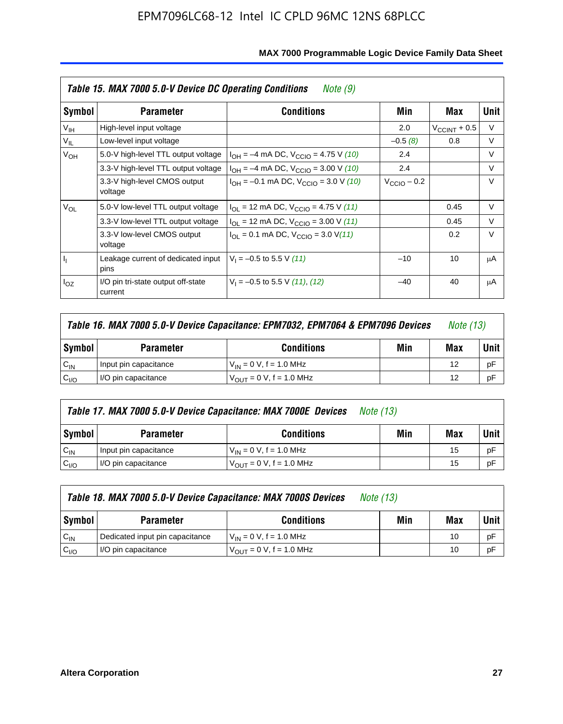|                 | Table 15. MAX 7000 5.0-V Device DC Operating Conditions<br>Note (9) |                                                                           |                 |                          |        |  |  |  |
|-----------------|---------------------------------------------------------------------|---------------------------------------------------------------------------|-----------------|--------------------------|--------|--|--|--|
| Symbol          | <b>Parameter</b>                                                    | <b>Conditions</b>                                                         | Min             | Max                      | Unit   |  |  |  |
| V <sub>IH</sub> | High-level input voltage                                            |                                                                           | 2.0             | $V_{\text{CCINT}} + 0.5$ | V      |  |  |  |
| $V_{IL}$        | Low-level input voltage                                             |                                                                           | $-0.5(8)$       | 0.8                      | V      |  |  |  |
| $V_{OH}$        | 5.0-V high-level TTL output voltage                                 | $I_{OH} = -4$ mA DC, $V_{CClO} = 4.75$ V (10)                             | 2.4             |                          | $\vee$ |  |  |  |
|                 | 3.3-V high-level TTL output voltage                                 | $I_{OH} = -4$ mA DC, $V_{CClO} = 3.00$ V (10)                             | 2.4             |                          | V      |  |  |  |
|                 | 3.3-V high-level CMOS output<br>voltage                             | $I_{OH} = -0.1$ mA DC, $V_{CClO} = 3.0$ V (10)                            | $V_{CCD}$ – 0.2 |                          | $\vee$ |  |  |  |
| $V_{OL}$        | 5.0-V low-level TTL output voltage                                  | $I_{\text{OI}}$ = 12 mA DC, $V_{\text{CCIO}}$ = 4.75 V (11)               |                 | 0.45                     | $\vee$ |  |  |  |
|                 | 3.3-V low-level TTL output voltage                                  | $I_{OL}$ = 12 mA DC, $V_{CCIO}$ = 3.00 V (11)                             |                 | 0.45                     | $\vee$ |  |  |  |
|                 | 3.3-V low-level CMOS output<br>voltage                              | $I_{\text{OI}} = 0.1 \text{ mA DC}, V_{\text{CCIO}} = 3.0 \text{ V} (11)$ |                 | 0.2                      | $\vee$ |  |  |  |
| 4               | Leakage current of dedicated input<br>pins                          | $V_1 = -0.5$ to 5.5 V (11)                                                | $-10$           | 10                       | μA     |  |  |  |
| $I_{OZ}$        | I/O pin tri-state output off-state<br>current                       | $V_1 = -0.5$ to 5.5 V (11), (12)                                          | $-40$           | 40                       | μA     |  |  |  |

| Table 16. MAX 7000 5.0-V Device Capacitance: EPM7032, EPM7064 & EPM7096 Devices |                                                             |                              |  |    | <i>Note (13)</i> |  |  |
|---------------------------------------------------------------------------------|-------------------------------------------------------------|------------------------------|--|----|------------------|--|--|
| Symbol                                                                          | Min<br><b>Conditions</b><br><b>Parameter</b>                |                              |  |    |                  |  |  |
| $C_{IN}$                                                                        | Input pin capacitance                                       | $V_{IN} = 0 V$ , f = 1.0 MHz |  | 12 | рF               |  |  |
| C <sub>I/O</sub>                                                                | $V_{\text{OUT}} = 0 V$ , f = 1.0 MHz<br>I/O pin capacitance |                              |  |    |                  |  |  |

|                  | Table 17. MAX 7000 5.0-V Device Capacitance: MAX 7000E Devices<br><i>Note (13)</i> |                                |     |        |    |  |  |
|------------------|------------------------------------------------------------------------------------|--------------------------------|-----|--------|----|--|--|
| Symbol           | <b>Parameter</b>                                                                   | Min                            | Max | Unit I |    |  |  |
| $C_{IN}$         | Input pin capacitance                                                              | $V_{1N} = 0 V$ , f = 1.0 MHz   |     | 15     | pF |  |  |
| C <sub>I/O</sub> | I/O pin capacitance                                                                | $V_{OIII} = 0 V$ , f = 1.0 MHz |     | 15     | pF |  |  |

|                  | Table 18. MAX 7000 5.0-V Device Capacitance: MAX 7000S Devices<br><i>Note (13)</i> |                                     |     |     |        |  |
|------------------|------------------------------------------------------------------------------------|-------------------------------------|-----|-----|--------|--|
| Symbol           | <b>Parameter</b>                                                                   | <b>Conditions</b>                   | Min | Max | Unit I |  |
| $C_{IN}$         | Dedicated input pin capacitance                                                    | $V_{IN} = 0 V$ , f = 1.0 MHz        |     | 10  | pF     |  |
| C <sub>I/O</sub> | I/O pin capacitance                                                                | $V_{\text{OUT}} = 0$ V, f = 1.0 MHz |     | 10  | pF     |  |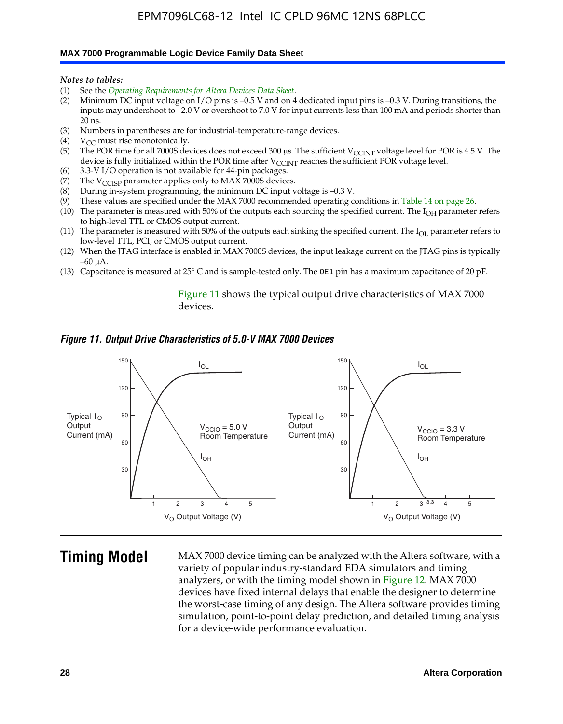#### **MAX 7000 Programmable Logic Device Family Data Sheet**

*Notes to tables:*

- (1) See the *Operating Requirements for Altera Devices Data Sheet*.
- (2) Minimum DC input voltage on I/O pins is –0.5 V and on 4 dedicated input pins is –0.3 V. During transitions, the inputs may undershoot to –2.0 V or overshoot to 7.0 V for input currents less than 100 mA and periods shorter than  $20$  ns.
- (3) Numbers in parentheses are for industrial-temperature-range devices.<br>(4)  $V_{CC}$  must rise monotonically.
- $V_{CC}$  must rise monotonically.
- (5) The POR time for all 7000S devices does not exceed 300 µs. The sufficient V<sub>CCINT</sub> voltage level for POR is 4.5 V. The device is fully initialized within the POR time after  $V_{\text{CCINT}}$  reaches the sufficient POR voltage level.
- (6) 3.3-V I/O operation is not available for 44-pin packages.
- (7) The  $V_{\text{CCISP}}$  parameter applies only to MAX 7000S devices.
- (8) During in-system programming, the minimum DC input voltage is –0.3 V.
- (9) These values are specified under the MAX 7000 recommended operating conditions in Table 14 on page 26.
- (10) The parameter is measured with 50% of the outputs each sourcing the specified current. The  $I_{OH}$  parameter refers to high-level TTL or CMOS output current.
- (11) The parameter is measured with 50% of the outputs each sinking the specified current. The  $I_{OL}$  parameter refers to low-level TTL, PCI, or CMOS output current.
- (12) When the JTAG interface is enabled in MAX 7000S devices, the input leakage current on the JTAG pins is typically –60 μA.
- (13) Capacitance is measured at 25° C and is sample-tested only. The OE1 pin has a maximum capacitance of 20 pF.

Figure 11 shows the typical output drive characteristics of MAX 7000 devices.

#### *Figure 11. Output Drive Characteristics of 5.0-V MAX 7000 Devices*



**Timing Model** MAX 7000 device timing can be analyzed with the Altera software, with a variety of popular industry-standard EDA simulators and timing analyzers, or with the timing model shown in Figure 12. MAX 7000 devices have fixed internal delays that enable the designer to determine the worst-case timing of any design. The Altera software provides timing simulation, point-to-point delay prediction, and detailed timing analysis for a device-wide performance evaluation.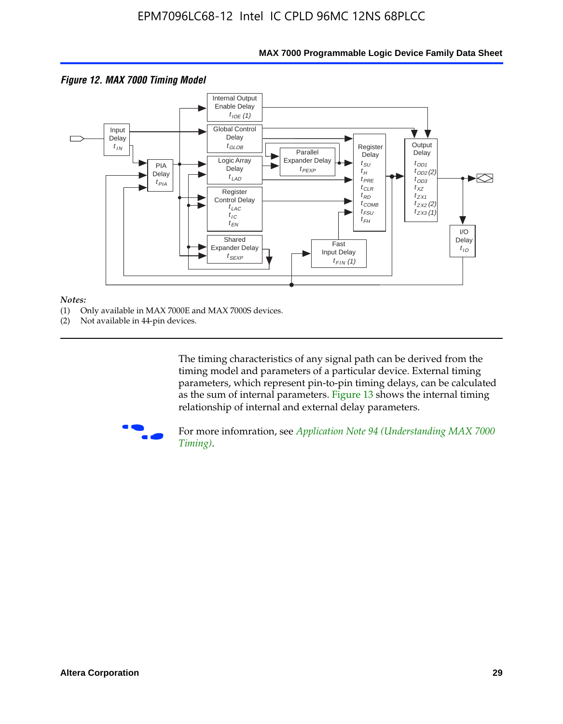

### **MAX 7000 Programmable Logic Device Family Data Sheet**

#### *Notes:*

- (1) Only available in MAX 7000E and MAX 7000S devices.
- (2) Not available in 44-pin devices.

[The tim](http://www.altera.com/literature/an/an094.pdf)ing characteristics [of any signal path can be derived from the](http://www.altera.com/literature/an/an094.pdf)  timing model and parameters of a particular device. External timing parameters, which represent pin-to-pin timing delays, can be calculated as the sum of internal parameters. Figure 13 shows the internal timing relationship of internal and external delay parameters.



For more infomration, see *Application Note 94 (Understanding MAX 7000 Timing)*.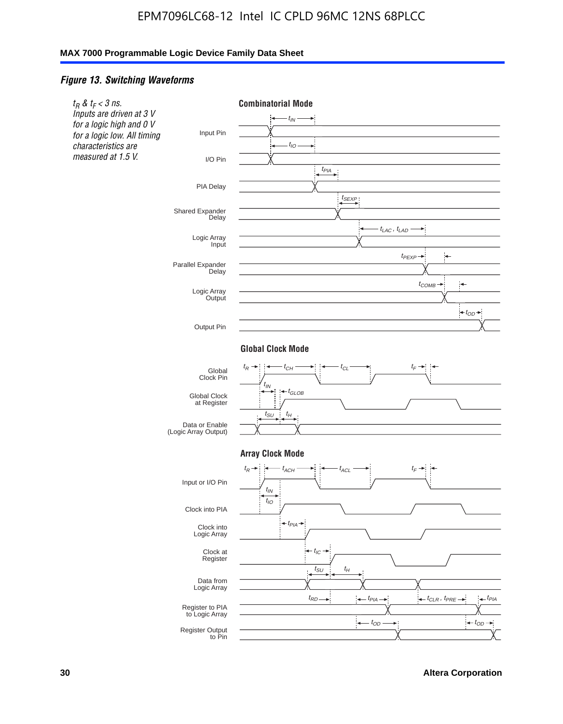#### *Figure 13. Switching Waveforms*

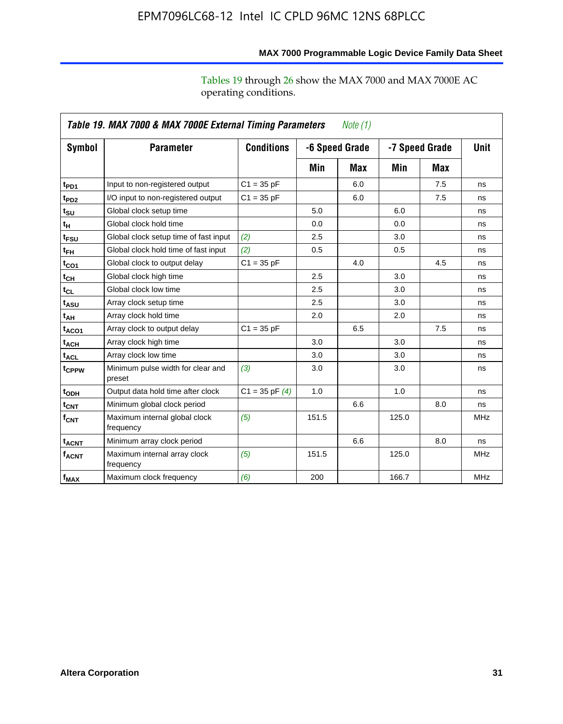operating conditions.

|                   | Table 19. MAX 7000 & MAX 7000E External Timing Parameters<br>Note $(1)$ |                    |       |                |                |     |             |  |
|-------------------|-------------------------------------------------------------------------|--------------------|-------|----------------|----------------|-----|-------------|--|
| Symbol            | <b>Parameter</b>                                                        | <b>Conditions</b>  |       | -6 Speed Grade | -7 Speed Grade |     | <b>Unit</b> |  |
|                   |                                                                         |                    | Min   | Max            | Min            | Max |             |  |
| t <sub>PD1</sub>  | Input to non-registered output                                          | $C1 = 35 pF$       |       | 6.0            |                | 7.5 | ns          |  |
| t <sub>PD2</sub>  | I/O input to non-registered output                                      | $C1 = 35 pF$       |       | 6.0            |                | 7.5 | ns          |  |
| $t_{\text{SU}}$   | Global clock setup time                                                 |                    | 5.0   |                | 6.0            |     | ns          |  |
| $t_H$             | Global clock hold time                                                  |                    | 0.0   |                | 0.0            |     | ns          |  |
| t <sub>FSU</sub>  | Global clock setup time of fast input                                   | (2)                | 2.5   |                | 3.0            |     | ns          |  |
| t <sub>FH</sub>   | Global clock hold time of fast input                                    | (2)                | 0.5   |                | 0.5            |     | ns          |  |
| $t_{CO1}$         | Global clock to output delay                                            | $C1 = 35 pF$       |       | 4.0            |                | 4.5 | ns          |  |
| $t_{\mathsf{CH}}$ | Global clock high time                                                  |                    | 2.5   |                | 3.0            |     | ns          |  |
| $t_{CL}$          | Global clock low time                                                   |                    | 2.5   |                | 3.0            |     | ns          |  |
| t <sub>ASU</sub>  | Array clock setup time                                                  |                    | 2.5   |                | 3.0            |     | ns          |  |
| t <sub>АН</sub>   | Array clock hold time                                                   |                    | 2.0   |                | 2.0            |     | ns          |  |
| $t_{ACO1}$        | Array clock to output delay                                             | $C1 = 35 pF$       |       | 6.5            |                | 7.5 | ns          |  |
| $t_{ACH}$         | Array clock high time                                                   |                    | 3.0   |                | 3.0            |     | ns          |  |
| $t_{\sf ACL}$     | Array clock low time                                                    |                    | 3.0   |                | 3.0            |     | ns          |  |
| t <sub>CPPW</sub> | Minimum pulse width for clear and<br>preset                             | (3)                | 3.0   |                | 3.0            |     | ns          |  |
| t <sub>ODH</sub>  | Output data hold time after clock                                       | $C1 = 35$ pF $(4)$ | 1.0   |                | 1.0            |     | ns          |  |
| $t_{\text{CNT}}$  | Minimum global clock period                                             |                    |       | 6.6            |                | 8.0 | ns          |  |
| $f_{\text{CNT}}$  | Maximum internal global clock<br>frequency                              | (5)                | 151.5 |                | 125.0          |     | <b>MHz</b>  |  |
| t <sub>ACNT</sub> | Minimum array clock period                                              |                    |       | 6.6            |                | 8.0 | ns          |  |
| f <sub>ACNT</sub> | Maximum internal array clock<br>frequency                               | (5)                | 151.5 |                | 125.0          |     | <b>MHz</b>  |  |
| $f_{MAX}$         | Maximum clock frequency                                                 | (6)                | 200   |                | 166.7          |     | <b>MHz</b>  |  |

### **MAX 7000 Programmable Logic Device Family Data Sheet**

Tables 19 through 26 show the MAX 7000 and MAX 7000E AC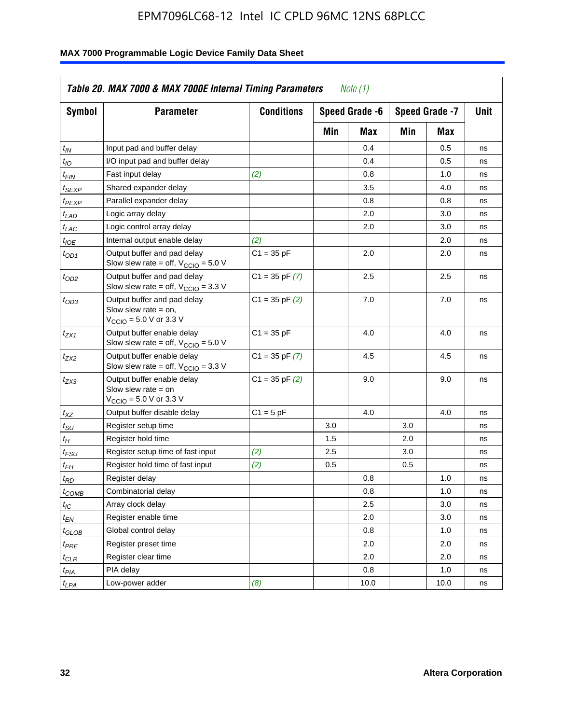| <b>Symbol</b>               | <b>Parameter</b>                                                                                             | <b>Conditions</b>  |     | Speed Grade -6 |     | Speed Grade -7 | Unit |
|-----------------------------|--------------------------------------------------------------------------------------------------------------|--------------------|-----|----------------|-----|----------------|------|
|                             |                                                                                                              |                    | Min | Max            | Min | Max            |      |
| $t_{IN}$                    | Input pad and buffer delay                                                                                   |                    |     | 0.4            |     | 0.5            | ns   |
| $t_{IO}$                    | I/O input pad and buffer delay                                                                               |                    |     | 0.4            |     | 0.5            | ns   |
| $t_{FIN}$                   | Fast input delay                                                                                             | (2)                |     | 0.8            |     | 1.0            | ns   |
| <sup>t</sup> SEXP           | Shared expander delay                                                                                        |                    |     | 3.5            |     | 4.0            | ns   |
| t <sub>PEXP</sub>           | Parallel expander delay                                                                                      |                    |     | 0.8            |     | 0.8            | ns   |
| $t_{LAD}$                   | Logic array delay                                                                                            |                    |     | 2.0            |     | 3.0            | ns   |
| $t_{LAC}$                   | Logic control array delay                                                                                    |                    |     | 2.0            |     | 3.0            | ns   |
| $t_{IOE}$                   | Internal output enable delay                                                                                 | (2)                |     |                |     | 2.0            | ns   |
| $t_{OD1}$                   | Output buffer and pad delay<br>Slow slew rate = off, $V_{\text{CCIO}} = 5.0 V$                               | $C1 = 35 pF$       |     | 2.0            |     | 2.0            | ns   |
| $t_{OD2}$                   | Output buffer and pad delay<br>Slow slew rate = off, $V_{\text{CCIO}} = 3.3$ V                               | $C1 = 35$ pF $(7)$ |     | 2.5            |     | 2.5            | ns   |
| $t_{OD3}$                   | Output buffer and pad delay<br>Slow slew rate $=$ on,<br>$V_{\text{CCIO}} = 5.0 \text{ V or } 3.3 \text{ V}$ | $C1 = 35$ pF $(2)$ |     | 7.0            |     | 7.0            | ns   |
| $t_{ZX1}$                   | Output buffer enable delay<br>Slow slew rate = off, $V_{\text{CCIO}} = 5.0 V$                                | $C1 = 35 pF$       |     | 4.0            |     | 4.0            | ns   |
| $t_{ZX2}$                   | Output buffer enable delay<br>Slow slew rate = off, $V_{\text{CCIO}} = 3.3 \text{ V}$                        | $C1 = 35$ pF $(7)$ |     | 4.5            |     | 4.5            | ns   |
| t <sub>ZX3</sub>            | Output buffer enable delay<br>Slow slew rate $=$ on<br>$V_{\text{CCIO}} = 5.0 \text{ V or } 3.3 \text{ V}$   | $C1 = 35$ pF $(2)$ |     | 9.0            |     | 9.0            | ns   |
| $t_{XZ}$                    | Output buffer disable delay                                                                                  | $C1 = 5 pF$        |     | 4.0            |     | 4.0            | ns   |
| $t_{\scriptstyle\text{SU}}$ | Register setup time                                                                                          |                    | 3.0 |                | 3.0 |                | ns   |
| $t_H$                       | Register hold time                                                                                           |                    | 1.5 |                | 2.0 |                | ns   |
| t <sub>FSU</sub>            | Register setup time of fast input                                                                            | (2)                | 2.5 |                | 3.0 |                | ns   |
| $t_{FH}$                    | Register hold time of fast input                                                                             | (2)                | 0.5 |                | 0.5 |                | ns   |
| t <sub>RD</sub>             | Register delay                                                                                               |                    |     | 0.8            |     | 1.0            | ns   |
| $t_{\mathsf{COMB}}$         | Combinatorial delay                                                                                          |                    |     | 0.8            |     | 1.0            | ns   |
| $t_{IC}$                    | Array clock delay                                                                                            |                    |     | 2.5            |     | 3.0            | ns   |
| $t_{EN}$                    | Register enable time                                                                                         |                    |     | 2.0            |     | 3.0            | ns   |
| t <sub>GLOB</sub>           | Global control delay                                                                                         |                    |     | 0.8            |     | 1.0            | ns   |
| $t_{PRE}$                   | Register preset time                                                                                         |                    |     | 2.0            |     | 2.0            | ns   |
| $t_{\sf CLR}$               | Register clear time                                                                                          |                    |     | 2.0            |     | 2.0            | ns   |
| $t_{PIA}$                   | PIA delay                                                                                                    |                    |     | 0.8            |     | 1.0            | ns   |
| $t_{LPA}$                   | Low-power adder                                                                                              | (8)                |     | 10.0           |     | 10.0           | ns   |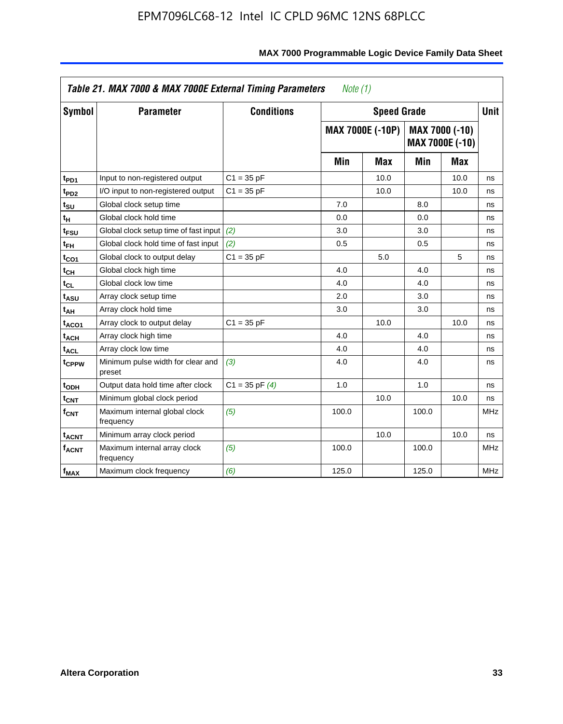|                              | Table 21. MAX 7000 & MAX 7000E External Timing Parameters<br>Note (1) |                    |       |                         |       |                                   |             |  |
|------------------------------|-----------------------------------------------------------------------|--------------------|-------|-------------------------|-------|-----------------------------------|-------------|--|
| Symbol                       | <b>Parameter</b>                                                      | <b>Conditions</b>  |       | <b>Speed Grade</b>      |       |                                   | <b>Unit</b> |  |
|                              |                                                                       |                    |       | <b>MAX 7000E (-10P)</b> |       | MAX 7000 (-10)<br>MAX 7000E (-10) |             |  |
|                              |                                                                       |                    | Min   | Max                     | Min   | Max                               |             |  |
| t <sub>PD1</sub>             | Input to non-registered output                                        | $C1 = 35 pF$       |       | 10.0                    |       | 10.0                              | ns          |  |
| $t_{PD2}$                    | I/O input to non-registered output                                    | $C1 = 35 pF$       |       | 10.0                    |       | 10.0                              | ns          |  |
| t <sub>su</sub>              | Global clock setup time                                               |                    | 7.0   |                         | 8.0   |                                   | ns          |  |
| t <sub>Η</sub>               | Global clock hold time                                                |                    | 0.0   |                         | 0.0   |                                   | ns          |  |
| t <sub>FSU</sub>             | Global clock setup time of fast input (2)                             |                    | 3.0   |                         | 3.0   |                                   | ns          |  |
| $t_{FH}$                     | Global clock hold time of fast input                                  | (2)                | 0.5   |                         | 0.5   |                                   | ns          |  |
| t <sub>CO1</sub>             | Global clock to output delay                                          | $C1 = 35 pF$       |       | 5.0                     |       | 5                                 | ns          |  |
| $\mathfrak{t}_{\textsf{CH}}$ | Global clock high time                                                |                    | 4.0   |                         | 4.0   |                                   | ns          |  |
| t <sub>CL</sub>              | Global clock low time                                                 |                    | 4.0   |                         | 4.0   |                                   | ns          |  |
| t <sub>ASU</sub>             | Array clock setup time                                                |                    | 2.0   |                         | 3.0   |                                   | ns          |  |
| t <sub>АН</sub>              | Array clock hold time                                                 |                    | 3.0   |                         | 3.0   |                                   | ns          |  |
| t <sub>ACO1</sub>            | Array clock to output delay                                           | $C1 = 35 pF$       |       | 10.0                    |       | 10.0                              | ns          |  |
| t <sub>ACH</sub>             | Array clock high time                                                 |                    | 4.0   |                         | 4.0   |                                   | ns          |  |
| $t_{\sf ACL}$                | Array clock low time                                                  |                    | 4.0   |                         | 4.0   |                                   | ns          |  |
| t <sub>CPPW</sub>            | Minimum pulse width for clear and<br>preset                           | (3)                | 4.0   |                         | 4.0   |                                   | ns          |  |
| t <sub>ODH</sub>             | Output data hold time after clock                                     | $C1 = 35$ pF $(4)$ | 1.0   |                         | 1.0   |                                   | ns          |  |
| $t_{\mathsf{CNT}}$           | Minimum global clock period                                           |                    |       | 10.0                    |       | 10.0                              | ns          |  |
| $f_{\mathsf{CNT}}$           | Maximum internal global clock<br>frequency                            | (5)                | 100.0 |                         | 100.0 |                                   | <b>MHz</b>  |  |
| t <sub>ACNT</sub>            | Minimum array clock period                                            |                    |       | 10.0                    |       | 10.0                              | ns          |  |
| f <sub>ACNT</sub>            | Maximum internal array clock<br>frequency                             | (5)                | 100.0 |                         | 100.0 |                                   | <b>MHz</b>  |  |
| $f_{MAX}$                    | Maximum clock frequency                                               | (6)                | 125.0 |                         | 125.0 |                                   | <b>MHz</b>  |  |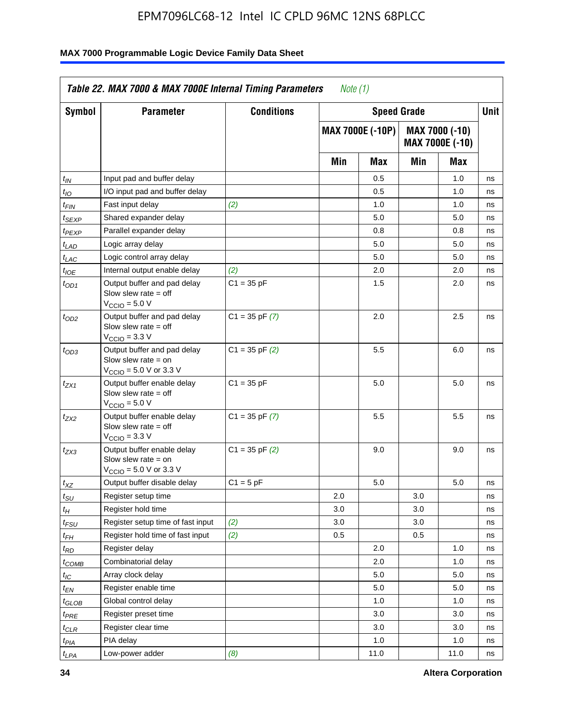| <b>Symbol</b>      | <b>Parameter</b>                                                                                            | <b>Conditions</b>  |     | <b>Speed Grade</b>      |     |                                   | Unit |
|--------------------|-------------------------------------------------------------------------------------------------------------|--------------------|-----|-------------------------|-----|-----------------------------------|------|
|                    |                                                                                                             |                    |     | <b>MAX 7000E (-10P)</b> |     | MAX 7000 (-10)<br>MAX 7000E (-10) |      |
|                    |                                                                                                             |                    | Min | Max                     | Min | Max                               |      |
| $t_{IN}$           | Input pad and buffer delay                                                                                  |                    |     | 0.5                     |     | 1.0                               | ns   |
| $t_{IO}$           | I/O input pad and buffer delay                                                                              |                    |     | 0.5                     |     | 1.0                               | ns   |
| t <sub>FIN</sub>   | Fast input delay                                                                                            | (2)                |     | 1.0                     |     | 1.0                               | ns   |
| <sup>t</sup> SEXP  | Shared expander delay                                                                                       |                    |     | 5.0                     |     | 5.0                               | ns   |
| t <sub>PEXP</sub>  | Parallel expander delay                                                                                     |                    |     | 0.8                     |     | 0.8                               | ns   |
| t <sub>LAD</sub>   | Logic array delay                                                                                           |                    |     | 5.0                     |     | 5.0                               | ns   |
| $t_{LAC}$          | Logic control array delay                                                                                   |                    |     | 5.0                     |     | 5.0                               | ns   |
| $t_{\mathit{IOE}}$ | Internal output enable delay                                                                                | (2)                |     | 2.0                     |     | 2.0                               | ns   |
| $t_{OD1}$          | Output buffer and pad delay<br>Slow slew rate $=$ off<br>$V_{\text{CCIO}} = 5.0 V$                          | $C1 = 35 pF$       |     | 1.5                     |     | 2.0                               | ns   |
| $t_{OD2}$          | Output buffer and pad delay<br>Slow slew rate $=$ off<br>$VCCIO = 3.3 V$                                    | $C1 = 35$ pF $(7)$ |     | 2.0                     |     | 2.5                               | ns   |
| $t_{OD3}$          | Output buffer and pad delay<br>Slow slew rate $=$ on<br>$V_{\text{CCIO}} = 5.0 \text{ V or } 3.3 \text{ V}$ | $C1 = 35$ pF $(2)$ |     | 5.5                     |     | 6.0                               | ns   |
| tzx1               | Output buffer enable delay<br>Slow slew rate $=$ off<br>$V_{\text{CCIO}} = 5.0 V$                           | $C1 = 35 pF$       |     | 5.0                     |     | 5.0                               | ns   |
| t <sub>ZX2</sub>   | Output buffer enable delay<br>Slow slew rate $=$ off<br>$V_{\text{CCIO}} = 3.3 \text{ V}$                   | $C1 = 35$ pF $(7)$ |     | 5.5                     |     | 5.5                               | ns   |
| t <sub>ZX3</sub>   | Output buffer enable delay<br>Slow slew rate $=$ on<br>$V_{\text{CCIO}} = 5.0 \text{ V or } 3.3 \text{ V}$  | $C1 = 35$ pF $(2)$ |     | 9.0                     |     | 9.0                               | ns   |
| $t_{\mathsf{XZ}}$  | Output buffer disable delay                                                                                 | $C1 = 5$ pF        |     | 5.0                     |     | 5.0                               | ns   |
| $t_{\sf SU}$       | Register setup time                                                                                         |                    | 2.0 |                         | 3.0 |                                   | ns   |
| $t_H$              | Register hold time                                                                                          |                    | 3.0 |                         | 3.0 |                                   | ns   |
| t <sub>FSU</sub>   | Register setup time of fast input                                                                           | (2)                | 3.0 |                         | 3.0 |                                   | ns   |
| t <sub>FH</sub>    | Register hold time of fast input                                                                            | (2)                | 0.5 |                         | 0.5 |                                   | ns   |
| $t_{RD}$           | Register delay                                                                                              |                    |     | 2.0                     |     | 1.0                               | ns   |
| $t_{COMB}$         | Combinatorial delay                                                                                         |                    |     | 2.0                     |     | 1.0                               | ns   |
| $t_{\mathcal{IC}}$ | Array clock delay                                                                                           |                    |     | 5.0                     |     | 5.0                               | ns   |
| $t_{EN}$           | Register enable time                                                                                        |                    |     | 5.0                     |     | 5.0                               | ns   |
| t <sub>GLOB</sub>  | Global control delay                                                                                        |                    |     | 1.0                     |     | 1.0                               | ns   |
| $t_{PRE}$          | Register preset time                                                                                        |                    |     | 3.0                     |     | 3.0                               | ns   |
| $t_{\sf CLR}$      | Register clear time                                                                                         |                    |     | 3.0                     |     | 3.0                               | ns   |
| $t_{PIA}$          | PIA delay                                                                                                   |                    |     | 1.0                     |     | 1.0                               | ns   |
| $t_{LPA}$          | Low-power adder                                                                                             | (8)                |     | 11.0                    |     | 11.0                              | ns   |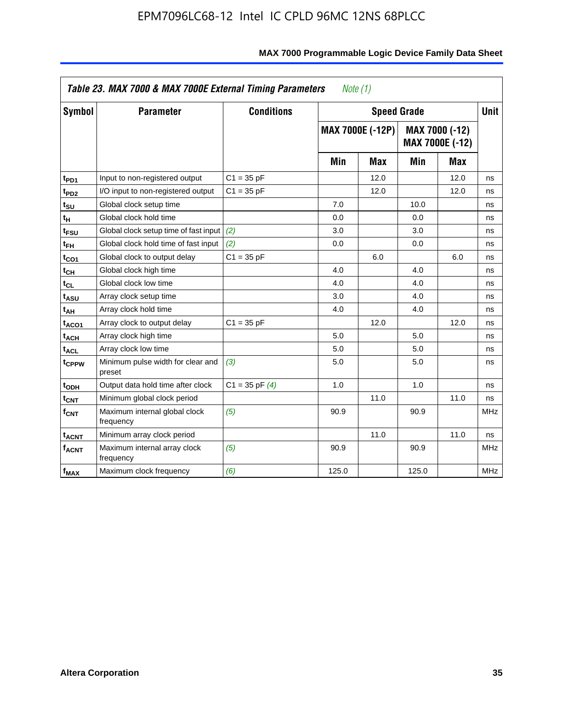| Table 23. MAX 7000 & MAX 7000E External Timing Parameters<br>Note (1) |                                             |                    |       |                         |       |                                          |             |  |  |  |  |
|-----------------------------------------------------------------------|---------------------------------------------|--------------------|-------|-------------------------|-------|------------------------------------------|-------------|--|--|--|--|
| <b>Symbol</b>                                                         | <b>Parameter</b>                            | <b>Conditions</b>  |       | <b>Speed Grade</b>      |       |                                          | <b>Unit</b> |  |  |  |  |
|                                                                       |                                             |                    |       | <b>MAX 7000E (-12P)</b> |       | MAX 7000 (-12)<br><b>MAX 7000E (-12)</b> |             |  |  |  |  |
|                                                                       |                                             |                    | Min   | <b>Max</b>              | Min   | <b>Max</b>                               |             |  |  |  |  |
| t <sub>PD1</sub>                                                      | Input to non-registered output              | $C1 = 35 pF$       |       | 12.0                    |       | 12.0                                     | ns          |  |  |  |  |
| t <sub>PD2</sub>                                                      | I/O input to non-registered output          | $C1 = 35 pF$       |       | 12.0                    |       | 12.0                                     | ns          |  |  |  |  |
| $t_{\scriptstyle\text{SU}}$                                           | Global clock setup time                     |                    | 7.0   |                         | 10.0  |                                          | ns          |  |  |  |  |
| tμ                                                                    | Global clock hold time                      |                    | 0.0   |                         | 0.0   |                                          | ns          |  |  |  |  |
| t <sub>FSU</sub>                                                      | Global clock setup time of fast input       | (2)                | 3.0   |                         | 3.0   |                                          | ns          |  |  |  |  |
| t <sub>FH</sub>                                                       | Global clock hold time of fast input        | (2)                | 0.0   |                         | 0.0   |                                          | ns          |  |  |  |  |
| t <sub>CO1</sub>                                                      | Global clock to output delay                | $C1 = 35 pF$       |       | 6.0                     |       | 6.0                                      | ns          |  |  |  |  |
| t <sub>СН</sub>                                                       | Global clock high time                      |                    | 4.0   |                         | 4.0   |                                          | ns          |  |  |  |  |
| $\mathfrak{t}_{\rm CL}$                                               | Global clock low time                       |                    | 4.0   |                         | 4.0   |                                          | ns          |  |  |  |  |
| t <sub>ASU</sub>                                                      | Array clock setup time                      |                    | 3.0   |                         | 4.0   |                                          | ns          |  |  |  |  |
| t <sub>АН</sub>                                                       | Array clock hold time                       |                    | 4.0   |                         | 4.0   |                                          | ns          |  |  |  |  |
| t <sub>ACO1</sub>                                                     | Array clock to output delay                 | $C1 = 35 pF$       |       | 12.0                    |       | 12.0                                     | ns          |  |  |  |  |
| t <sub>ACH</sub>                                                      | Array clock high time                       |                    | 5.0   |                         | 5.0   |                                          | ns          |  |  |  |  |
| $t_{\sf ACL}$                                                         | Array clock low time                        |                    | 5.0   |                         | 5.0   |                                          | ns          |  |  |  |  |
| t <sub>CPPW</sub>                                                     | Minimum pulse width for clear and<br>preset | (3)                | 5.0   |                         | 5.0   |                                          | ns          |  |  |  |  |
| t <sub>ODH</sub>                                                      | Output data hold time after clock           | $C1 = 35$ pF $(4)$ | 1.0   |                         | 1.0   |                                          | ns          |  |  |  |  |
| $t_{\mathsf{CNT}}$                                                    | Minimum global clock period                 |                    |       | 11.0                    |       | 11.0                                     | ns          |  |  |  |  |
| $f_{\mathsf{CNT}}$                                                    | Maximum internal global clock<br>frequency  | (5)                | 90.9  |                         | 90.9  |                                          | <b>MHz</b>  |  |  |  |  |
| <b>t<sub>ACNT</sub></b>                                               | Minimum array clock period                  |                    |       | 11.0                    |       | 11.0                                     | ns          |  |  |  |  |
| <b>f<sub>ACNT</sub></b>                                               | Maximum internal array clock<br>frequency   | (5)                | 90.9  |                         | 90.9  |                                          | <b>MHz</b>  |  |  |  |  |
| $f_{MAX}$                                                             | Maximum clock frequency                     | (6)                | 125.0 |                         | 125.0 |                                          | <b>MHz</b>  |  |  |  |  |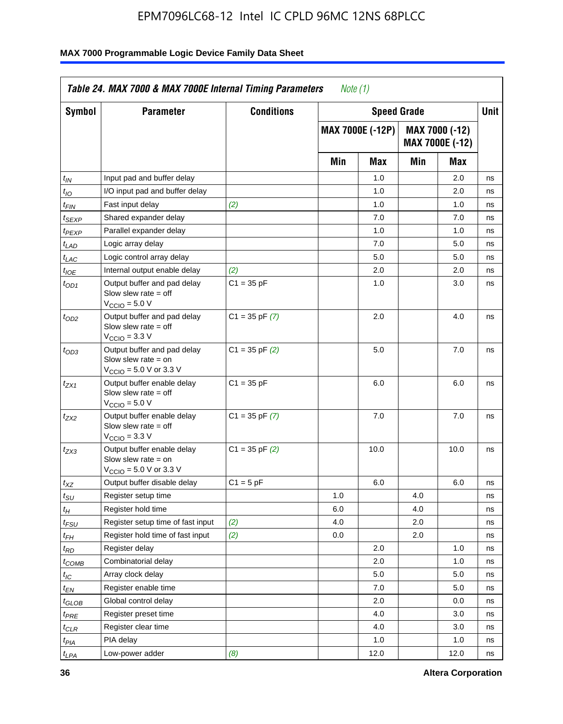| <b>Symbol</b>               | <b>Parameter</b>                                                                                           | <b>Conditions</b>  |     | <b>Speed Grade</b>      |     |                                   | <b>Unit</b> |
|-----------------------------|------------------------------------------------------------------------------------------------------------|--------------------|-----|-------------------------|-----|-----------------------------------|-------------|
|                             |                                                                                                            |                    |     | <b>MAX 7000E (-12P)</b> |     | MAX 7000 (-12)<br>MAX 7000E (-12) |             |
|                             |                                                                                                            |                    | Min | Max                     | Min | Max                               |             |
| t <sub>IN</sub>             | Input pad and buffer delay                                                                                 |                    |     | 1.0                     |     | 2.0                               | ns          |
| $t_{IO}$                    | I/O input pad and buffer delay                                                                             |                    |     | 1.0                     |     | 2.0                               | ns          |
| $t_{\sf FIN}$               | Fast input delay                                                                                           | (2)                |     | 1.0                     |     | 1.0                               | ns          |
| t <sub>SEXP</sub>           | Shared expander delay                                                                                      |                    |     | 7.0                     |     | 7.0                               | ns          |
| $t_{PEXP}$                  | Parallel expander delay                                                                                    |                    |     | 1.0                     |     | 1.0                               | ns          |
| t <sub>LAD</sub>            | Logic array delay                                                                                          |                    |     | 7.0                     |     | 5.0                               | ns          |
| $t_{LAC}$                   | Logic control array delay                                                                                  |                    |     | 5.0                     |     | 5.0                               | ns          |
| $t_{\mathit{IOE}}$          | Internal output enable delay                                                                               | (2)                |     | 2.0                     |     | 2.0                               | ns          |
| $t_{OD1}$                   | Output buffer and pad delay<br>Slow slew rate $=$ off<br>$V_{\text{CCIO}} = 5.0 V$                         | $C1 = 35 pF$       |     | 1.0                     |     | 3.0                               | ns          |
| $t_{OD2}$                   | Output buffer and pad delay<br>Slow slew rate $=$ off<br>$VCCIO = 3.3 V$                                   | $C1 = 35$ pF $(7)$ |     | 2.0                     |     | 4.0                               | ns          |
| $t_{OD3}$                   | Output buffer and pad delay<br>Slow slew rate = on<br>$V_{\text{CCIO}} = 5.0 \text{ V or } 3.3 \text{ V}$  | $C1 = 35$ pF $(2)$ |     | 5.0                     |     | 7.0                               | ns          |
| $t_{ZX1}$                   | Output buffer enable delay<br>Slow slew rate $=$ off<br>$V_{\text{CCIO}} = 5.0 V$                          | $C1 = 35 pF$       |     | 6.0                     |     | 6.0                               | ns          |
| t <sub>ZX2</sub>            | Output buffer enable delay<br>Slow slew rate $=$ off<br>$V_{\text{CCIO}} = 3.3 \text{ V}$                  | $C1 = 35$ pF $(7)$ |     | 7.0                     |     | 7.0                               | ns          |
| $t_{ZX3}$                   | Output buffer enable delay<br>Slow slew rate $=$ on<br>$V_{\text{CCIO}} = 5.0 \text{ V or } 3.3 \text{ V}$ | $C1 = 35$ pF $(2)$ |     | 10.0                    |     | 10.0                              | ns          |
| $t_{XZ}$                    | Output buffer disable delay                                                                                | $C1 = 5 pF$        |     | 6.0                     |     | 6.0                               | ns          |
| $t_{\scriptstyle\text{SU}}$ | Register setup time                                                                                        |                    | 1.0 |                         | 4.0 |                                   | ns          |
| $t_H$                       | Register hold time                                                                                         |                    | 6.0 |                         | 4.0 |                                   | ns          |
| $t_{\mathit{FSU}}$          | Register setup time of fast input                                                                          | (2)                | 4.0 |                         | 2.0 |                                   | ns          |
| t <sub>FH</sub>             | Register hold time of fast input                                                                           | (2)                | 0.0 |                         | 2.0 |                                   | ns          |
| $t_{RD}$                    | Register delay                                                                                             |                    |     | 2.0                     |     | 1.0                               | ns          |
| $t_{COMB}$                  | Combinatorial delay                                                                                        |                    |     | 2.0                     |     | 1.0                               | ns          |
| ЧC                          | Array clock delay                                                                                          |                    |     | $5.0\,$                 |     | 5.0                               | 115         |
| $t_{EN}$                    | Register enable time                                                                                       |                    |     | 7.0                     |     | 5.0                               | ns          |
| $t_{GLOB}$                  | Global control delay                                                                                       |                    |     | 2.0                     |     | 0.0                               | ns          |
| t <sub>PRE</sub>            | Register preset time                                                                                       |                    |     | 4.0                     |     | 3.0                               | ns          |
| $t_{CLR}$                   | Register clear time                                                                                        |                    |     | 4.0                     |     | 3.0                               | ns          |
| $t_{PIA}$                   | PIA delay                                                                                                  |                    |     | 1.0                     |     | 1.0                               | ns          |
| $t_{LPA}$                   | Low-power adder                                                                                            | (8)                |     | 12.0                    |     | 12.0                              | ns          |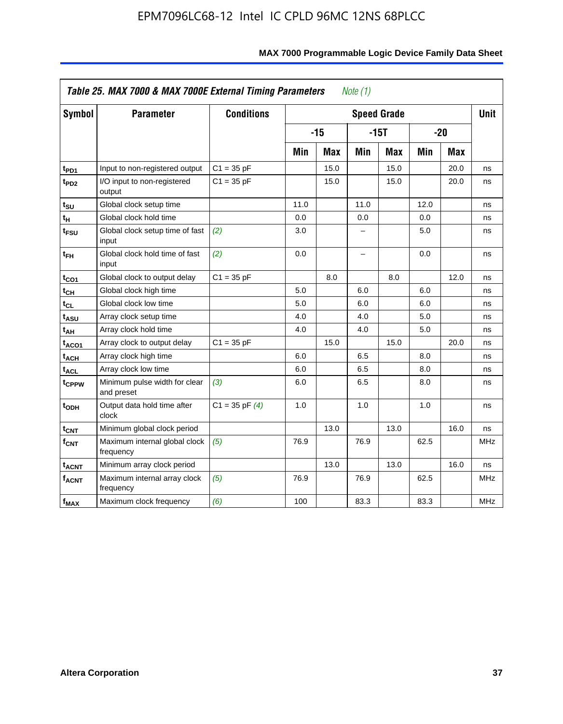| <b>Symbol</b>           | <b>Parameter</b>                            | <b>Conditions</b>  |      |            |                          | <b>Speed Grade</b> |       |            | <b>Unit</b> |
|-------------------------|---------------------------------------------|--------------------|------|------------|--------------------------|--------------------|-------|------------|-------------|
|                         |                                             |                    |      | $-15$      | $-15T$                   |                    | $-20$ |            |             |
|                         |                                             |                    | Min  | <b>Max</b> | Min                      | <b>Max</b>         | Min   | <b>Max</b> |             |
| t <sub>PD1</sub>        | Input to non-registered output              | $C1 = 35 pF$       |      | 15.0       |                          | 15.0               |       | 20.0       | ns          |
| t <sub>PD2</sub>        | I/O input to non-registered<br>output       | $C1 = 35 pF$       |      | 15.0       |                          | 15.0               |       | 20.0       | ns          |
| tsu                     | Global clock setup time                     |                    | 11.0 |            | 11.0                     |                    | 12.0  |            | ns          |
| $t_H$                   | Global clock hold time                      |                    | 0.0  |            | 0.0                      |                    | 0.0   |            | ns          |
| t <sub>FSU</sub>        | Global clock setup time of fast<br>input    | (2)                | 3.0  |            | -                        |                    | 5.0   |            | ns          |
| $t_{FH}$                | Global clock hold time of fast<br>input     | (2)                | 0.0  |            | $\overline{\phantom{0}}$ |                    | 0.0   |            | ns          |
| $t_{CO1}$               | Global clock to output delay                | $C1 = 35 pF$       |      | 8.0        |                          | 8.0                |       | 12.0       | ns          |
| $t_{\mathsf{CH}}$       | Global clock high time                      |                    | 5.0  |            | 6.0                      |                    | 6.0   |            | ns          |
| t <sub>CL</sub>         | Global clock low time                       |                    | 5.0  |            | 6.0                      |                    | 6.0   |            | ns          |
| t <sub>ASU</sub>        | Array clock setup time                      |                    | 4.0  |            | 4.0                      |                    | 5.0   |            | ns          |
| t <sub>АН</sub>         | Array clock hold time                       |                    | 4.0  |            | 4.0                      |                    | 5.0   |            | ns          |
| t <sub>ACO1</sub>       | Array clock to output delay                 | $C1 = 35 pF$       |      | 15.0       |                          | 15.0               |       | 20.0       | ns          |
| $t_{\sf ACH}$           | Array clock high time                       |                    | 6.0  |            | 6.5                      |                    | 8.0   |            | ns          |
| t <sub>ACL</sub>        | Array clock low time                        |                    | 6.0  |            | 6.5                      |                    | 8.0   |            | ns          |
| t <sub>CPPW</sub>       | Minimum pulse width for clear<br>and preset | (3)                | 6.0  |            | 6.5                      |                    | 8.0   |            | ns          |
| $t_{ODH}$               | Output data hold time after<br>clock        | $C1 = 35$ pF $(4)$ | 1.0  |            | 1.0                      |                    | 1.0   |            | ns          |
| $t_{\mathsf{CNT}}$      | Minimum global clock period                 |                    |      | 13.0       |                          | 13.0               |       | 16.0       | ns          |
| f <sub>CNT</sub>        | Maximum internal global clock<br>frequency  | (5)                | 76.9 |            | 76.9                     |                    | 62.5  |            | <b>MHz</b>  |
| <b>t<sub>ACNT</sub></b> | Minimum array clock period                  |                    |      | 13.0       |                          | 13.0               |       | 16.0       | ns          |
| <b>fACNT</b>            | Maximum internal array clock<br>frequency   | (5)                | 76.9 |            | 76.9                     |                    | 62.5  |            | <b>MHz</b>  |
| $f_{MAX}$               | Maximum clock frequency                     | (6)                | 100  |            | 83.3                     |                    | 83.3  |            | MHz         |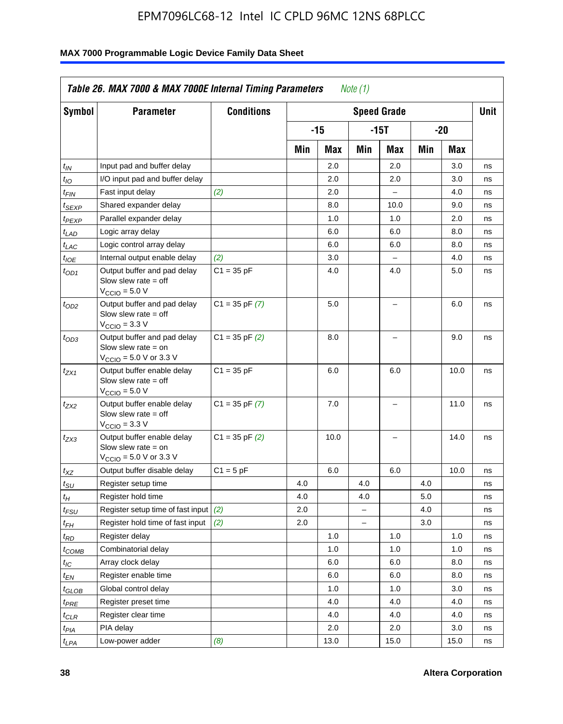| <b>Symbol</b>                 | <b>Parameter</b>                                                                                            | <b>Conditions</b>  |     |      |                          | <b>Speed Grade</b>       |     |      | <b>Unit</b> |
|-------------------------------|-------------------------------------------------------------------------------------------------------------|--------------------|-----|------|--------------------------|--------------------------|-----|------|-------------|
|                               |                                                                                                             |                    |     | -15  |                          | $-15T$                   |     | -20  |             |
|                               |                                                                                                             |                    | Min | Max  | Min                      | Max                      | Min | Max  |             |
| $t_{IN}$                      | Input pad and buffer delay                                                                                  |                    |     | 2.0  |                          | 2.0                      |     | 3.0  | ns          |
| $t_{IO}$                      | I/O input pad and buffer delay                                                                              |                    |     | 2.0  |                          | 2.0                      |     | 3.0  | ns          |
| $t_{\textit{FIN}}$            | Fast input delay                                                                                            | (2)                |     | 2.0  |                          | $\equiv$                 |     | 4.0  | ns          |
| $t_{SEXP}$                    | Shared expander delay                                                                                       |                    |     | 8.0  |                          | 10.0                     |     | 9.0  | ns          |
| t <sub>PEXP</sub>             | Parallel expander delay                                                                                     |                    |     | 1.0  |                          | 1.0                      |     | 2.0  | ns          |
| t <sub>LAD</sub>              | Logic array delay                                                                                           |                    |     | 6.0  |                          | 6.0                      |     | 8.0  | ns          |
| $t_{LAC}$                     | Logic control array delay                                                                                   |                    |     | 6.0  |                          | 6.0                      |     | 8.0  | ns          |
| $t_{IOE}$                     | Internal output enable delay                                                                                | (2)                |     | 3.0  |                          | $\overline{\phantom{0}}$ |     | 4.0  | ns          |
| $t_{OD1}$                     | Output buffer and pad delay<br>Slow slew rate $=$ off<br>$V_{\text{CCIO}} = 5.0 V$                          | $C1 = 35 pF$       |     | 4.0  |                          | 4.0                      |     | 5.0  | ns          |
| $t_{OD2}$                     | Output buffer and pad delay<br>Slow slew rate $=$ off<br>$V_{\text{CCIO}} = 3.3 \text{ V}$                  | $C1 = 35 pF(7)$    |     | 5.0  |                          | $\overline{\phantom{0}}$ |     | 6.0  | ns          |
| $t_{OD3}$                     | Output buffer and pad delay<br>Slow slew rate $=$ on<br>$V_{\text{CCIO}} = 5.0 \text{ V or } 3.3 \text{ V}$ | $C1 = 35$ pF $(2)$ |     | 8.0  |                          |                          |     | 9.0  | ns          |
| $t_{ZX1}$                     | Output buffer enable delay<br>Slow slew rate $=$ off<br>$V_{\text{CCIO}} = 5.0 V$                           | $C1 = 35 pF$       |     | 6.0  |                          | 6.0                      |     | 10.0 | ns          |
| t <sub>ZX2</sub>              | Output buffer enable delay<br>Slow slew rate $=$ off<br>$V_{\text{CCIO}} = 3.3 \text{ V}$                   | $C1 = 35$ pF $(7)$ |     | 7.0  |                          | L,                       |     | 11.0 | ns          |
| t <sub>ZX3</sub>              | Output buffer enable delay<br>Slow slew rate $=$ on<br>$V_{\text{CCIO}} = 5.0 \text{ V or } 3.3 \text{ V}$  | $C1 = 35$ pF $(2)$ |     | 10.0 |                          |                          |     | 14.0 | ns          |
| $t_{\mathsf{XZ}}$             | Output buffer disable delay                                                                                 | $C1 = 5pF$         |     | 6.0  |                          | 6.0                      |     | 10.0 | ns          |
| $t_{\scriptstyle\text{SU}}$   | Register setup time                                                                                         |                    | 4.0 |      | 4.0                      |                          | 4.0 |      | ns          |
| tμ                            | Register hold time                                                                                          |                    | 4.0 |      | 4.0                      |                          | 5.0 |      | ns          |
| t <sub>FSU</sub>              | Register setup time of fast input                                                                           | (2)                | 2.0 |      | $\overline{\phantom{0}}$ |                          | 4.0 |      | ns          |
| t <sub>FH</sub>               | Register hold time of fast input                                                                            | (2)                | 2.0 |      | L.                       |                          | 3.0 |      | ns          |
| $t_{RD}$                      | Register delay                                                                                              |                    |     | 1.0  |                          | 1.0                      |     | 1.0  | ns          |
| $t_{COMB}$                    | Combinatorial delay                                                                                         |                    |     | 1.0  |                          | 1.0                      |     | 1.0  | ns          |
| $t_{IC}$                      | Array clock delay                                                                                           |                    |     | 6.0  |                          | 6.0                      |     | 8.0  | ns          |
| $t_{EN}$                      | Register enable time                                                                                        |                    |     | 6.0  |                          | 6.0                      |     | 8.0  | ns          |
| $t_{\scriptstyle\text{GLOB}}$ | Global control delay                                                                                        |                    |     | 1.0  |                          | 1.0                      |     | 3.0  | ns          |
| $t_{PRE}$                     | Register preset time                                                                                        |                    |     | 4.0  |                          | 4.0                      |     | 4.0  | ns          |
| $t_{\sf CLR}$                 | Register clear time                                                                                         |                    |     | 4.0  |                          | 4.0                      |     | 4.0  | ns          |
| $t_{PIA}$                     | PIA delay                                                                                                   |                    |     | 2.0  |                          | 2.0                      |     | 3.0  | ns          |
| $t_{LPA}$                     | Low-power adder                                                                                             | (8)                |     | 13.0 |                          | 15.0                     |     | 15.0 | ns          |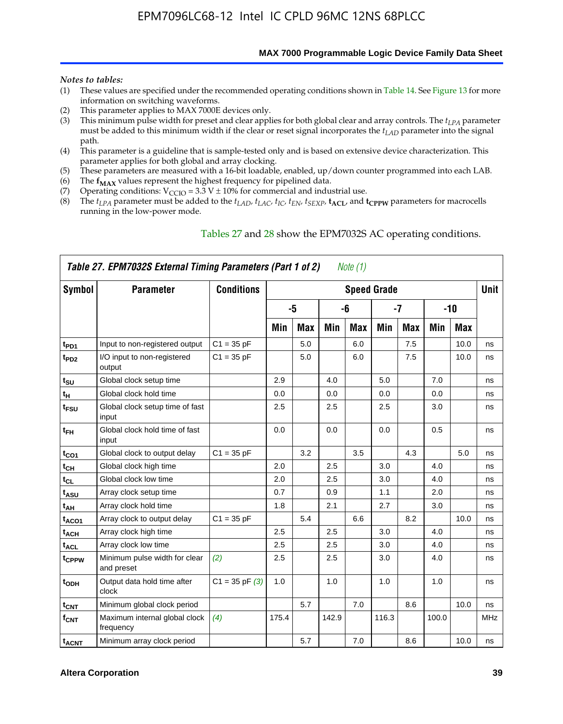**MAX 7000 Programmable Logic Device Family Data Sheet**

#### *Notes to tables:*

- (1) These values are specified under the recommended operating conditions shown in Table 14. See Figure 13 for more information on switching waveforms.
- (2) This parameter applies to MAX 7000E devices only.
- (3) This minimum pulse width for preset and clear applies for both global clear and array controls. The *tLPA* parameter must be added to this minimum width if the clear or reset signal incorporates the  $t_{LAD}$  parameter into the signal path.
- (4) This parameter is a guideline that is sample-tested only and is based on extensive device characterization. This parameter applies for both global and array clocking.
- (5) These parameters are measured with a 16-bit loadable, enabled, up/down counter programmed into each LAB.
- (6) The  $f_{MAX}$  values represent the highest frequency for pipelined data.
- (7) Operating conditions:  $V_{\text{CCIO}} = 3.3 \text{ V} \pm 10\%$  for commercial and industrial use.
- (8) The  $t_{LPA}$  parameter must be added to the  $t_{LAD}$ ,  $t_{LAC}$ ,  $t_{IC}$ ,  $t_{EN}$ ,  $t_{SEXP}$ ,  $t_{ACL}$ , and  $t_{CPPW}$  parameters for macrocells running in the low-power mode.

| Table 27. EPM7032S External Timing Parameters (Part 1 of 2)<br>Note (1) |                                             |                    |       |            |       |     |                    |            |       |            |             |  |
|-------------------------------------------------------------------------|---------------------------------------------|--------------------|-------|------------|-------|-----|--------------------|------------|-------|------------|-------------|--|
| Symbol                                                                  | <b>Parameter</b>                            | <b>Conditions</b>  |       |            |       |     | <b>Speed Grade</b> |            |       |            | <b>Unit</b> |  |
|                                                                         |                                             |                    |       | -5         |       | -6  |                    | -7         |       | $-10$      |             |  |
|                                                                         |                                             |                    | Min   | <b>Max</b> | Min   | Max | Min                | <b>Max</b> | Min   | <b>Max</b> |             |  |
| t <sub>PD1</sub>                                                        | Input to non-registered output              | $C1 = 35 pF$       |       | 5.0        |       | 6.0 |                    | 7.5        |       | 10.0       | ns          |  |
| $t_{PD2}$                                                               | I/O input to non-registered<br>output       | $C1 = 35 pF$       |       | 5.0        |       | 6.0 |                    | 7.5        |       | 10.0       | ns          |  |
| tsu                                                                     | Global clock setup time                     |                    | 2.9   |            | 4.0   |     | 5.0                |            | 7.0   |            | ns          |  |
| t <sub>H</sub>                                                          | Global clock hold time                      |                    | 0.0   |            | 0.0   |     | 0.0                |            | 0.0   |            | ns          |  |
| $t_{\text{FSU}}$                                                        | Global clock setup time of fast<br>input    |                    | 2.5   |            | 2.5   |     | 2.5                |            | 3.0   |            | ns          |  |
| $t_{FH}$                                                                | Global clock hold time of fast<br>input     |                    | 0.0   |            | 0.0   |     | 0.0                |            | 0.5   |            | ns          |  |
| $t_{CO1}$                                                               | Global clock to output delay                | $C1 = 35 pF$       |       | 3.2        |       | 3.5 |                    | 4.3        |       | 5.0        | ns          |  |
| $t_{\mathsf{CH}}$                                                       | Global clock high time                      |                    | 2.0   |            | 2.5   |     | 3.0                |            | 4.0   |            | ns          |  |
| $t_{CL}$                                                                | Global clock low time                       |                    | 2.0   |            | 2.5   |     | 3.0                |            | 4.0   |            | ns          |  |
| t <sub>ASU</sub>                                                        | Array clock setup time                      |                    | 0.7   |            | 0.9   |     | 1.1                |            | 2.0   |            | ns          |  |
| t <sub>АН</sub>                                                         | Array clock hold time                       |                    | 1.8   |            | 2.1   |     | 2.7                |            | 3.0   |            | ns          |  |
| t <sub>ACO1</sub>                                                       | Array clock to output delay                 | $C1 = 35 pF$       |       | 5.4        |       | 6.6 |                    | 8.2        |       | 10.0       | ns          |  |
| $t_{ACH}$                                                               | Array clock high time                       |                    | 2.5   |            | 2.5   |     | 3.0                |            | 4.0   |            | ns          |  |
| t <sub>ACL</sub>                                                        | Array clock low time                        |                    | 2.5   |            | 2.5   |     | 3.0                |            | 4.0   |            | ns          |  |
| t <sub>CPPW</sub>                                                       | Minimum pulse width for clear<br>and preset | (2)                | 2.5   |            | 2.5   |     | 3.0                |            | 4.0   |            | ns          |  |
| t <sub>ODH</sub>                                                        | Output data hold time after<br>clock        | $C1 = 35$ pF $(3)$ | 1.0   |            | 1.0   |     | 1.0                |            | 1.0   |            | ns          |  |
| $t_{\mathsf{CNT}}$                                                      | Minimum global clock period                 |                    |       | 5.7        |       | 7.0 |                    | 8.6        |       | 10.0       | ns          |  |
| $f_{\mathsf{CNT}}$                                                      | Maximum internal global clock<br>frequency  | (4)                | 175.4 |            | 142.9 |     | 116.3              |            | 100.0 |            | <b>MHz</b>  |  |
| t <sub>ACNT</sub>                                                       | Minimum array clock period                  |                    |       | 5.7        |       | 7.0 |                    | 8.6        |       | 10.0       | ns          |  |

### Tables 27 and 28 show the EPM7032S AC operating conditions.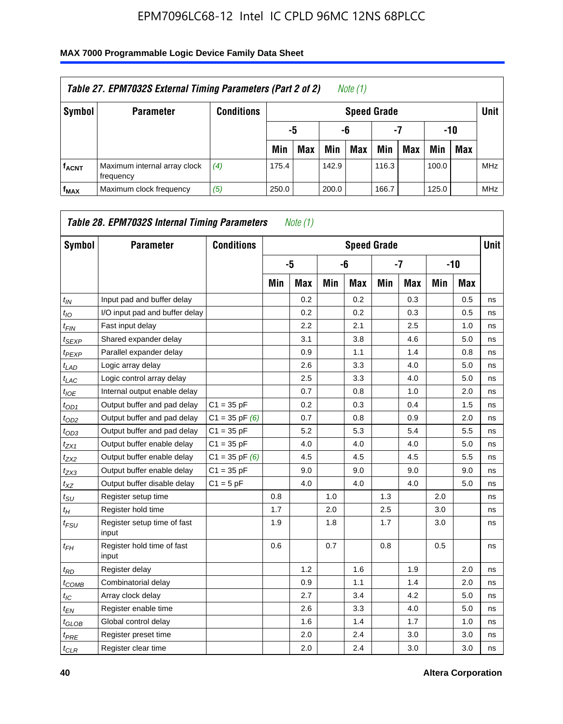| Table 27. EPM7032S External Timing Parameters (Part 2 of 2)<br>Note (1) |                                           |                   |       |                         |       |     |                    |     |       |     |            |  |
|-------------------------------------------------------------------------|-------------------------------------------|-------------------|-------|-------------------------|-------|-----|--------------------|-----|-------|-----|------------|--|
| Symbol                                                                  | <b>Parameter</b>                          | <b>Conditions</b> |       |                         |       |     | <b>Speed Grade</b> |     |       |     | Unit       |  |
|                                                                         |                                           |                   |       | $-10$<br>-5<br>-6<br>-7 |       |     |                    |     |       |     |            |  |
|                                                                         |                                           |                   | Min   | <b>Max</b>              | Min   | Max | Min                | Max | Min   | Max |            |  |
| <b>fACNT</b>                                                            | Maximum internal array clock<br>frequency | (4)               | 175.4 |                         | 142.9 |     | 116.3              |     | 100.0 |     | <b>MHz</b> |  |
| f <sub>MAX</sub>                                                        | Maximum clock frequency                   | (5)               | 250.0 |                         | 200.0 |     | 166.7              |     | 125.0 |     | <b>MHz</b> |  |

| Symbol                        | <b>Parameter</b>                     | <b>Conditions</b>  |     |            |     | <b>Speed Grade</b> |      |            |     |            | <b>Unit</b> |
|-------------------------------|--------------------------------------|--------------------|-----|------------|-----|--------------------|------|------------|-----|------------|-------------|
|                               |                                      |                    |     | -5         |     | -6                 | $-7$ |            |     | $-10$      |             |
|                               |                                      |                    | Min | <b>Max</b> | Min | <b>Max</b>         | Min  | <b>Max</b> | Min | <b>Max</b> |             |
| $t_{IN}$                      | Input pad and buffer delay           |                    |     | 0.2        |     | 0.2                |      | 0.3        |     | 0.5        | ns          |
| $t_{IO}$                      | I/O input pad and buffer delay       |                    |     | 0.2        |     | 0.2                |      | 0.3        |     | 0.5        | ns          |
| $t_{\textit{FIN}}$            | Fast input delay                     |                    |     | 2.2        |     | 2.1                |      | 2.5        |     | 1.0        | ns          |
| $t_{SEXP}$                    | Shared expander delay                |                    |     | 3.1        |     | 3.8                |      | 4.6        |     | 5.0        | ns          |
| $t_{PEXP}$                    | Parallel expander delay              |                    |     | 0.9        |     | 1.1                |      | 1.4        |     | 0.8        | ns          |
| $t_{LAD}$                     | Logic array delay                    |                    |     | 2.6        |     | 3.3                |      | 4.0        |     | 5.0        | ns          |
| $t_{LAC}$                     | Logic control array delay            |                    |     | 2.5        |     | 3.3                |      | 4.0        |     | 5.0        | ns          |
| $t_{IOE}$                     | Internal output enable delay         |                    |     | 0.7        |     | 0.8                |      | 1.0        |     | 2.0        | ns          |
| $t_{OD1}$                     | Output buffer and pad delay          | $C1 = 35 pF$       |     | 0.2        |     | 0.3                |      | 0.4        |     | 1.5        | ns          |
| $t_{OD2}$                     | Output buffer and pad delay          | $C1 = 35$ pF $(6)$ |     | 0.7        |     | 0.8                |      | 0.9        |     | 2.0        | ns          |
| $t_{OD3}$                     | Output buffer and pad delay          | $C1 = 35 pF$       |     | 5.2        |     | 5.3                |      | 5.4        |     | 5.5        | ns          |
| $t_{ZX1}$                     | Output buffer enable delay           | $C1 = 35 pF$       |     | 4.0        |     | 4.0                |      | 4.0        |     | 5.0        | ns          |
| t <sub>ZX2</sub>              | Output buffer enable delay           | $C1 = 35$ pF $(6)$ |     | 4.5        |     | 4.5                |      | 4.5        |     | 5.5        | ns          |
| $t_{ZX3}$                     | Output buffer enable delay           | $C1 = 35 pF$       |     | 9.0        |     | 9.0                |      | 9.0        |     | 9.0        | ns          |
| $t_{XZ}$                      | Output buffer disable delay          | $C1 = 5pF$         |     | 4.0        |     | 4.0                |      | 4.0        |     | 5.0        | ns          |
| $t_{\rm SU}$                  | Register setup time                  |                    | 0.8 |            | 1.0 |                    | 1.3  |            | 2.0 |            | ns          |
| $t_{H}$                       | Register hold time                   |                    | 1.7 |            | 2.0 |                    | 2.5  |            | 3.0 |            | ns          |
| $t_{\mathit{FSU}}$            | Register setup time of fast<br>input |                    | 1.9 |            | 1.8 |                    | 1.7  |            | 3.0 |            | ns          |
| $t_{FH}$                      | Register hold time of fast<br>input  |                    | 0.6 |            | 0.7 |                    | 0.8  |            | 0.5 |            | ns          |
| $t_{RD}$                      | Register delay                       |                    |     | 1.2        |     | 1.6                |      | 1.9        |     | 2.0        | ns          |
| $t_{COMB}$                    | Combinatorial delay                  |                    |     | 0.9        |     | 1.1                |      | 1.4        |     | 2.0        | ns          |
| $t_{IC}$                      | Array clock delay                    |                    |     | 2.7        |     | 3.4                |      | 4.2        |     | 5.0        | ns          |
| $t_{EN}$                      | Register enable time                 |                    |     | 2.6        |     | 3.3                |      | 4.0        |     | 5.0        | ns          |
| $t_{\scriptstyle\text{GLOB}}$ | Global control delay                 |                    |     | 1.6        |     | 1.4                |      | 1.7        |     | 1.0        | ns          |
| $t_{PRE}$                     | Register preset time                 |                    |     | 2.0        |     | 2.4                |      | 3.0        |     | 3.0        | ns          |
| $t_{CLR}$                     | Register clear time                  |                    |     | 2.0        |     | 2.4                |      | 3.0        |     | 3.0        | ns          |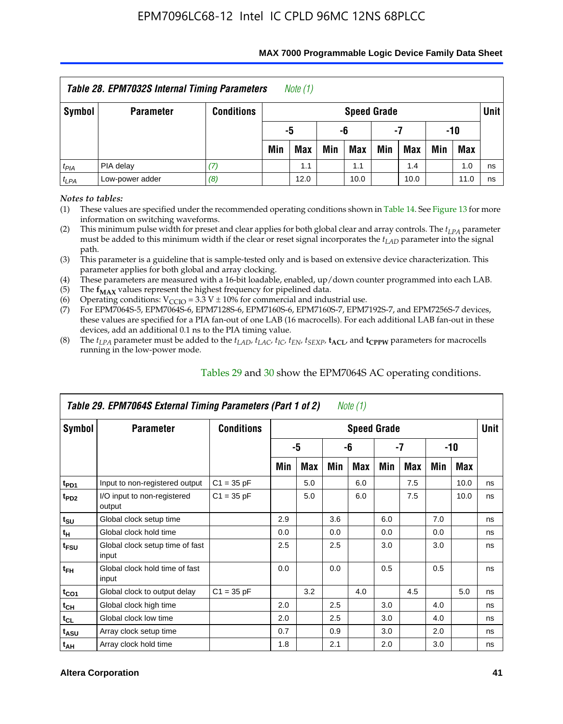|           | Table 28. EPM7032S Internal Timing Parameters |                   |                       | Note $(1)$ |     |                    |     |      |     |            |        |
|-----------|-----------------------------------------------|-------------------|-----------------------|------------|-----|--------------------|-----|------|-----|------------|--------|
| Symbol    | <b>Parameter</b>                              | <b>Conditions</b> |                       |            |     | <b>Speed Grade</b> |     |      |     |            | Unit I |
|           |                                               |                   | -10<br>-5<br>-6<br>-7 |            |     |                    |     |      |     |            |        |
|           |                                               |                   | Min                   | <b>Max</b> | Min | Max                | Min | Max  | Min | <b>Max</b> |        |
| $t_{PIA}$ | PIA delay                                     | 7)                |                       | 1.1        |     | 1.1                |     | 1.4  |     | 1.0        | ns     |
| $t_{LPA}$ | Low-power adder                               | (8)               |                       | 12.0       |     | 10.0               |     | 10.0 |     | 11.0       | ns     |

#### **MAX 7000 Programmable Logic Device Family Data Sheet**

*Notes to tables:*

(1) These values are specified under the recommended operating conditions shown in Table 14. See Figure 13 for more information on switching waveforms.

(2) This minimum pulse width for preset and clear applies for both global clear and array controls. The  $t_{LPA}$  parameter must be added to this minimum width if the clear or reset signal incorporates the *tLAD* parameter into the signal path.

(3) This parameter is a guideline that is sample-tested only and is based on extensive device characterization. This parameter applies for both global and array clocking.

(4) These parameters are measured with a 16-bit loadable, enabled, up/down counter programmed into each LAB.

(5) The  $f_{MAX}$  values represent the highest frequency for pipelined data.

(6) Operating conditions:  $V_{\text{CCIO}} = 3.3 \text{ V} \pm 10\%$  for commercial and industrial use.

(7) For EPM7064S-5, EPM7064S-6, EPM7128S-6, EPM7160S-6, EPM7160S-7, EPM7192S-7, and EPM7256S-7 devices, these values are specified for a PIA fan-out of one LAB (16 macrocells). For each additional LAB fan-out in these devices, add an additional 0.1 ns to the PIA timing value.

(8) The  $t_{LPA}$  parameter must be added to the  $t_{LAD}$ ,  $t_{LAC}$ ,  $t_{IC}$ ,  $t_{EN}$ ,  $t_{SEXP}$ ,  $t_{ACL}$ , and  $t_{CPPW}$  parameters for macrocells running in the low-power mode.

| Table 29. EPM7064S External Timing Parameters (Part 1 of 2)<br>Note (1) |                                          |                   |                    |     |     |     |     |     |     |      |    |  |
|-------------------------------------------------------------------------|------------------------------------------|-------------------|--------------------|-----|-----|-----|-----|-----|-----|------|----|--|
| Symbol                                                                  | <b>Parameter</b>                         | <b>Conditions</b> | <b>Speed Grade</b> |     |     |     |     |     |     |      |    |  |
|                                                                         |                                          |                   | -5                 |     | -6  |     | -7  |     | -10 |      |    |  |
|                                                                         |                                          |                   | Min                | Max | Min | Max | Min | Max | Min | Max  |    |  |
| t <sub>PD1</sub>                                                        | Input to non-registered output           | $C1 = 35 pF$      |                    | 5.0 |     | 6.0 |     | 7.5 |     | 10.0 | ns |  |
| t <sub>PD2</sub>                                                        | I/O input to non-registered<br>output    | $C1 = 35 pF$      |                    | 5.0 |     | 6.0 |     | 7.5 |     | 10.0 | ns |  |
| $t_{\text{SU}}$                                                         | Global clock setup time                  |                   | 2.9                |     | 3.6 |     | 6.0 |     | 7.0 |      | ns |  |
| $t_H$                                                                   | Global clock hold time                   |                   | 0.0                |     | 0.0 |     | 0.0 |     | 0.0 |      | ns |  |
| t <sub>FSU</sub>                                                        | Global clock setup time of fast<br>input |                   | 2.5                |     | 2.5 |     | 3.0 |     | 3.0 |      | ns |  |
| $t_{FH}$                                                                | Global clock hold time of fast<br>input  |                   | 0.0                |     | 0.0 |     | 0.5 |     | 0.5 |      | ns |  |
| $t_{CO1}$                                                               | Global clock to output delay             | $C1 = 35 pF$      |                    | 3.2 |     | 4.0 |     | 4.5 |     | 5.0  | ns |  |
| $t_{CH}$                                                                | Global clock high time                   |                   | 2.0                |     | 2.5 |     | 3.0 |     | 4.0 |      | ns |  |
| $t_{CL}$                                                                | Global clock low time                    |                   | 2.0                |     | 2.5 |     | 3.0 |     | 4.0 |      | ns |  |
| $t_{ASU}$                                                               | Array clock setup time                   |                   | 0.7                |     | 0.9 |     | 3.0 |     | 2.0 |      | ns |  |
| $t_{AH}$                                                                | Array clock hold time                    |                   | 1.8                |     | 2.1 |     | 2.0 |     | 3.0 |      | ns |  |

Tables 29 and 30 show the EPM7064S AC operating conditions.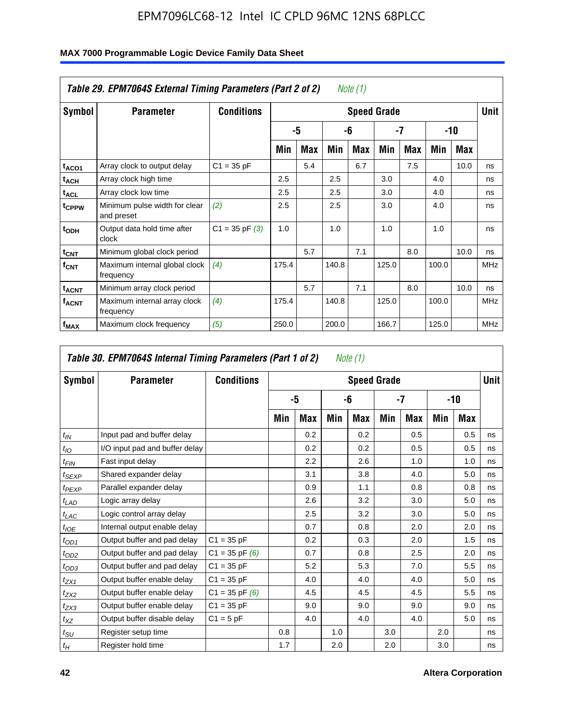| MAX 7000 Programmable Logic Device Family Data Sheet |  |  |
|------------------------------------------------------|--|--|
|------------------------------------------------------|--|--|

| Table 29. EPM7064S External Timing Parameters (Part 2 of 2)<br>Note (1) |                                             |                    |       |     |       |            |                    |     |       |      |             |  |
|-------------------------------------------------------------------------|---------------------------------------------|--------------------|-------|-----|-------|------------|--------------------|-----|-------|------|-------------|--|
| Symbol                                                                  | <b>Parameter</b>                            | <b>Conditions</b>  |       |     |       |            | <b>Speed Grade</b> |     |       |      | <b>Unit</b> |  |
|                                                                         |                                             |                    |       | -5  |       | -6         | -7                 |     | $-10$ |      |             |  |
|                                                                         |                                             |                    | Min   | Max | Min   | <b>Max</b> | Min                | Max | Min   | Max  |             |  |
| t <sub>ACO1</sub>                                                       | Array clock to output delay                 | $C1 = 35 pF$       |       | 5.4 |       | 6.7        |                    | 7.5 |       | 10.0 | ns          |  |
| <sup>t</sup> ach                                                        | Array clock high time                       |                    | 2.5   |     | 2.5   |            | 3.0                |     | 4.0   |      | ns          |  |
| <sup>t</sup> ACL                                                        | Array clock low time                        |                    | 2.5   |     | 2.5   |            | 3.0                |     | 4.0   |      | ns          |  |
| t <sub>CPPW</sub>                                                       | Minimum pulse width for clear<br>and preset | (2)                | 2.5   |     | 2.5   |            | 3.0                |     | 4.0   |      | ns          |  |
| $t_{ODH}$                                                               | Output data hold time after<br>clock        | $C1 = 35$ pF $(3)$ | 1.0   |     | 1.0   |            | 1.0                |     | 1.0   |      | ns          |  |
| $t_{CNT}$                                                               | Minimum global clock period                 |                    |       | 5.7 |       | 7.1        |                    | 8.0 |       | 10.0 | ns          |  |
| $f_{CNT}$                                                               | Maximum internal global clock<br>frequency  | (4)                | 175.4 |     | 140.8 |            | 125.0              |     | 100.0 |      | <b>MHz</b>  |  |
| <b>t<sub>ACNT</sub></b>                                                 | Minimum array clock period                  |                    |       | 5.7 |       | 7.1        |                    | 8.0 |       | 10.0 | ns          |  |
| <sup>f</sup> ACNT                                                       | Maximum internal array clock<br>frequency   | (4)                | 175.4 |     | 140.8 |            | 125.0              |     | 100.0 |      | <b>MHz</b>  |  |
| f <sub>MAX</sub>                                                        | Maximum clock frequency                     | (5)                | 250.0 |     | 200.0 |            | 166.7              |     | 125.0 |      | <b>MHz</b>  |  |

|                    | Table 30. EPM7064S Internal Timing Parameters (Part 1 of 2)<br>Note (1) |                    |     |     |     |                    |     |     |     |            |             |  |
|--------------------|-------------------------------------------------------------------------|--------------------|-----|-----|-----|--------------------|-----|-----|-----|------------|-------------|--|
| Symbol             | <b>Parameter</b>                                                        | <b>Conditions</b>  |     |     |     | <b>Speed Grade</b> |     |     |     |            | <b>Unit</b> |  |
|                    |                                                                         |                    | -5  |     | -6  |                    | -7  |     | -10 |            |             |  |
|                    |                                                                         |                    | Min | Max | Min | Max                | Min | Max | Min | <b>Max</b> |             |  |
| $t_{IN}$           | Input pad and buffer delay                                              |                    |     | 0.2 |     | 0.2                |     | 0.5 |     | 0.5        | ns          |  |
| $t_{IO}$           | I/O input pad and buffer delay                                          |                    |     | 0.2 |     | 0.2                |     | 0.5 |     | 0.5        | ns          |  |
| $t_{\textit{FIN}}$ | Fast input delay                                                        |                    |     | 2.2 |     | 2.6                |     | 1.0 |     | 1.0        | ns          |  |
| $t_{SEXP}$         | Shared expander delay                                                   |                    |     | 3.1 |     | 3.8                |     | 4.0 |     | 5.0        | ns          |  |
| $t_{PEXP}$         | Parallel expander delay                                                 |                    |     | 0.9 |     | 1.1                |     | 0.8 |     | 0.8        | ns          |  |
| $t_{LAD}$          | Logic array delay                                                       |                    |     | 2.6 |     | 3.2                |     | 3.0 |     | 5.0        | ns          |  |
| $t_{LAC}$          | Logic control array delay                                               |                    |     | 2.5 |     | 3.2                |     | 3.0 |     | 5.0        | ns          |  |
| $t_{IOE}$          | Internal output enable delay                                            |                    |     | 0.7 |     | 0.8                |     | 2.0 |     | 2.0        | ns          |  |
| $t_{OD1}$          | Output buffer and pad delay                                             | $C1 = 35 pF$       |     | 0.2 |     | 0.3                |     | 2.0 |     | 1.5        | ns          |  |
| $t_{OD2}$          | Output buffer and pad delay                                             | $C1 = 35$ pF $(6)$ |     | 0.7 |     | 0.8                |     | 2.5 |     | 2.0        | ns          |  |
| $t_{OD3}$          | Output buffer and pad delay                                             | $C1 = 35 pF$       |     | 5.2 |     | 5.3                |     | 7.0 |     | 5.5        | ns          |  |
| $t_{ZX1}$          | Output buffer enable delay                                              | $C1 = 35 pF$       |     | 4.0 |     | 4.0                |     | 4.0 |     | 5.0        | ns          |  |
| $t_{ZX2}$          | Output buffer enable delay                                              | $C1 = 35$ pF $(6)$ |     | 4.5 |     | 4.5                |     | 4.5 |     | 5.5        | ns          |  |
| $t_{ZX3}$          | Output buffer enable delay                                              | $C1 = 35 pF$       |     | 9.0 |     | 9.0                |     | 9.0 |     | 9.0        | ns          |  |
| $t_{XZ}$           | Output buffer disable delay                                             | $C1 = 5pF$         |     | 4.0 |     | 4.0                |     | 4.0 |     | 5.0        | ns          |  |
| $t_{\text{SU}}$    | Register setup time                                                     |                    | 0.8 |     | 1.0 |                    | 3.0 |     | 2.0 |            | ns          |  |
| $t_H$              | Register hold time                                                      |                    | 1.7 |     | 2.0 |                    | 2.0 |     | 3.0 |            | ns          |  |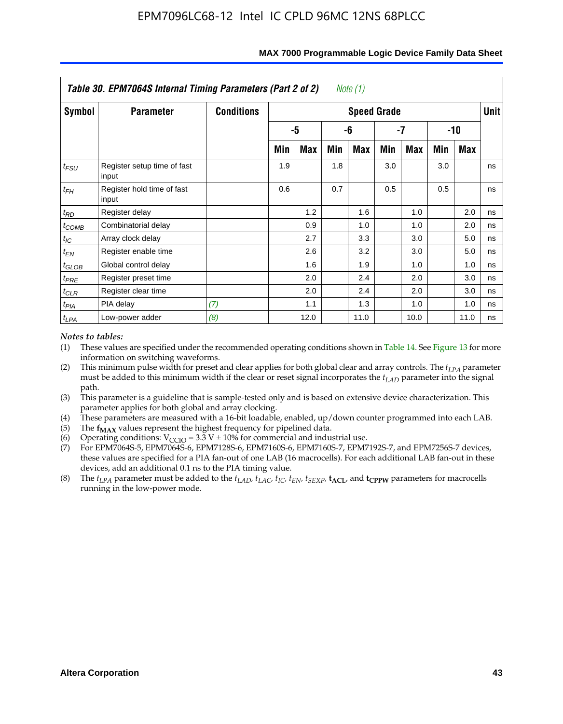|            | Table 30. EPM7064S Internal Timing Parameters (Part 2 of 2) |                   |     |      |     | Note (1)           |     |            |     |            |             |
|------------|-------------------------------------------------------------|-------------------|-----|------|-----|--------------------|-----|------------|-----|------------|-------------|
| Symbol     | <b>Parameter</b>                                            | <b>Conditions</b> |     |      |     | <b>Speed Grade</b> |     |            |     |            | <b>Unit</b> |
|            |                                                             |                   |     | -5   |     | -6                 |     | -7         |     | -10        |             |
|            |                                                             |                   | Min | Max  | Min | Max                | Min | <b>Max</b> | Min | <b>Max</b> |             |
| $t_{FSU}$  | Register setup time of fast<br>input                        |                   | 1.9 |      | 1.8 |                    | 3.0 |            | 3.0 |            | ns          |
| $t_{FH}$   | Register hold time of fast<br>input                         |                   | 0.6 |      | 0.7 |                    | 0.5 |            | 0.5 |            | ns          |
| $t_{RD}$   | Register delay                                              |                   |     | 1.2  |     | 1.6                |     | 1.0        |     | 2.0        | ns          |
| $t_{COMB}$ | Combinatorial delay                                         |                   |     | 0.9  |     | 1.0                |     | 1.0        |     | 2.0        | ns          |
| $t_{IC}$   | Array clock delay                                           |                   |     | 2.7  |     | 3.3                |     | 3.0        |     | 5.0        | ns          |
| $t_{EN}$   | Register enable time                                        |                   |     | 2.6  |     | 3.2                |     | 3.0        |     | 5.0        | ns          |
| $t_{GLOB}$ | Global control delay                                        |                   |     | 1.6  |     | 1.9                |     | 1.0        |     | 1.0        | ns          |
| $t_{PRE}$  | Register preset time                                        |                   |     | 2.0  |     | 2.4                |     | 2.0        |     | 3.0        | ns          |
| $t_{CLR}$  | Register clear time                                         |                   |     | 2.0  |     | 2.4                |     | 2.0        |     | 3.0        | ns          |
| $t_{PIA}$  | PIA delay                                                   | (7)               |     | 1.1  |     | 1.3                |     | 1.0        |     | 1.0        | ns          |
| $t_{LPA}$  | Low-power adder                                             | (8)               |     | 12.0 |     | 11.0               |     | 10.0       |     | 11.0       | ns          |

#### **MAX 7000 Programmable Logic Device Family Data Sheet**

#### *Notes to tables:*

- (1) These values are specified under the recommended operating conditions shown in Table 14. See Figure 13 for more information on switching waveforms.
- (2) This minimum pulse width for preset and clear applies for both global clear and array controls. The  $t_{LPA}$  parameter must be added to this minimum width if the clear or reset signal incorporates the *t<sub>LAD</sub>* parameter into the signal path.
- (3) This parameter is a guideline that is sample-tested only and is based on extensive device characterization. This parameter applies for both global and array clocking.
- (4) These parameters are measured with a 16-bit loadable, enabled, up/down counter programmed into each LAB.
- (5) The  $f_{MAX}$  values represent the highest frequency for pipelined data.
- (6) Operating conditions:  $V_{\text{CGO}} = 3.3 \text{ V} \pm 10\%$  for commercial and industrial use.
- (7) For EPM7064S-5, EPM7064S-6, EPM7128S-6, EPM7160S-6, EPM7160S-7, EPM7192S-7, and EPM7256S-7 devices, these values are specified for a PIA fan-out of one LAB (16 macrocells). For each additional LAB fan-out in these devices, add an additional 0.1 ns to the PIA timing value.
- (8) The  $t_{LPA}$  parameter must be added to the  $t_{LAD}$ ,  $t_{LAC}$ ,  $t_{IC}$ ,  $t_{EN}$ ,  $t_{SEXP}$ ,  $t_{ACL}$ , and  $t_{CPPW}$  parameters for macrocells running in the low-power mode.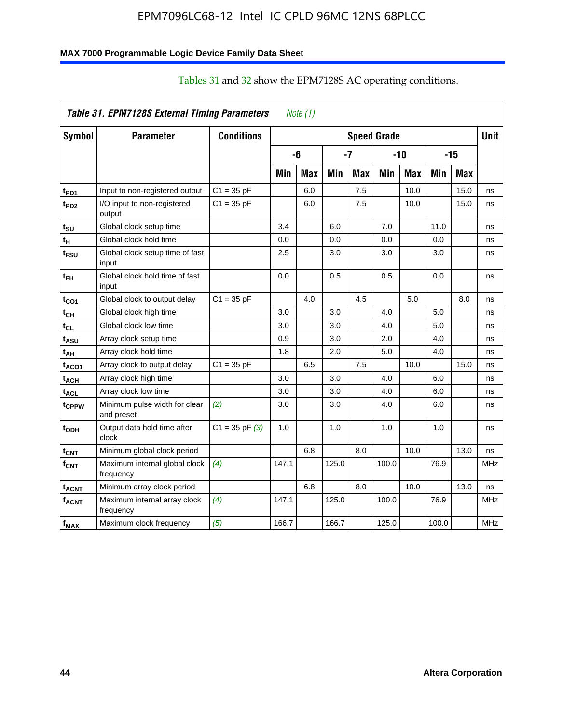### **MAX 7000 Programmable Logic Device Family Data Sheet**

|                   | Table 31. EPM7128S External Timing Parameters |                   |       | Note $(1)$ |       |            |                    |            |       |            |             |
|-------------------|-----------------------------------------------|-------------------|-------|------------|-------|------------|--------------------|------------|-------|------------|-------------|
| Symbol            | <b>Parameter</b>                              | <b>Conditions</b> |       |            |       |            | <b>Speed Grade</b> |            |       |            | <b>Unit</b> |
|                   |                                               |                   |       | -6         |       | -7         |                    | $-10$      |       | $-15$      |             |
|                   |                                               |                   | Min   | <b>Max</b> | Min   | <b>Max</b> | Min                | <b>Max</b> | Min   | <b>Max</b> |             |
| t <sub>PD1</sub>  | Input to non-registered output                | $C1 = 35 pF$      |       | 6.0        |       | 7.5        |                    | 10.0       |       | 15.0       | ns          |
| t <sub>PD2</sub>  | I/O input to non-registered<br>output         | $C1 = 35 pF$      |       | 6.0        |       | 7.5        |                    | 10.0       |       | 15.0       | ns          |
| tsu               | Global clock setup time                       |                   | 3.4   |            | 6.0   |            | 7.0                |            | 11.0  |            | ns          |
| t <sub>H</sub>    | Global clock hold time                        |                   | 0.0   |            | 0.0   |            | 0.0                |            | 0.0   |            | ns          |
| t <sub>FSU</sub>  | Global clock setup time of fast<br>input      |                   | 2.5   |            | 3.0   |            | 3.0                |            | 3.0   |            | ns          |
| t <sub>FH</sub>   | Global clock hold time of fast<br>input       |                   | 0.0   |            | 0.5   |            | 0.5                |            | 0.0   |            | ns          |
| t <sub>CO1</sub>  | Global clock to output delay                  | $C1 = 35 pF$      |       | 4.0        |       | 4.5        |                    | 5.0        |       | 8.0        | ns          |
| $t_{CH}$          | Global clock high time                        |                   | 3.0   |            | 3.0   |            | 4.0                |            | 5.0   |            | ns          |
| tcL               | Global clock low time                         |                   | 3.0   |            | 3.0   |            | 4.0                |            | 5.0   |            | ns          |
| t <sub>ASU</sub>  | Array clock setup time                        |                   | 0.9   |            | 3.0   |            | 2.0                |            | 4.0   |            | ns          |
| t <sub>АН</sub>   | Array clock hold time                         |                   | 1.8   |            | 2.0   |            | 5.0                |            | 4.0   |            | ns          |
| t <sub>ACO1</sub> | Array clock to output delay                   | $C1 = 35 pF$      |       | 6.5        |       | 7.5        |                    | 10.0       |       | 15.0       | ns          |
| t <sub>АСН</sub>  | Array clock high time                         |                   | 3.0   |            | 3.0   |            | 4.0                |            | 6.0   |            | ns          |
| $t_{\sf ACL}$     | Array clock low time                          |                   | 3.0   |            | 3.0   |            | 4.0                |            | 6.0   |            | ns          |
| tcppw             | Minimum pulse width for clear<br>and preset   | (2)               | 3.0   |            | 3.0   |            | 4.0                |            | 6.0   |            | ns          |
| t <sub>орн</sub>  | Output data hold time after<br>clock          | $C1 = 35 pF(3)$   | 1.0   |            | 1.0   |            | 1.0                |            | 1.0   |            | ns          |
| $t_{\text{CNT}}$  | Minimum global clock period                   |                   |       | 6.8        |       | 8.0        |                    | 10.0       |       | 13.0       | ns          |
| $f_{\text{CNT}}$  | Maximum internal global clock<br>frequency    | (4)               | 147.1 |            | 125.0 |            | 100.0              |            | 76.9  |            | <b>MHz</b>  |
| t <sub>acnt</sub> | Minimum array clock period                    |                   |       | 6.8        |       | 8.0        |                    | 10.0       |       | 13.0       | ns          |
| <sup>f</sup> acnt | Maximum internal array clock<br>frequency     | (4)               | 147.1 |            | 125.0 |            | 100.0              |            | 76.9  |            | <b>MHz</b>  |
| f <sub>MAX</sub>  | Maximum clock frequency                       | (5)               | 166.7 |            | 166.7 |            | 125.0              |            | 100.0 |            | <b>MHz</b>  |

### Tables 31 and 32 show the EPM7128S AC operating conditions.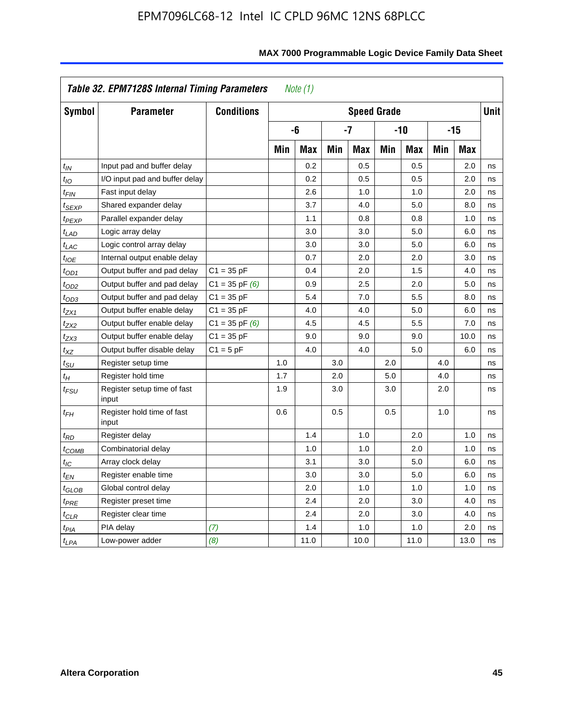|                            | Table 32. EPM7128S Internal Timing Parameters |                    |     | Note $(1)$ |     |                    |     |            |     |       |             |
|----------------------------|-----------------------------------------------|--------------------|-----|------------|-----|--------------------|-----|------------|-----|-------|-------------|
| Symbol                     | <b>Parameter</b>                              | <b>Conditions</b>  |     |            |     | <b>Speed Grade</b> |     |            |     |       | <b>Unit</b> |
|                            |                                               |                    |     | -6         |     | $-7$               |     | $-10$      |     | $-15$ |             |
|                            |                                               |                    | Min | <b>Max</b> | Min | <b>Max</b>         | Min | <b>Max</b> | Min | Max   |             |
| $t_{IN}$                   | Input pad and buffer delay                    |                    |     | 0.2        |     | 0.5                |     | 0.5        |     | 2.0   | ns          |
| $t_{IO}$                   | I/O input pad and buffer delay                |                    |     | 0.2        |     | 0.5                |     | 0.5        |     | 2.0   | ns          |
| $t_{\text{FIN}}$           | Fast input delay                              |                    |     | 2.6        |     | 1.0                |     | 1.0        |     | 2.0   | ns          |
| <sup>t</sup> SEXP          | Shared expander delay                         |                    |     | 3.7        |     | 4.0                |     | 5.0        |     | 8.0   | ns          |
| t <sub>PEXP</sub>          | Parallel expander delay                       |                    |     | 1.1        |     | 0.8                |     | 0.8        |     | 1.0   | ns          |
| $t_{LAD}$                  | Logic array delay                             |                    |     | 3.0        |     | 3.0                |     | 5.0        |     | 6.0   | ns          |
| $t_{LAC}$                  | Logic control array delay                     |                    |     | 3.0        |     | 3.0                |     | 5.0        |     | 6.0   | ns          |
| $t_{IOE}$                  | Internal output enable delay                  |                    |     | 0.7        |     | 2.0                |     | 2.0        |     | 3.0   | ns          |
| $t_{OD1}$                  | Output buffer and pad delay                   | $C1 = 35 pF$       |     | 0.4        |     | 2.0                |     | 1.5        |     | 4.0   | ns          |
| $t_{OD2}$                  | Output buffer and pad delay                   | $C1 = 35$ pF $(6)$ |     | 0.9        |     | 2.5                |     | 2.0        |     | 5.0   | ns          |
| $t_{OD3}$                  | Output buffer and pad delay                   | $C1 = 35 pF$       |     | 5.4        |     | 7.0                |     | 5.5        |     | 8.0   | ns          |
| $t_{ZX1}$                  | Output buffer enable delay                    | $C1 = 35 pF$       |     | 4.0        |     | 4.0                |     | 5.0        |     | 6.0   | ns          |
| $t_{ZX2}$                  | Output buffer enable delay                    | $C1 = 35$ pF $(6)$ |     | 4.5        |     | 4.5                |     | 5.5        |     | 7.0   | ns          |
| t <sub>ZX3</sub>           | Output buffer enable delay                    | $C1 = 35 pF$       |     | 9.0        |     | 9.0                |     | 9.0        |     | 10.0  | ns          |
| $t_{XZ}$                   | Output buffer disable delay                   | $C1 = 5pF$         |     | 4.0        |     | 4.0                |     | 5.0        |     | 6.0   | ns          |
| $t_{\text{SU}}$            | Register setup time                           |                    | 1.0 |            | 3.0 |                    | 2.0 |            | 4.0 |       | ns          |
| $t_H$                      | Register hold time                            |                    | 1.7 |            | 2.0 |                    | 5.0 |            | 4.0 |       | ns          |
| $t_{\it FSU}$              | Register setup time of fast<br>input          |                    | 1.9 |            | 3.0 |                    | 3.0 |            | 2.0 |       | ns          |
| t <sub>FH</sub>            | Register hold time of fast<br>input           |                    | 0.6 |            | 0.5 |                    | 0.5 |            | 1.0 |       | ns          |
| $t_{RD}$                   | Register delay                                |                    |     | 1.4        |     | 1.0                |     | 2.0        |     | 1.0   | ns          |
| $t_{\mathsf{COMB}}$        | Combinatorial delay                           |                    |     | 1.0        |     | 1.0                |     | 2.0        |     | 1.0   | ns          |
| $t_{IC}$                   | Array clock delay                             |                    |     | 3.1        |     | 3.0                |     | 5.0        |     | 6.0   | ns          |
| $t_{EN}$                   | Register enable time                          |                    |     | 3.0        |     | 3.0                |     | 5.0        |     | 6.0   | ns          |
| $t_{\scriptstyle\rm GLOB}$ | Global control delay                          |                    |     | 2.0        |     | 1.0                |     | 1.0        |     | 1.0   | ns          |
| $t_{PRE}$                  | Register preset time                          |                    |     | 2.4        |     | 2.0                |     | 3.0        |     | 4.0   | ns          |
| $t_{\sf CLR}$              | Register clear time                           |                    |     | 2.4        |     | 2.0                |     | 3.0        |     | 4.0   | ns          |
| $t_{PIA}$                  | PIA delay                                     | (7)                |     | 1.4        |     | 1.0                |     | 1.0        |     | 2.0   | ns          |
| t <sub>LPA</sub>           | Low-power adder                               | (8)                |     | 11.0       |     | 10.0               |     | 11.0       |     | 13.0  | ns          |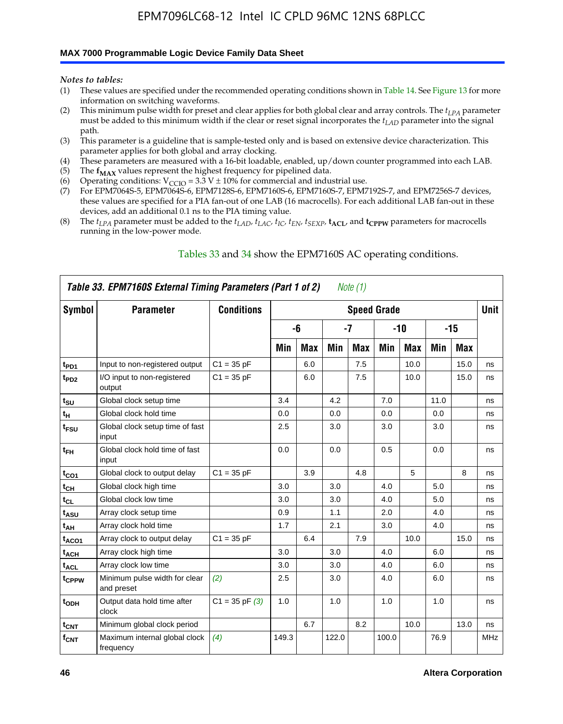### **MAX 7000 Programmable Logic Device Family Data Sheet**

*Notes to tables:*

- (1) These values are specified under the recommended operating conditions shown in Table 14. See Figure 13 for more information on switching waveforms.
- (2) This minimum pulse width for preset and clear applies for both global clear and array controls. The  $t_{LPA}$  parameter must be added to this minimum width if the clear or reset signal incorporates the *tLAD* parameter into the signal path.
- (3) This parameter is a guideline that is sample-tested only and is based on extensive device characterization. This parameter applies for both global and array clocking.
- (4) These parameters are measured with a 16-bit loadable, enabled, up/down counter programmed into each LAB.
- (5) The  $f_{MAX}$  values represent the highest frequency for pipelined data.
- (6) Operating conditions:  $V_{\text{CCIO}} = 3.3 \text{ V} \pm 10\%$  for commercial and industrial use.
- (7) For EPM7064S-5, EPM7064S-6, EPM7128S-6, EPM7160S-6, EPM7160S-7, EPM7192S-7, and EPM7256S-7 devices, these values are specified for a PIA fan-out of one LAB (16 macrocells). For each additional LAB fan-out in these devices, add an additional 0.1 ns to the PIA timing value.
- (8) The  $t_{LPA}$  parameter must be added to the  $t_{LAD}$ ,  $t_{LAC}$ ,  $t_{IC}$ ,  $t_{EN}$ ,  $t_{SEXP}$ ,  $t_{ACL}$ , and  $t_{CPPW}$  parameters for macrocells running in the low-power mode.

|                  | Table 33. EPM7160S External Timing Parameters (Part 1 of 2) |                    |       |            |       | Note $(1)$ |                    |            |      |      |            |
|------------------|-------------------------------------------------------------|--------------------|-------|------------|-------|------------|--------------------|------------|------|------|------------|
| Symbol           | <b>Parameter</b>                                            | <b>Conditions</b>  |       |            |       |            | <b>Speed Grade</b> |            |      |      | Unit       |
|                  |                                                             |                    |       | -6         |       | -7         |                    | -10        |      | -15  |            |
|                  |                                                             |                    | Min   | <b>Max</b> | Min   | <b>Max</b> | Min                | <b>Max</b> | Min  | Max  |            |
| t <sub>PD1</sub> | Input to non-registered output                              | $C1 = 35 pF$       |       | 6.0        |       | 7.5        |                    | 10.0       |      | 15.0 | ns         |
| t <sub>PD2</sub> | I/O input to non-registered<br>output                       | $C1 = 35 pF$       |       | 6.0        |       | 7.5        |                    | 10.0       |      | 15.0 | ns         |
| $t_{\text{SU}}$  | Global clock setup time                                     |                    | 3.4   |            | 4.2   |            | 7.0                |            | 11.0 |      | ns         |
| $t_H$            | Global clock hold time                                      |                    | 0.0   |            | 0.0   |            | 0.0                |            | 0.0  |      | ns         |
| t <sub>FSU</sub> | Global clock setup time of fast<br>input                    |                    | 2.5   |            | 3.0   |            | 3.0                |            | 3.0  |      | ns         |
| $t_{FH}$         | Global clock hold time of fast<br>input                     |                    | 0.0   |            | 0.0   |            | 0.5                |            | 0.0  |      | ns         |
| $t_{CO1}$        | Global clock to output delay                                | $C1 = 35 pF$       |       | 3.9        |       | 4.8        |                    | 5          |      | 8    | ns         |
| $t_{CH}$         | Global clock high time                                      |                    | 3.0   |            | 3.0   |            | 4.0                |            | 5.0  |      | ns         |
| $t_{CL}$         | Global clock low time                                       |                    | 3.0   |            | 3.0   |            | 4.0                |            | 5.0  |      | ns         |
| t <sub>ASU</sub> | Array clock setup time                                      |                    | 0.9   |            | 1.1   |            | 2.0                |            | 4.0  |      | ns         |
| t <sub>АН</sub>  | Array clock hold time                                       |                    | 1.7   |            | 2.1   |            | 3.0                |            | 4.0  |      | ns         |
| $t_{ACO1}$       | Array clock to output delay                                 | $C1 = 35 pF$       |       | 6.4        |       | 7.9        |                    | 10.0       |      | 15.0 | ns         |
| $t_{ACH}$        | Array clock high time                                       |                    | 3.0   |            | 3.0   |            | 4.0                |            | 6.0  |      | ns         |
| $t_{\sf ACL}$    | Array clock low time                                        |                    | 3.0   |            | 3.0   |            | 4.0                |            | 6.0  |      | ns         |
| tcppw            | Minimum pulse width for clear<br>and preset                 | (2)                | 2.5   |            | 3.0   |            | 4.0                |            | 6.0  |      | ns         |
| t <sub>ODH</sub> | Output data hold time after<br>clock                        | $C1 = 35$ pF $(3)$ | 1.0   |            | 1.0   |            | 1.0                |            | 1.0  |      | ns         |
| $t_{\text{CNT}}$ | Minimum global clock period                                 |                    |       | 6.7        |       | 8.2        |                    | 10.0       |      | 13.0 | ns         |
| $f_{\text{CNT}}$ | Maximum internal global clock<br>frequency                  | (4)                | 149.3 |            | 122.0 |            | 100.0              |            | 76.9 |      | <b>MHz</b> |

### Tables 33 and 34 show the EPM7160S AC operating conditions.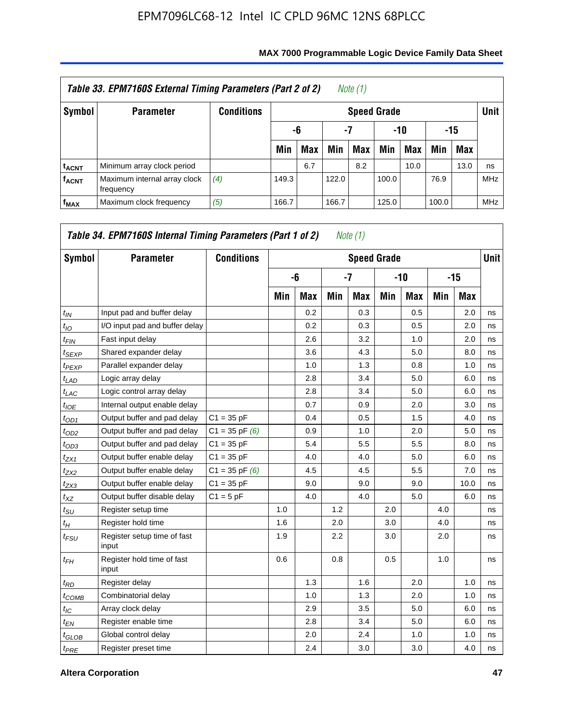|                         | Table 33. EPM7160S External Timing Parameters (Part 2 of 2) |                   |       |            |       | Note (1)           |       |      |       |            |             |
|-------------------------|-------------------------------------------------------------|-------------------|-------|------------|-------|--------------------|-------|------|-------|------------|-------------|
| Symbol                  | <b>Parameter</b>                                            | <b>Conditions</b> |       |            |       | <b>Speed Grade</b> |       |      |       |            | <b>Unit</b> |
|                         |                                                             |                   |       | -6         | -7    |                    |       | -10  |       | -15        |             |
|                         |                                                             |                   | Min   | <b>Max</b> | Min   | Max                | Min   | Max  | Min   | <b>Max</b> |             |
| <b>t<sub>ACNT</sub></b> | Minimum array clock period                                  |                   |       | 6.7        |       | 8.2                |       | 10.0 |       | 13.0       | ns          |
| <b>f<sub>ACNT</sub></b> | Maximum internal array clock<br>frequency                   | (4)               | 149.3 |            | 122.0 |                    | 100.0 |      | 76.9  |            | <b>MHz</b>  |
| $f_{MAX}$               | Maximum clock frequency                                     | (5)               | 166.7 |            | 166.7 |                    | 125.0 |      | 100.0 |            | <b>MHz</b>  |

| Symbol          | <b>Parameter</b>                     | <b>Conditions</b>  |     |            |     | <b>Speed Grade</b> |     |            |     |       | <b>Unit</b> |
|-----------------|--------------------------------------|--------------------|-----|------------|-----|--------------------|-----|------------|-----|-------|-------------|
|                 |                                      |                    |     | -6         |     | $-7$               |     | -10        |     | $-15$ |             |
|                 |                                      |                    | Min | <b>Max</b> | Min | <b>Max</b>         | Min | <b>Max</b> | Min | Max   |             |
| $t_{IN}$        | Input pad and buffer delay           |                    |     | 0.2        |     | 0.3                |     | 0.5        |     | 2.0   | ns          |
| $t_{IO}$        | I/O input pad and buffer delay       |                    |     | 0.2        |     | 0.3                |     | 0.5        |     | 2.0   | ns          |
| $t_{FIN}$       | Fast input delay                     |                    |     | 2.6        |     | 3.2                |     | 1.0        |     | 2.0   | ns          |
| $t_{SEXP}$      | Shared expander delay                |                    |     | 3.6        |     | 4.3                |     | 5.0        |     | 8.0   | ns          |
| $t_{PEXP}$      | Parallel expander delay              |                    |     | 1.0        |     | 1.3                |     | 0.8        |     | 1.0   | ns          |
| $t_{LAD}$       | Logic array delay                    |                    |     | 2.8        |     | 3.4                |     | 5.0        |     | 6.0   | ns          |
| $t_{LAC}$       | Logic control array delay            |                    |     | 2.8        |     | 3.4                |     | 5.0        |     | 6.0   | ns          |
| $t_{IOE}$       | Internal output enable delay         |                    |     | 0.7        |     | 0.9                |     | 2.0        |     | 3.0   | ns          |
| $t_{OD1}$       | Output buffer and pad delay          | $C1 = 35 pF$       |     | 0.4        |     | 0.5                |     | 1.5        |     | 4.0   | ns          |
| $t_{OD2}$       | Output buffer and pad delay          | $C1 = 35$ pF $(6)$ |     | 0.9        |     | 1.0                |     | 2.0        |     | 5.0   | ns          |
| $t_{OD3}$       | Output buffer and pad delay          | $C1 = 35 pF$       |     | 5.4        |     | 5.5                |     | 5.5        |     | 8.0   | ns          |
| $t_{ZX1}$       | Output buffer enable delay           | $C1 = 35 pF$       |     | 4.0        |     | 4.0                |     | 5.0        |     | 6.0   | ns          |
| $t_{ZX2}$       | Output buffer enable delay           | $C1 = 35$ pF $(6)$ |     | 4.5        |     | 4.5                |     | 5.5        |     | 7.0   | ns          |
| $t_{ZX3}$       | Output buffer enable delay           | $C1 = 35 pF$       |     | 9.0        |     | 9.0                |     | 9.0        |     | 10.0  | ns          |
| $t_{XZ}$        | Output buffer disable delay          | $C1 = 5pF$         |     | 4.0        |     | 4.0                |     | 5.0        |     | 6.0   | ns          |
| $t_{\rm SU}$    | Register setup time                  |                    | 1.0 |            | 1.2 |                    | 2.0 |            | 4.0 |       | ns          |
| $t_H$           | Register hold time                   |                    | 1.6 |            | 2.0 |                    | 3.0 |            | 4.0 |       | ns          |
| $t_{FSU}$       | Register setup time of fast<br>input |                    | 1.9 |            | 2.2 |                    | 3.0 |            | 2.0 |       | ns          |
| $t_{FH}$        | Register hold time of fast<br>input  |                    | 0.6 |            | 0.8 |                    | 0.5 |            | 1.0 |       | ns          |
| $t_{RD}$        | Register delay                       |                    |     | 1.3        |     | 1.6                |     | 2.0        |     | 1.0   | ns          |
| $t_{COMB}$      | Combinatorial delay                  |                    |     | 1.0        |     | 1.3                |     | 2.0        |     | 1.0   | ns          |
| $t_{\text{IC}}$ | Array clock delay                    |                    |     | 2.9        |     | 3.5                |     | 5.0        |     | 6.0   | ns          |
| $t_{EN}$        | Register enable time                 |                    |     | 2.8        |     | 3.4                |     | 5.0        |     | 6.0   | ns          |
| $t_{GLOB}$      | Global control delay                 |                    |     | 2.0        |     | 2.4                |     | 1.0        |     | 1.0   | ns          |
| $t_{PRE}$       | Register preset time                 |                    |     | 2.4        |     | 3.0                |     | 3.0        |     | 4.0   | ns          |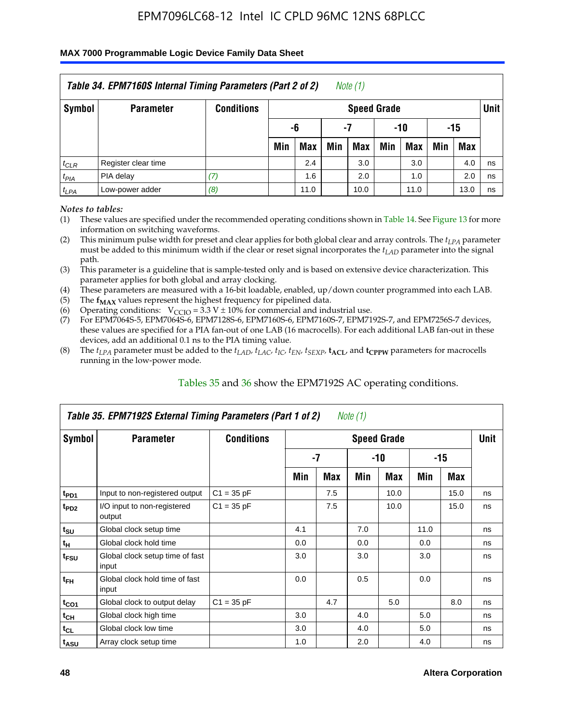#### **MAX 7000 Programmable Logic Device Family Data Sheet**

|               | Table 34. EPM7160S Internal Timing Parameters (Part 2 of 2) |                   |     |            |     | Note $(1)$         |     |      |     |      |      |
|---------------|-------------------------------------------------------------|-------------------|-----|------------|-----|--------------------|-----|------|-----|------|------|
| <b>Symbol</b> | <b>Parameter</b>                                            | <b>Conditions</b> |     |            |     | <b>Speed Grade</b> |     |      |     |      | Unit |
|               |                                                             |                   |     | -6         |     | -7                 |     | -10  |     | -15  |      |
|               |                                                             |                   | Min | <b>Max</b> | Min | <b>Max</b>         | Min | Max  | Min | Max  |      |
| $t_{CLR}$     | Register clear time                                         |                   |     | 2.4        |     | 3.0                |     | 3.0  |     | 4.0  | ns   |
| $t_{PIA}$     | PIA delay                                                   | (7)               |     | 1.6        |     | 2.0                |     | 1.0  |     | 2.0  | ns   |
| $t_{LPA}$     | Low-power adder                                             | (8)               |     | 11.0       |     | 10.0               |     | 11.0 |     | 13.0 | ns   |

*Notes to tables:*

- (1) These values are specified under the recommended operating conditions shown in Table 14. See Figure 13 for more information on switching waveforms.
- (2) This minimum pulse width for preset and clear applies for both global clear and array controls. The  $t_{LPA}$  parameter must be added to this minimum width if the clear or reset signal incorporates the *t<sub>LAD</sub>* parameter into the signal path.
- (3) This parameter is a guideline that is sample-tested only and is based on extensive device characterization. This parameter applies for both global and array clocking.
- (4) These parameters are measured with a 16-bit loadable, enabled, up/down counter programmed into each LAB.
- (5) The  $f_{MAX}$  values represent the highest frequency for pipelined data.
- (6) Operating conditions:  $V_{\text{CCIO}} = 3.3 V \pm 10\%$  for commercial and industrial use.
- (7) For EPM7064S-5, EPM7064S-6, EPM7128S-6, EPM7160S-6, EPM7160S-7, EPM7192S-7, and EPM7256S-7 devices, these values are specified for a PIA fan-out of one LAB (16 macrocells). For each additional LAB fan-out in these devices, add an additional 0.1 ns to the PIA timing value.
- (8) The  $t_{LPA}$  parameter must be added to the  $t_{LAP}$ ,  $t_{LAC}$ ,  $t_{IC}$ ,  $t_{EN}$ ,  $t_{SEXP}$ ,  $t_{ACL}$ , and  $t_{CPPW}$  parameters for macrocells running in the low-power mode.

|                             | Table 35. EPM7192S External Timing Parameters (Part 1 of 2) |                   |     |      | Note (1) |                    |      |       |             |
|-----------------------------|-------------------------------------------------------------|-------------------|-----|------|----------|--------------------|------|-------|-------------|
| Symbol                      | <b>Parameter</b>                                            | <b>Conditions</b> |     |      |          | <b>Speed Grade</b> |      |       | <b>Unit</b> |
|                             |                                                             |                   |     | $-7$ |          | -10                |      | $-15$ |             |
|                             |                                                             |                   | Min | Max  | Min      | <b>Max</b>         | Min  | Max   |             |
| t <sub>PD1</sub>            | Input to non-registered output                              | $C1 = 35 pF$      |     | 7.5  |          | 10.0               |      | 15.0  | ns          |
| $t_{PD2}$                   | I/O input to non-registered<br>output                       | $C1 = 35 pF$      |     | 7.5  |          | 10.0               |      | 15.0  | ns          |
| $t_{\scriptstyle\text{SU}}$ | Global clock setup time                                     |                   | 4.1 |      | 7.0      |                    | 11.0 |       | ns          |
| $t_H$                       | Global clock hold time                                      |                   | 0.0 |      | 0.0      |                    | 0.0  |       | ns          |
| t <sub>FSU</sub>            | Global clock setup time of fast<br>input                    |                   | 3.0 |      | 3.0      |                    | 3.0  |       | ns          |
| $t_{FH}$                    | Global clock hold time of fast<br>input                     |                   | 0.0 |      | 0.5      |                    | 0.0  |       | ns          |
| $t_{CO1}$                   | Global clock to output delay                                | $C1 = 35 pF$      |     | 4.7  |          | 5.0                |      | 8.0   | ns          |
| $t_{CH}$                    | Global clock high time                                      |                   | 3.0 |      | 4.0      |                    | 5.0  |       | ns          |
| $t_{CL}$                    | Global clock low time                                       |                   | 3.0 |      | 4.0      |                    | 5.0  |       | ns          |
| t <sub>ASU</sub>            | Array clock setup time                                      |                   | 1.0 |      | 2.0      |                    | 4.0  |       | ns          |

### Tables 35 and 36 show the EPM7192S AC operating conditions.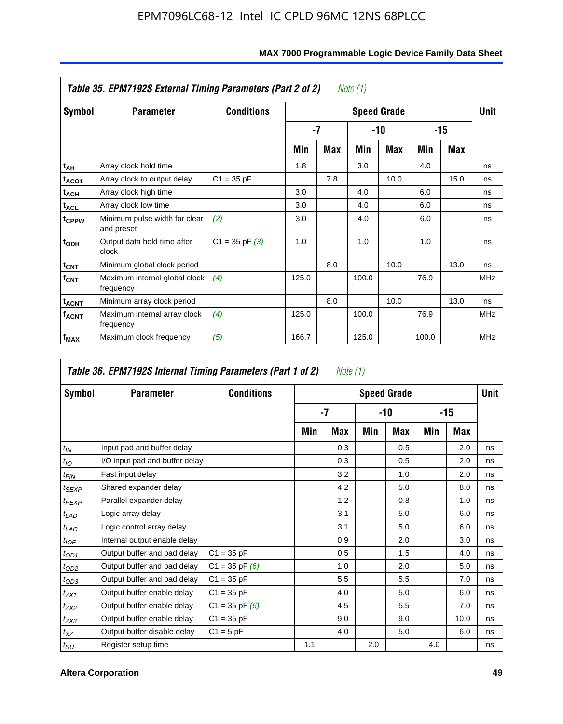|                         | Table 35. EPM7192S External Timing Parameters (Part 2 of 2) |                    |       |     | Note (1) |                    |       |      |            |
|-------------------------|-------------------------------------------------------------|--------------------|-------|-----|----------|--------------------|-------|------|------------|
| Symbol                  | <b>Parameter</b>                                            | <b>Conditions</b>  |       |     |          | <b>Speed Grade</b> |       |      | Unit       |
|                         |                                                             |                    |       | -7  |          | -10                |       | -15  |            |
|                         |                                                             |                    | Min   | Max | Min      | <b>Max</b>         | Min   | Max  |            |
| t <sub>АН</sub>         | Array clock hold time                                       |                    | 1.8   |     | 3.0      |                    | 4.0   |      | ns         |
| t <sub>ACO1</sub>       | Array clock to output delay                                 | $C1 = 35 pF$       |       | 7.8 |          | 10.0               |       | 15.0 | ns         |
| $t_{\sf ACH}$           | Array clock high time                                       |                    | 3.0   |     | 4.0      |                    | 6.0   |      | ns         |
| $t_{\sf ACL}$           | Array clock low time                                        |                    | 3.0   |     | 4.0      |                    | 6.0   |      | ns         |
| t <sub>CPPW</sub>       | Minimum pulse width for clear<br>and preset                 | (2)                | 3.0   |     | 4.0      |                    | 6.0   |      | ns         |
| $t_{ODH}$               | Output data hold time after<br>clock                        | $C1 = 35$ pF $(3)$ | 1.0   |     | 1.0      |                    | 1.0   |      | ns         |
| $t_{\mathsf{CNT}}$      | Minimum global clock period                                 |                    |       | 8.0 |          | 10.0               |       | 13.0 | ns         |
| $f_{\text{CNT}}$        | Maximum internal global clock<br>frequency                  | (4)                | 125.0 |     | 100.0    |                    | 76.9  |      | <b>MHz</b> |
| $t_{ACNT}$              | Minimum array clock period                                  |                    |       | 8.0 |          | 10.0               |       | 13.0 | ns         |
| <b>f<sub>ACNT</sub></b> | Maximum internal array clock<br>frequency                   | (4)                | 125.0 |     | 100.0    |                    | 76.9  |      | <b>MHz</b> |
| f <sub>MAX</sub>        | Maximum clock frequency                                     | (5)                | 166.7 |     | 125.0    |                    | 100.0 |      | <b>MHz</b> |

|                             | Table 36. EPM7192S Internal Timing Parameters (Part 1 of 2) |                    |     | Note (1) |     |                    |     |       |      |
|-----------------------------|-------------------------------------------------------------|--------------------|-----|----------|-----|--------------------|-----|-------|------|
| Symbol                      | <b>Parameter</b>                                            | <b>Conditions</b>  |     |          |     | <b>Speed Grade</b> |     |       | Unit |
|                             |                                                             |                    |     | $-7$     |     | -10                |     | $-15$ |      |
|                             |                                                             |                    | Min | Max      | Min | Max                | Min | Max   |      |
| $t_{IN}$                    | Input pad and buffer delay                                  |                    |     | 0.3      |     | 0.5                |     | 2.0   | ns   |
| $t_{IO}$                    | I/O input pad and buffer delay                              |                    |     | 0.3      |     | 0.5                |     | 2.0   | ns   |
| $t_{FIN}$                   | Fast input delay                                            |                    |     | 3.2      |     | 1.0                |     | 2.0   | ns   |
| t <sub>SEXP</sub>           | Shared expander delay                                       |                    |     | 4.2      |     | 5.0                |     | 8.0   | ns   |
| $t_{PEXP}$                  | Parallel expander delay                                     |                    |     | 1.2      |     | 0.8                |     | 1.0   | ns   |
| $t_{LAD}$                   | Logic array delay                                           |                    |     | 3.1      |     | 5.0                |     | 6.0   | ns   |
| $t_{LAC}$                   | Logic control array delay                                   |                    |     | 3.1      |     | 5.0                |     | 6.0   | ns   |
| $t_{IOE}$                   | Internal output enable delay                                |                    |     | 0.9      |     | 2.0                |     | 3.0   | ns   |
| $t_{OD1}$                   | Output buffer and pad delay                                 | $C1 = 35 pF$       |     | 0.5      |     | 1.5                |     | 4.0   | ns   |
| $t_{OD2}$                   | Output buffer and pad delay                                 | $C1 = 35$ pF $(6)$ |     | 1.0      |     | 2.0                |     | 5.0   | ns   |
| $t_{OD3}$                   | Output buffer and pad delay                                 | $C1 = 35 pF$       |     | 5.5      |     | 5.5                |     | 7.0   | ns   |
| $t_{ZX1}$                   | Output buffer enable delay                                  | $C1 = 35 pF$       |     | 4.0      |     | 5.0                |     | 6.0   | ns   |
| $t_{ZX2}$                   | Output buffer enable delay                                  | $C1 = 35$ pF $(6)$ |     | 4.5      |     | 5.5                |     | 7.0   | ns   |
| $t_{ZX3}$                   | Output buffer enable delay                                  | $C1 = 35 pF$       |     | 9.0      |     | 9.0                |     | 10.0  | ns   |
| $t_{XZ}$                    | Output buffer disable delay                                 | $C1 = 5$ pF        |     | 4.0      |     | 5.0                |     | 6.0   | ns   |
| $t_{\scriptstyle\text{SU}}$ | Register setup time                                         |                    | 1.1 |          | 2.0 |                    | 4.0 |       | ns   |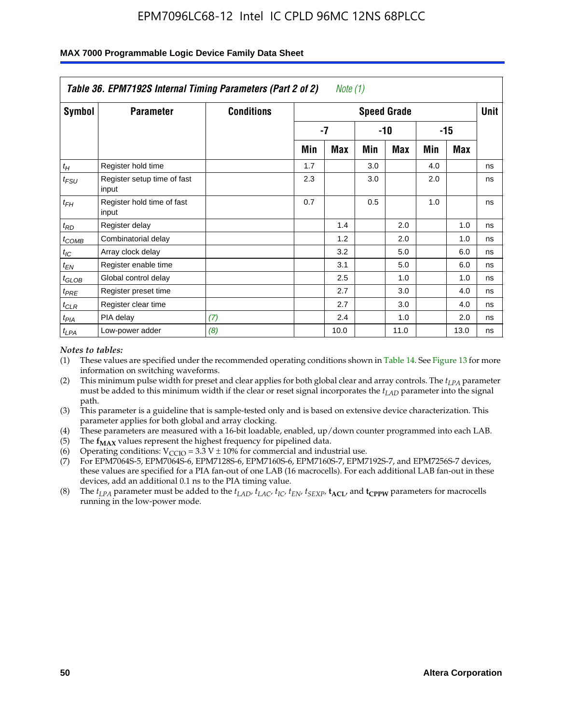|                    | Table 36. EPM7192S Internal Timing Parameters (Part 2 of 2) |                   |     | Note $(1)$ |     |                    |     |            |      |
|--------------------|-------------------------------------------------------------|-------------------|-----|------------|-----|--------------------|-----|------------|------|
| Symbol             | <b>Parameter</b>                                            | <b>Conditions</b> |     |            |     | <b>Speed Grade</b> |     |            | Unit |
|                    |                                                             |                   |     | -7         |     | -10                |     | $-15$      |      |
|                    |                                                             |                   | Min | Max        | Min | Max                | Min | <b>Max</b> |      |
| $t_H$              | Register hold time                                          |                   | 1.7 |            | 3.0 |                    | 4.0 |            | ns   |
| $t_{\mathit{FSU}}$ | Register setup time of fast<br>input                        |                   | 2.3 |            | 3.0 |                    | 2.0 |            | ns   |
| $t_{FH}$           | Register hold time of fast<br>input                         |                   | 0.7 |            | 0.5 |                    | 1.0 |            | ns   |
| $t_{RD}$           | Register delay                                              |                   |     | 1.4        |     | 2.0                |     | 1.0        | ns   |
| $t_{COMB}$         | Combinatorial delay                                         |                   |     | 1.2        |     | 2.0                |     | 1.0        | ns   |
| $t_{IC}$           | Array clock delay                                           |                   |     | 3.2        |     | 5.0                |     | 6.0        | ns   |
| $t_{EN}$           | Register enable time                                        |                   |     | 3.1        |     | 5.0                |     | 6.0        | ns   |
| $t_{GLOB}$         | Global control delay                                        |                   |     | 2.5        |     | 1.0                |     | 1.0        | ns   |
| $t_{PRE}$          | Register preset time                                        |                   |     | 2.7        |     | 3.0                |     | 4.0        | ns   |
| $t_{CLR}$          | Register clear time                                         |                   |     | 2.7        |     | 3.0                |     | 4.0        | ns   |
| t <sub>PIA</sub>   | PIA delay                                                   | (7)               |     | 2.4        |     | 1.0                |     | 2.0        | ns   |
| $t_{LPA}$          | Low-power adder                                             | (8)               |     | 10.0       |     | 11.0               |     | 13.0       | ns   |

#### **MAX 7000 Programmable Logic Device Family Data Sheet**

#### *Notes to tables:*

- (1) These values are specified under the recommended operating conditions shown in Table 14. See Figure 13 for more information on switching waveforms.
- (2) This minimum pulse width for preset and clear applies for both global clear and array controls. The *tLPA* parameter must be added to this minimum width if the clear or reset signal incorporates the *t<sub>LAD</sub>* parameter into the signal path.
- (3) This parameter is a guideline that is sample-tested only and is based on extensive device characterization. This parameter applies for both global and array clocking.
- (4) These parameters are measured with a 16-bit loadable, enabled, up/down counter programmed into each LAB.
- (5) The  $f_{MAX}$  values represent the highest frequency for pipelined data.
- (6) Operating conditions:  $V_{\text{CCIO}} = 3.3 \text{ V} \pm 10\%$  for commercial and industrial use.
- (7) For EPM7064S-5, EPM7064S-6, EPM7128S-6, EPM7160S-6, EPM7160S-7, EPM7192S-7, and EPM7256S-7 devices, these values are specified for a PIA fan-out of one LAB (16 macrocells). For each additional LAB fan-out in these devices, add an additional 0.1 ns to the PIA timing value.
- (8) The  $t_{LPA}$  parameter must be added to the  $t_{LAD}$ ,  $t_{LAC}$ ,  $t_{IC}$ ,  $t_{EN}$ ,  $t_{SIX}$ ,  $t_{ACL}$ , and  $t_{CPW}$  parameters for macrocells running in the low-power mode.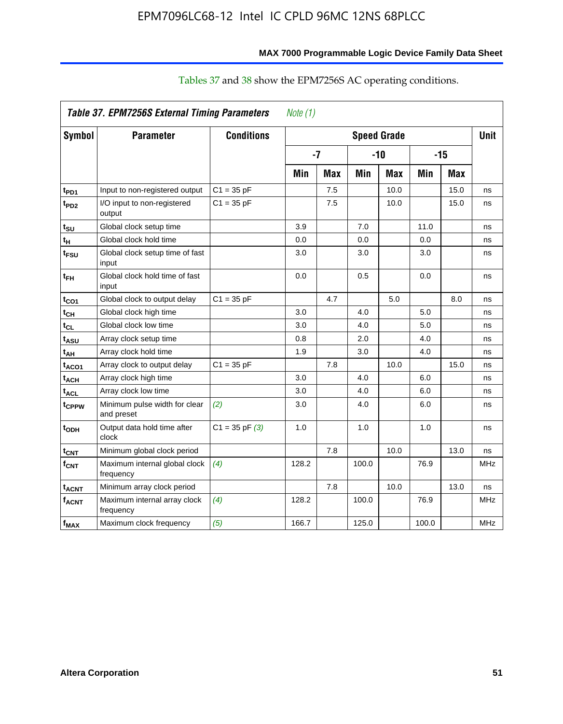| Symbol                       | <b>Parameter</b>                            | <b>Conditions</b>  |       |     |       | <b>Speed Grade</b> |       |            | <b>Unit</b> |
|------------------------------|---------------------------------------------|--------------------|-------|-----|-------|--------------------|-------|------------|-------------|
|                              |                                             |                    | $-7$  |     |       | $-10$              |       | $-15$      |             |
|                              |                                             |                    | Min   | Max | Min   | <b>Max</b>         | Min   | <b>Max</b> |             |
| t <sub>PD1</sub>             | Input to non-registered output              | $C1 = 35 pF$       |       | 7.5 |       | 10.0               |       | 15.0       | ns          |
| t <sub>PD2</sub>             | I/O input to non-registered<br>output       | $C1 = 35 pF$       |       | 7.5 |       | 10.0               |       | 15.0       | ns          |
| t <sub>SU</sub>              | Global clock setup time                     |                    | 3.9   |     | 7.0   |                    | 11.0  |            | ns          |
| t <sub>H</sub>               | Global clock hold time                      |                    | 0.0   |     | 0.0   |                    | 0.0   |            | ns          |
| t <sub>FSU</sub>             | Global clock setup time of fast<br>input    |                    | 3.0   |     | 3.0   |                    | 3.0   |            | ns          |
| t <sub>FH</sub>              | Global clock hold time of fast<br>input     |                    | 0.0   |     | 0.5   |                    | 0.0   |            | ns          |
| t <sub>CO1</sub>             | Global clock to output delay                | $C1 = 35 pF$       |       | 4.7 |       | 5.0                |       | 8.0        | ns          |
| t <sub>СН</sub>              | Global clock high time                      |                    | 3.0   |     | 4.0   |                    | 5.0   |            | ns          |
| $\mathfrak{t}_{\textsf{CL}}$ | Global clock low time                       |                    | 3.0   |     | 4.0   |                    | 5.0   |            | ns          |
| t <sub>ASU</sub>             | Array clock setup time                      |                    | 0.8   |     | 2.0   |                    | 4.0   |            | ns          |
| t <sub>АН</sub>              | Array clock hold time                       |                    | 1.9   |     | 3.0   |                    | 4.0   |            | ns          |
| t <sub>ACO1</sub>            | Array clock to output delay                 | $C1 = 35 pF$       |       | 7.8 |       | 10.0               |       | 15.0       | ns          |
| t <sub>АСН</sub>             | Array clock high time                       |                    | 3.0   |     | 4.0   |                    | 6.0   |            | ns          |
| t <sub>ACL</sub>             | Array clock low time                        |                    | 3.0   |     | 4.0   |                    | 6.0   |            | ns          |
| t <sub>CPPW</sub>            | Minimum pulse width for clear<br>and preset | (2)                | 3.0   |     | 4.0   |                    | 6.0   |            | ns          |
| t <sub>орн</sub>             | Output data hold time after<br>clock        | $C1 = 35$ pF $(3)$ | 1.0   |     | 1.0   |                    | 1.0   |            | ns          |
| t <sub>CNT</sub>             | Minimum global clock period                 |                    |       | 7.8 |       | 10.0               |       | 13.0       | ns          |
| f <sub>СNT</sub>             | Maximum internal global clock<br>frequency  | (4)                | 128.2 |     | 100.0 |                    | 76.9  |            | <b>MHz</b>  |
| t <sub>acnt</sub>            | Minimum array clock period                  |                    |       | 7.8 |       | 10.0               |       | 13.0       | ns          |
| f <sub>acnt</sub>            | Maximum internal array clock<br>frequency   | (4)                | 128.2 |     | 100.0 |                    | 76.9  |            | <b>MHz</b>  |
| f <sub>MAX</sub>             | Maximum clock frequency                     | (5)                | 166.7 |     | 125.0 |                    | 100.0 |            | <b>MHz</b>  |

### Tables 37 and 38 show the EPM7256S AC operating conditions.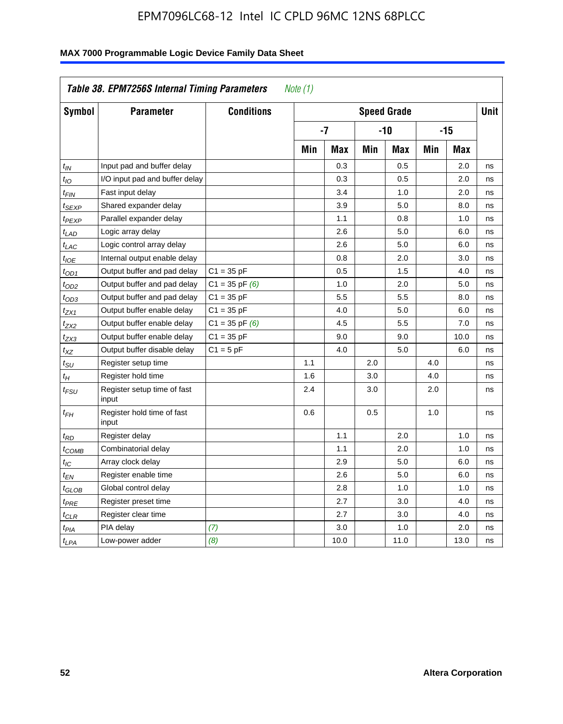| Symbol            | <b>Parameter</b>                     | <b>Conditions</b>  | <b>Speed Grade</b> |            |       |            |            | <b>Unit</b> |    |
|-------------------|--------------------------------------|--------------------|--------------------|------------|-------|------------|------------|-------------|----|
|                   |                                      |                    | $-7$               |            | $-10$ |            | $-15$      |             |    |
|                   |                                      |                    | Min                | <b>Max</b> | Min   | <b>Max</b> | <b>Min</b> | <b>Max</b>  |    |
| $t_{IN}$          | Input pad and buffer delay           |                    |                    | 0.3        |       | 0.5        |            | 2.0         | ns |
| $t_{IO}$          | I/O input pad and buffer delay       |                    |                    | 0.3        |       | 0.5        |            | 2.0         | ns |
| t <sub>FIN</sub>  | Fast input delay                     |                    |                    | 3.4        |       | 1.0        |            | 2.0         | ns |
| t <sub>SEXP</sub> | Shared expander delay                |                    |                    | 3.9        |       | 5.0        |            | 8.0         | ns |
| t <sub>PEXP</sub> | Parallel expander delay              |                    |                    | 1.1        |       | 0.8        |            | 1.0         | ns |
| $t_{LAD}$         | Logic array delay                    |                    |                    | 2.6        |       | 5.0        |            | 6.0         | ns |
| $t_{LAC}$         | Logic control array delay            |                    |                    | 2.6        |       | 5.0        |            | 6.0         | ns |
| $t_{IOE}$         | Internal output enable delay         |                    |                    | 0.8        |       | 2.0        |            | 3.0         | ns |
| $t_{OD1}$         | Output buffer and pad delay          | $C1 = 35 pF$       |                    | 0.5        |       | 1.5        |            | 4.0         | ns |
| t <sub>OD2</sub>  | Output buffer and pad delay          | $C1 = 35$ pF $(6)$ |                    | 1.0        |       | 2.0        |            | 5.0         | ns |
| $t_{OD3}$         | Output buffer and pad delay          | $C1 = 35 pF$       |                    | 5.5        |       | 5.5        |            | 8.0         | ns |
| t <sub>ZX1</sub>  | Output buffer enable delay           | $C1 = 35 pF$       |                    | 4.0        |       | 5.0        |            | 6.0         | ns |
| t <sub>ZX2</sub>  | Output buffer enable delay           | $C1 = 35$ pF $(6)$ |                    | 4.5        |       | 5.5        |            | 7.0         | ns |
| t <sub>ZX3</sub>  | Output buffer enable delay           | $C1 = 35 pF$       |                    | 9.0        |       | 9.0        |            | 10.0        | ns |
| $t_{XZ}$          | Output buffer disable delay          | $C1 = 5pF$         |                    | 4.0        |       | 5.0        |            | 6.0         | ns |
| $t_{\rm SU}$      | Register setup time                  |                    | 1.1                |            | 2.0   |            | 4.0        |             | ns |
| $t_H$             | Register hold time                   |                    | 1.6                |            | 3.0   |            | 4.0        |             | ns |
| t <sub>FSU</sub>  | Register setup time of fast<br>input |                    | 2.4                |            | 3.0   |            | 2.0        |             | ns |
| $t_{FH}$          | Register hold time of fast<br>input  |                    | 0.6                |            | 0.5   |            | 1.0        |             | ns |
| t <sub>RD</sub>   | Register delay                       |                    |                    | 1.1        |       | 2.0        |            | 1.0         | ns |
| t <sub>COMB</sub> | Combinatorial delay                  |                    |                    | 1.1        |       | 2.0        |            | 1.0         | ns |
| $t_{IC}$          | Array clock delay                    |                    |                    | 2.9        |       | 5.0        |            | 6.0         | ns |
| t <sub>EN</sub>   | Register enable time                 |                    |                    | 2.6        |       | 5.0        |            | 6.0         | ns |
| t <sub>GLOB</sub> | Global control delay                 |                    |                    | 2.8        |       | 1.0        |            | 1.0         | ns |
| $t_{PRE}$         | Register preset time                 |                    |                    | 2.7        |       | 3.0        |            | 4.0         | ns |
| $t_{\text{CLR}}$  | Register clear time                  |                    |                    | 2.7        |       | 3.0        |            | 4.0         | ns |
| $t_{PIA}$         | PIA delay                            | (7)                |                    | 3.0        |       | 1.0        |            | 2.0         | ns |
| $t_{LPA}$         | Low-power adder                      | (8)                |                    | 10.0       |       | 11.0       |            | 13.0        | ns |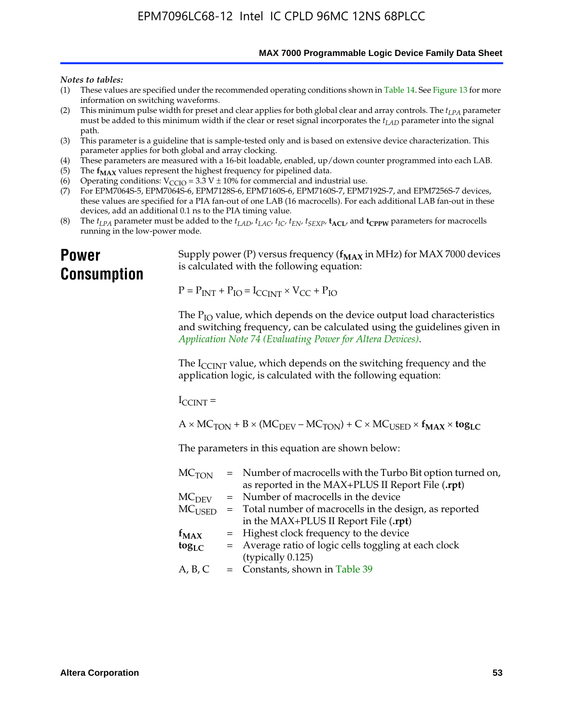**MAX 7000 Programmable Logic Device Family Data Sheet**

#### *Notes to tables:*

- (1) These values are specified under the recommended operating conditions shown in Table 14. See Figure 13 for more information on switching waveforms.
- (2) This minimum pulse width for preset and clear applies for both global clear and array controls. The  $t_{LPA}$  parameter must be added to this minimum width if the clear or reset signal incorporates the *tLAD* parameter into the signal path.
- (3) This parameter is a guideline that is sample-tested only and is based on extensive device characterization. This parameter applies for both global and array clocking.
- (4) These parameters are measured with a 16-bit loadable, enabled, up/down counter programmed into each LAB.
- (5) The  $f_{MAX}$  values represent the highest frequency for pipelined data.
- (6) Operating conditions:  $V_{\text{CCIO}} = 3.3 \text{ V} \pm 10\%$  for commercial and industrial use.
- (7) For EPM7064S-5, EPM7064S-6, EPM7128S-6, EPM7160S-6, EPM7160S-7, EPM7192S-7, and EPM7256S-7 devices, these values are specified for a PIA fan-out of one LAB (16 macrocells). For each additional LAB fan-out in these devices, add an additional 0.1 ns to the PIA timing value.
- (8) The  $t_{LPA}$  parameter must be added to the  $t_{LAD}$ ,  $t_{LAC}$ ,  $t_{IC}$ ,  $t_{EN}$ ,  $t_{SEXP}$ ,  $t_{ACL}$ , and  $t_{CPPW}$  parameters for macrocells running in the low-power mode.

### **Power Consumption**

[Supply power \(P\) versus frequency \(](http://www.altera.com/literature/an/an074.pdf) $f_{MAX}$  in MHz) for MAX 7000 devices is calculated with the following equation:

 $P = P_{INT} + P_{IO} = I_{CCLNT} \times V_{CC} + P_{IO}$ 

The  $P_{IO}$  value, which depends on the device output load characteristics and switching frequency, can be calculated using the guidelines given in *Application Note 74 (Evaluating Power for Altera Devices)*.

The  $I_{\text{CCINT}}$  value, which depends on the switching frequency and the application logic, is calculated with the following equation:

 $I_{\text{CCTNT}} =$ 

 $A \times MC_{TON} + B \times (MC_{DEV} - MC_{TON}) + C \times MC_{USER} \times f_{MAX} \times tog_{LC}$ 

The parameters in this equation are shown below:

| $MC$ <sub>TON</sub> | = Number of macrocells with the Turbo Bit option turned on,      |
|---------------------|------------------------------------------------------------------|
|                     | as reported in the MAX+PLUS II Report File (.rpt)                |
| MC <sub>DFV</sub>   | = Number of macrocells in the device                             |
|                     | $MCUSED$ = Total number of macrocells in the design, as reported |
|                     | in the MAX+PLUS II Report File (.rpt)                            |
| $f_{MAX}$           | = Highest clock frequency to the device                          |
| $tog_{LC}$          | = Average ratio of logic cells toggling at each clock            |
|                     | (typically 0.125)                                                |
| A, B, C             | $=$ Constants, shown in Table 39                                 |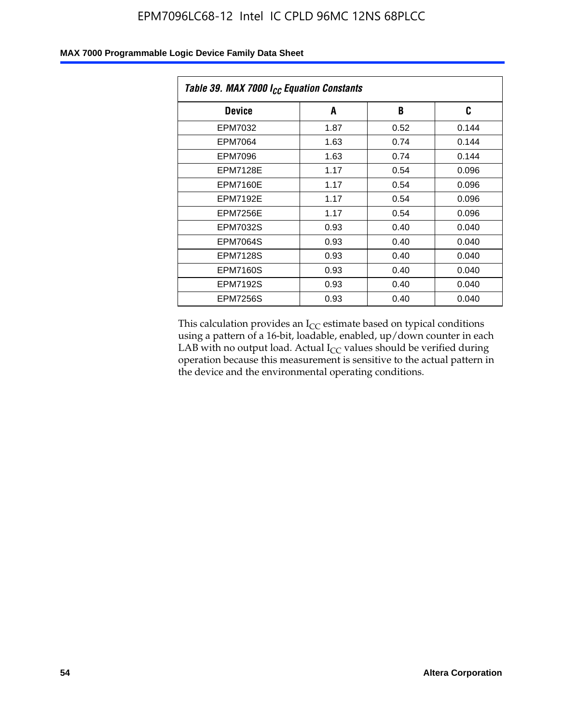| Table 39. MAX 7000 I <sub>CC</sub> Equation Constants |      |      |       |  |
|-------------------------------------------------------|------|------|-------|--|
| <b>Device</b>                                         | A    | B    | C     |  |
| EPM7032                                               | 1.87 | 0.52 | 0.144 |  |
| EPM7064                                               | 1.63 | 0.74 | 0.144 |  |
| <b>EPM7096</b>                                        | 1.63 | 0.74 | 0.144 |  |
| <b>EPM7128E</b>                                       | 1.17 | 0.54 | 0.096 |  |
| EPM7160E                                              | 1.17 | 0.54 | 0.096 |  |
| <b>EPM7192E</b>                                       | 1.17 | 0.54 | 0.096 |  |
| <b>EPM7256E</b>                                       | 1.17 | 0.54 | 0.096 |  |
| <b>EPM7032S</b>                                       | 0.93 | 0.40 | 0.040 |  |
| <b>EPM7064S</b>                                       | 0.93 | 0.40 | 0.040 |  |
| <b>EPM7128S</b>                                       | 0.93 | 0.40 | 0.040 |  |
| <b>EPM7160S</b>                                       | 0.93 | 0.40 | 0.040 |  |
| <b>EPM7192S</b>                                       | 0.93 | 0.40 | 0.040 |  |
| <b>EPM7256S</b>                                       | 0.93 | 0.40 | 0.040 |  |

This calculation provides an  $I_{CC}$  estimate based on typical conditions using a pattern of a 16-bit, loadable, enabled, up/down counter in each LAB with no output load. Actual  $I_{CC}$  values should be verified during operation because this measurement is sensitive to the actual pattern in the device and the environmental operating conditions.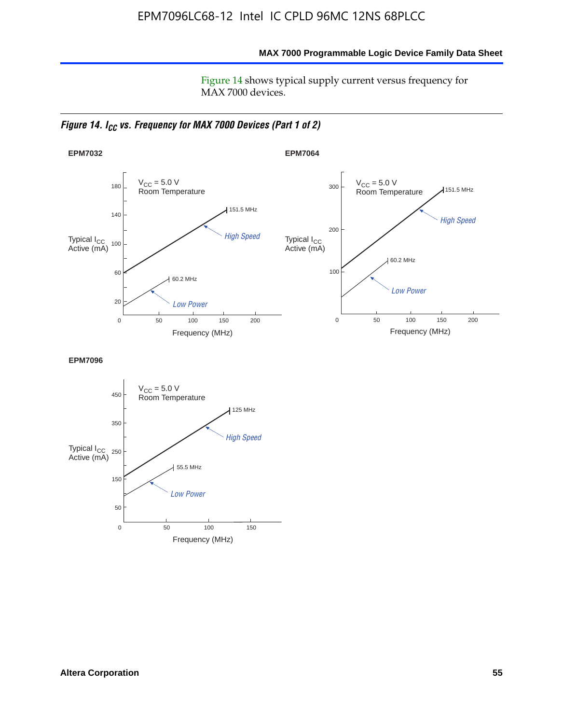**MAX 7000 Programmable Logic Device Family Data Sheet**

Figure 14 shows typical supply current versus frequency for MAX 7000 devices.

*Figure 14. I<sub>CC</sub> vs. Frequency for MAX 7000 Devices (Part 1 of 2)* 



**EPM7096**

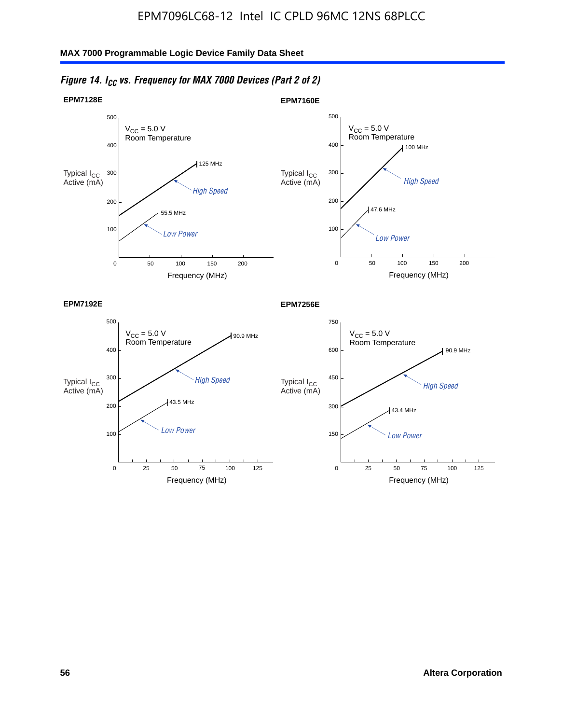#### $V_{CC}$  = 5.0 V Room Temperature 0 500 300 75 400 200 100 25 50 100 125 90.9 MHz 43.5 MHz **EPM7192E**  $V_{CC} = 5.0 V$ Room Temperature 0 750 450 75 600 300 150 25 50 100 90.9 MHz 43.4 MHz **EPM7256E**  $V_{CC}$  = 5.0 V Room Temperature 0 Frequency (MHz) 500 300 400 Low Power 200 100 50 100  $100$  MHz  $47.6$  MHz **EPM7160E** 150 200  $V_{CC}$  = 5.0 V Room Temperature  $\mathbf{0}$ Frequency (MHz) 500 300 400 High Speed 200 100 50 100 125 MHz 55.5 MHz **EPM7128E** 150 200 High Speed Typical  $\log \frac{1}{\log h}$  High Speed Typical  $\log \frac{450}{h}$  High Speed Low Power Low Power Low Power Typical I<sub>CC</sub><br>Active (mA) Active (mA) Typical I<sub>CC</sub><br>Active (mA) Typical I<sub>CC</sub><br>Active (mA)

### *Figure 14. I<sub>CC</sub> vs. Frequency for MAX 7000 Devices (Part 2 of 2)*

Frequency (MHz)

125

Frequency (MHz)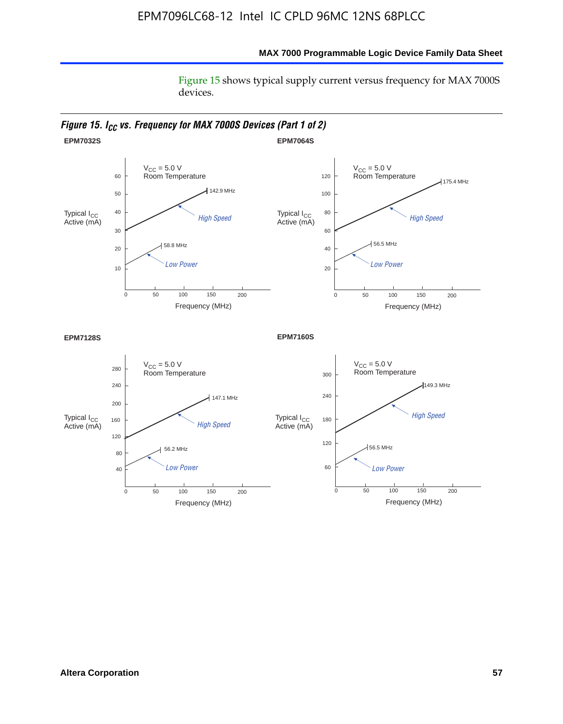### **MAX 7000 Programmable Logic Device Family Data Sheet**

Figure 15 shows typical supply current versus frequency for MAX 7000S devices.

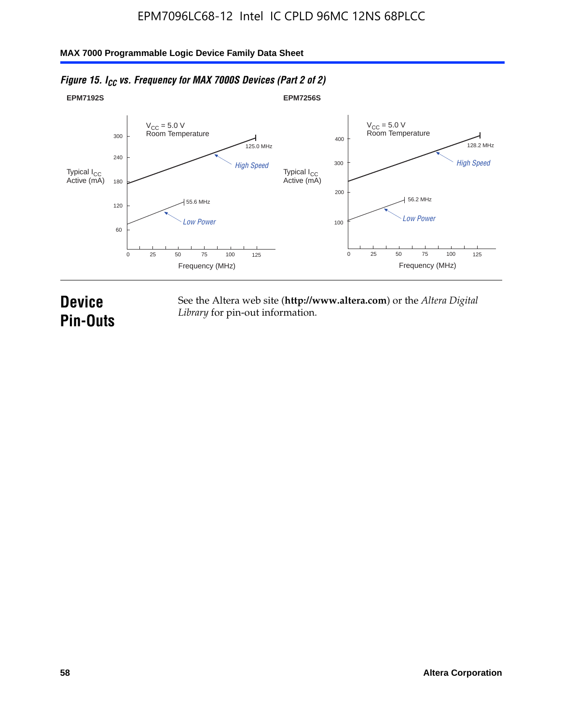

### *Figure 15. I<sub>CC</sub> vs. Frequency for MAX 7000S Devices (Part 2 of 2)*

## **Device Pin-Outs**

See the Altera web site (**http://www.altera.com**) or the *Altera Digital Library* for pin-out information.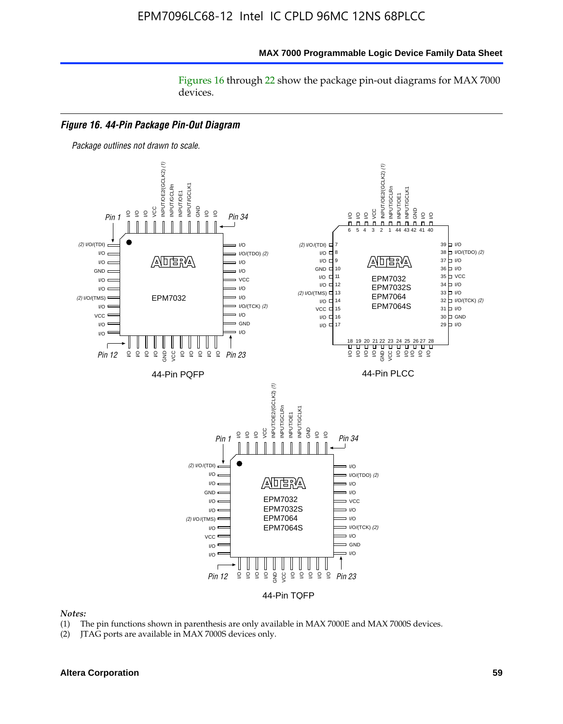#### **MAX 7000 Programmable Logic Device Family Data Sheet**

Figures 16 through 22 show the package pin-out diagrams for MAX 7000 devices.



#### *Notes:*

- (1) The pin functions shown in parenthesis are only available in MAX 7000E and MAX 7000S devices.
- (2) JTAG ports are available in MAX 7000S devices only.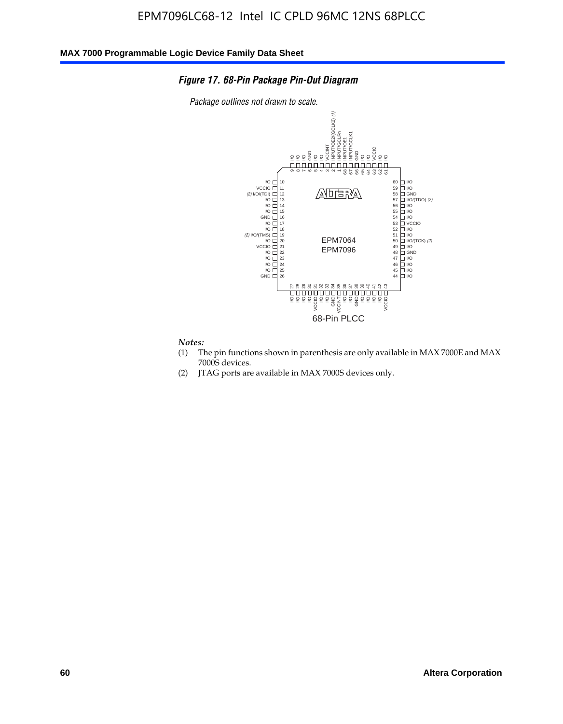### *Figure 17. 68-Pin Package Pin-Out Diagram*

*Package outlines not drawn to scale.*



*Notes:*<br>(1) T

- The pin functions shown in parenthesis are only available in MAX 7000E and MAX 7000S devices.
- (2) JTAG ports are available in MAX 7000S devices only.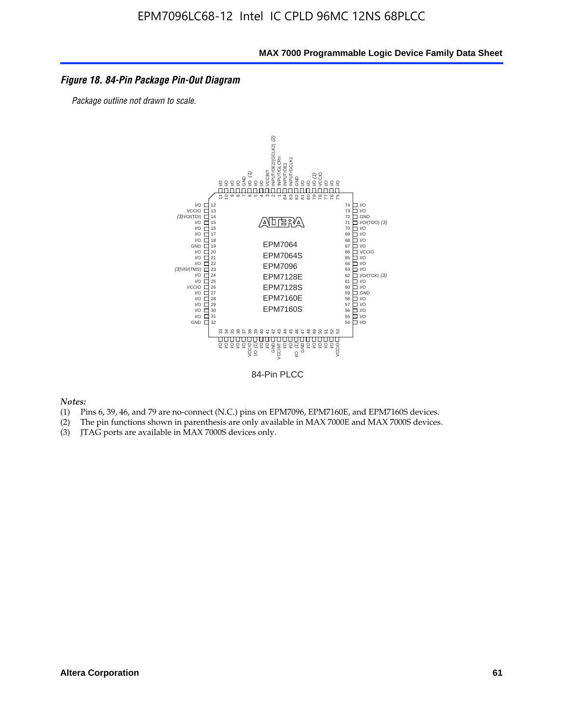#### *Figure 18. 84-Pin Package Pin-Out Diagram*

*Package outline not drawn to scale.*



84-Pin PLCC

*Notes:*

- (1) Pins 6, 39, 46, and 79 are no-connect (N.C.) pins on EPM7096, EPM7160E, and EPM7160S devices.
- (2) The pin functions shown in parenthesis are only available in MAX 7000E and MAX 7000S devices.
-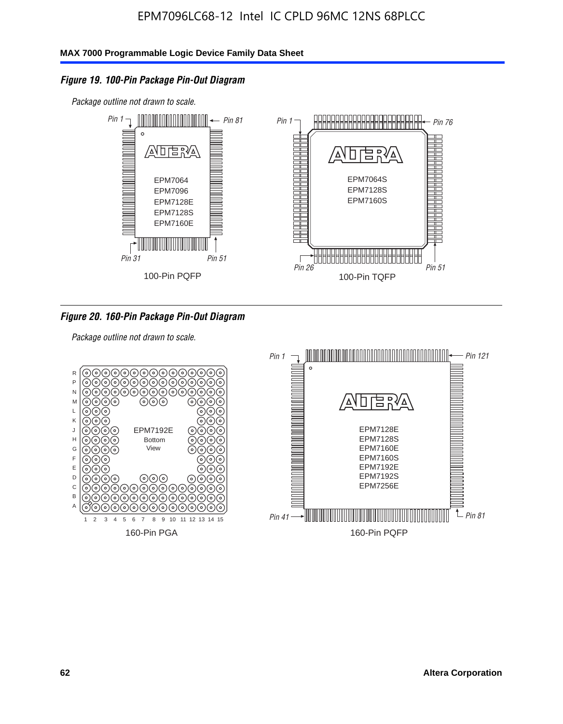### *Figure 19. 100-Pin Package Pin-Out Diagram*

*Package outline not drawn to scale.*



### *Figure 20. 160-Pin Package Pin-Out Diagram*

*Package outline not drawn to scale.*

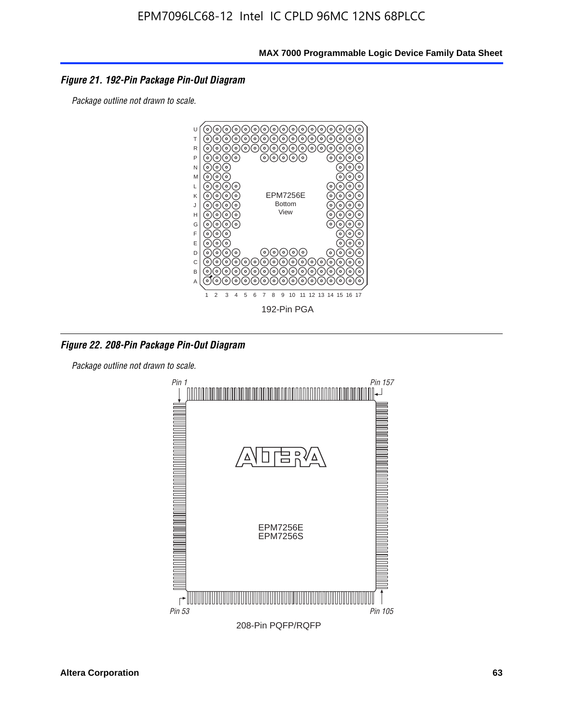### *Figure 21. 192-Pin Package Pin-Out Diagram*

*Package outline not drawn to scale.*



*Figure 22. 208-Pin Package Pin-Out Diagram*

*Package outline not drawn to scale.*

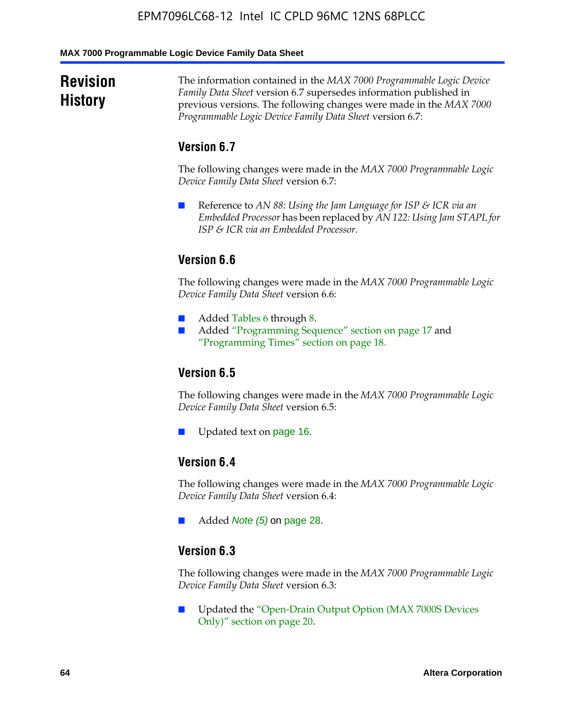#### **MAX 7000 Programmable Logic Device Family Data Sheet**

### **Revision History**

The information contained in the *MAX 7000 Programmable Logic Device Family Data Sheet* version 6.7 supersedes information published in previous versions. The following changes were made in the *MAX 7000 Programmable Logic Device Family Data Sheet* version 6.7:

### **Version 6.7**

The following changes were made in the *MAX 7000 Programmable Logic Device Family Data Sheet* version 6.7:

■ Reference to *AN 88: Using the Jam Language for ISP & ICR via an Embedded Processor* has been replaced by *AN 122: Using Jam STAPL for ISP & ICR via an Embedded Processor*.

### **Version 6.6**

The following changes were made in the *MAX 7000 Programmable Logic Device Family Data Sheet* version 6.6:

- Added Tables 6 through 8.
- Added "Programming Sequence" section on page 17 and "Programming Times" section on page 18.

### **Version 6.5**

The following changes were made in the *MAX 7000 Programmable Logic Device Family Data Sheet* version 6.5:

Updated text on page 16.

### **Version 6.4**

The following changes were made in the *MAX 7000 Programmable Logic Device Family Data Sheet* version 6.4:

■ Added *Note (5)* on page 28.

### **Version 6.3**

The following changes were made in the *MAX 7000 Programmable Logic Device Family Data Sheet* version 6.3:

■ Updated the "Open-Drain Output Option (MAX 7000S Devices Only)" section on page 20.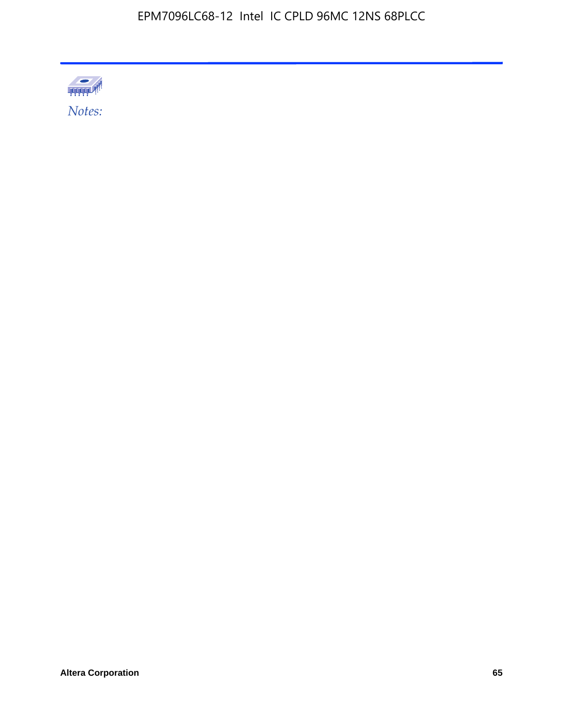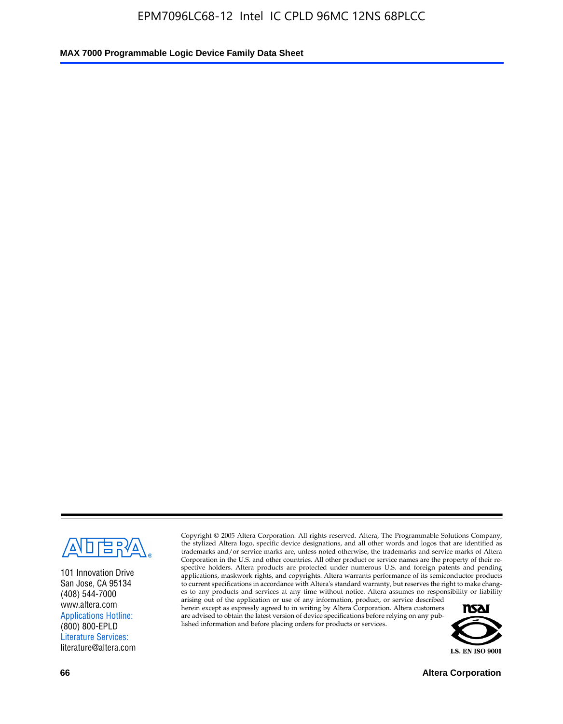

101 Innovation Drive San Jose, CA 95134 (408) 544-7000 www.altera.com Applications Hotline: (800) 800-EPLD Literature Services: literature@altera.com

Copyright © 2005 Altera Corporation. All rights reserved. Altera, The Programmable Solutions Company, the stylized Altera logo, specific device designations, and all other words and logos that are identified as trademarks and/or service marks are, unless noted otherwise, the trademarks and service marks of Altera Corporation in the U.S. and other countries. All other product or service names are the property of their respective holders. Altera products are protected under numerous U.S. and foreign patents and pending applications, maskwork rights, and copyrights. Altera warrants performance of its semiconductor products to current specifications in accordance with Altera's standard warranty, but reserves the right to make changes to any products and services at any time without notice. Altera assumes no responsibility or liability

arising out of the application or use of any information, product, or service described herein except as expressly agreed to in writing by Altera Corporation. Altera customers are advised to obtain the latest version of device specifications before relying on any published information and before placing orders for products or services.



**66 Altera Corporation**